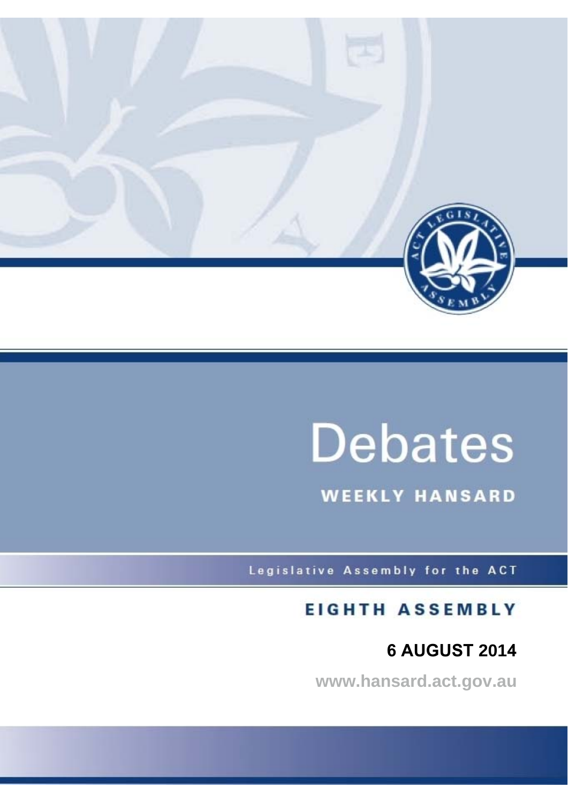

# **Debates**

**WEEKLY HANSARD** 

Legislative Assembly for the ACT

# **EIGHTH ASSEMBLY**

# **6 AUGUST 2014**

**www.hansard.act.gov.au**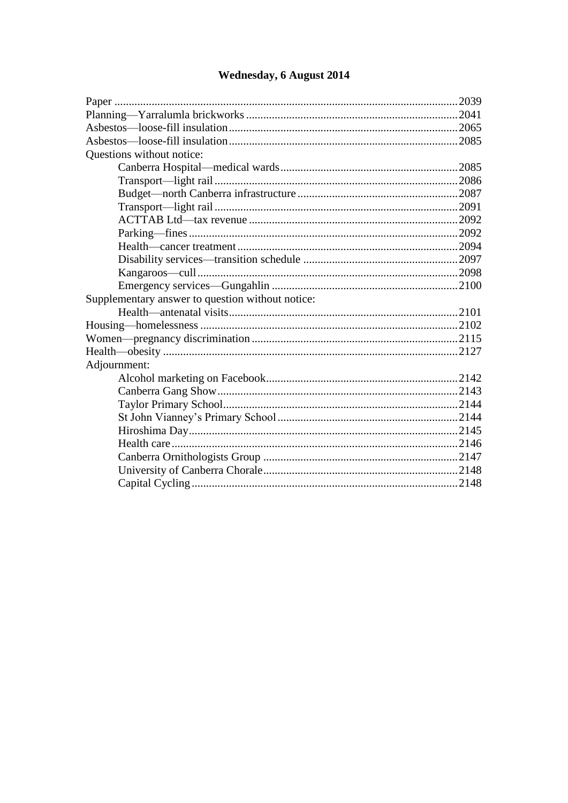| Questions without notice:                        |  |
|--------------------------------------------------|--|
|                                                  |  |
|                                                  |  |
|                                                  |  |
|                                                  |  |
|                                                  |  |
|                                                  |  |
|                                                  |  |
|                                                  |  |
|                                                  |  |
|                                                  |  |
| Supplementary answer to question without notice: |  |
|                                                  |  |
|                                                  |  |
|                                                  |  |
|                                                  |  |
| Adjournment:                                     |  |
|                                                  |  |
|                                                  |  |
|                                                  |  |
|                                                  |  |
|                                                  |  |
|                                                  |  |
|                                                  |  |
|                                                  |  |
|                                                  |  |
|                                                  |  |

## Wednesday, 6 August 2014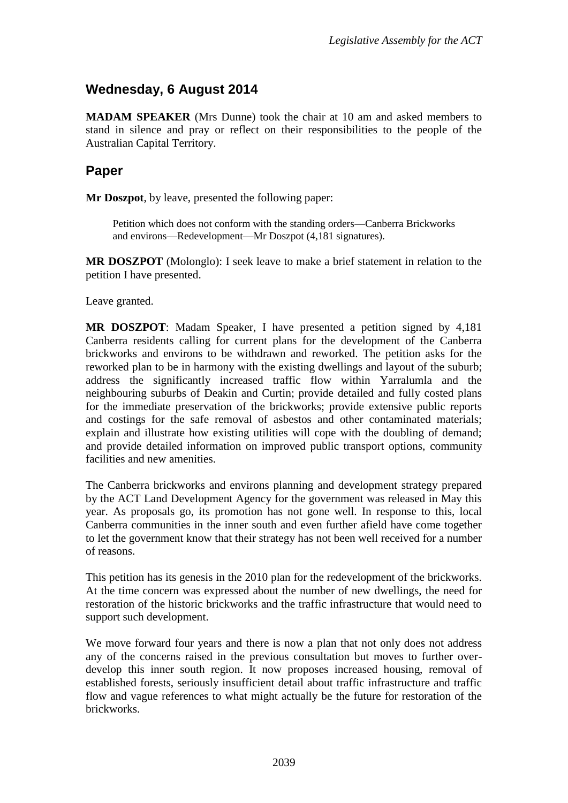### <span id="page-2-0"></span>**Wednesday, 6 August 2014**

**MADAM SPEAKER** (Mrs Dunne) took the chair at 10 am and asked members to stand in silence and pray or reflect on their responsibilities to the people of the Australian Capital Territory.

#### <span id="page-2-1"></span>**Paper**

**Mr Doszpot**, by leave, presented the following paper:

Petition which does not conform with the standing orders—Canberra Brickworks and environs—Redevelopment—Mr Doszpot (4,181 signatures).

**MR DOSZPOT** (Molonglo): I seek leave to make a brief statement in relation to the petition I have presented.

Leave granted.

**MR DOSZPOT**: Madam Speaker, I have presented a petition signed by 4,181 Canberra residents calling for current plans for the development of the Canberra brickworks and environs to be withdrawn and reworked. The petition asks for the reworked plan to be in harmony with the existing dwellings and layout of the suburb; address the significantly increased traffic flow within Yarralumla and the neighbouring suburbs of Deakin and Curtin; provide detailed and fully costed plans for the immediate preservation of the brickworks; provide extensive public reports and costings for the safe removal of asbestos and other contaminated materials; explain and illustrate how existing utilities will cope with the doubling of demand; and provide detailed information on improved public transport options, community facilities and new amenities.

The Canberra brickworks and environs planning and development strategy prepared by the ACT Land Development Agency for the government was released in May this year. As proposals go, its promotion has not gone well. In response to this, local Canberra communities in the inner south and even further afield have come together to let the government know that their strategy has not been well received for a number of reasons.

This petition has its genesis in the 2010 plan for the redevelopment of the brickworks. At the time concern was expressed about the number of new dwellings, the need for restoration of the historic brickworks and the traffic infrastructure that would need to support such development.

We move forward four years and there is now a plan that not only does not address any of the concerns raised in the previous consultation but moves to further overdevelop this inner south region. It now proposes increased housing, removal of established forests, seriously insufficient detail about traffic infrastructure and traffic flow and vague references to what might actually be the future for restoration of the brickworks.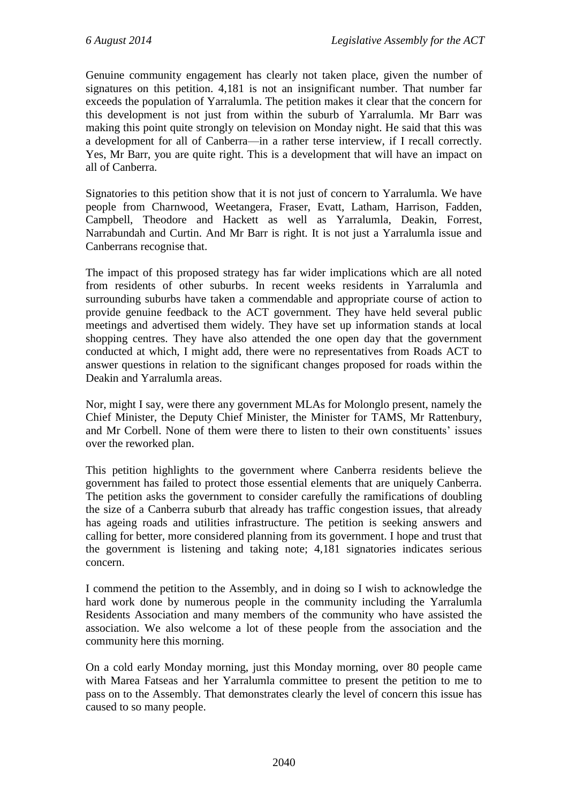Genuine community engagement has clearly not taken place, given the number of signatures on this petition. 4,181 is not an insignificant number. That number far exceeds the population of Yarralumla. The petition makes it clear that the concern for this development is not just from within the suburb of Yarralumla. Mr Barr was making this point quite strongly on television on Monday night. He said that this was a development for all of Canberra—in a rather terse interview, if I recall correctly. Yes, Mr Barr, you are quite right. This is a development that will have an impact on all of Canberra.

Signatories to this petition show that it is not just of concern to Yarralumla. We have people from Charnwood, Weetangera, Fraser, Evatt, Latham, Harrison, Fadden, Campbell, Theodore and Hackett as well as Yarralumla, Deakin, Forrest, Narrabundah and Curtin. And Mr Barr is right. It is not just a Yarralumla issue and Canberrans recognise that.

The impact of this proposed strategy has far wider implications which are all noted from residents of other suburbs. In recent weeks residents in Yarralumla and surrounding suburbs have taken a commendable and appropriate course of action to provide genuine feedback to the ACT government. They have held several public meetings and advertised them widely. They have set up information stands at local shopping centres. They have also attended the one open day that the government conducted at which, I might add, there were no representatives from Roads ACT to answer questions in relation to the significant changes proposed for roads within the Deakin and Yarralumla areas.

Nor, might I say, were there any government MLAs for Molonglo present, namely the Chief Minister, the Deputy Chief Minister, the Minister for TAMS, Mr Rattenbury, and Mr Corbell. None of them were there to listen to their own constituents' issues over the reworked plan.

This petition highlights to the government where Canberra residents believe the government has failed to protect those essential elements that are uniquely Canberra. The petition asks the government to consider carefully the ramifications of doubling the size of a Canberra suburb that already has traffic congestion issues, that already has ageing roads and utilities infrastructure. The petition is seeking answers and calling for better, more considered planning from its government. I hope and trust that the government is listening and taking note; 4,181 signatories indicates serious concern.

I commend the petition to the Assembly, and in doing so I wish to acknowledge the hard work done by numerous people in the community including the Yarralumla Residents Association and many members of the community who have assisted the association. We also welcome a lot of these people from the association and the community here this morning.

On a cold early Monday morning, just this Monday morning, over 80 people came with Marea Fatseas and her Yarralumla committee to present the petition to me to pass on to the Assembly. That demonstrates clearly the level of concern this issue has caused to so many people.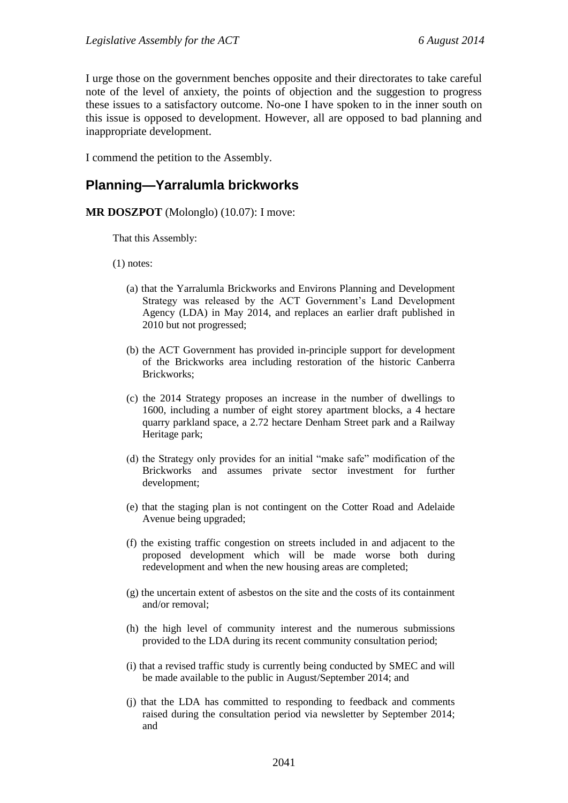I urge those on the government benches opposite and their directorates to take careful note of the level of anxiety, the points of objection and the suggestion to progress these issues to a satisfactory outcome. No-one I have spoken to in the inner south on this issue is opposed to development. However, all are opposed to bad planning and inappropriate development.

I commend the petition to the Assembly.

#### <span id="page-4-0"></span>**Planning—Yarralumla brickworks**

#### **MR DOSZPOT** (Molonglo) (10.07): I move:

That this Assembly:

(1) notes:

- (a) that the Yarralumla Brickworks and Environs Planning and Development Strategy was released by the ACT Government's Land Development Agency (LDA) in May 2014, and replaces an earlier draft published in 2010 but not progressed;
- (b) the ACT Government has provided in-principle support for development of the Brickworks area including restoration of the historic Canberra Brickworks;
- (c) the 2014 Strategy proposes an increase in the number of dwellings to 1600, including a number of eight storey apartment blocks, a 4 hectare quarry parkland space, a 2.72 hectare Denham Street park and a Railway Heritage park;
- (d) the Strategy only provides for an initial "make safe" modification of the Brickworks and assumes private sector investment for further development;
- (e) that the staging plan is not contingent on the Cotter Road and Adelaide Avenue being upgraded;
- (f) the existing traffic congestion on streets included in and adjacent to the proposed development which will be made worse both during redevelopment and when the new housing areas are completed;
- (g) the uncertain extent of asbestos on the site and the costs of its containment and/or removal;
- (h) the high level of community interest and the numerous submissions provided to the LDA during its recent community consultation period;
- (i) that a revised traffic study is currently being conducted by SMEC and will be made available to the public in August/September 2014; and
- (j) that the LDA has committed to responding to feedback and comments raised during the consultation period via newsletter by September 2014; and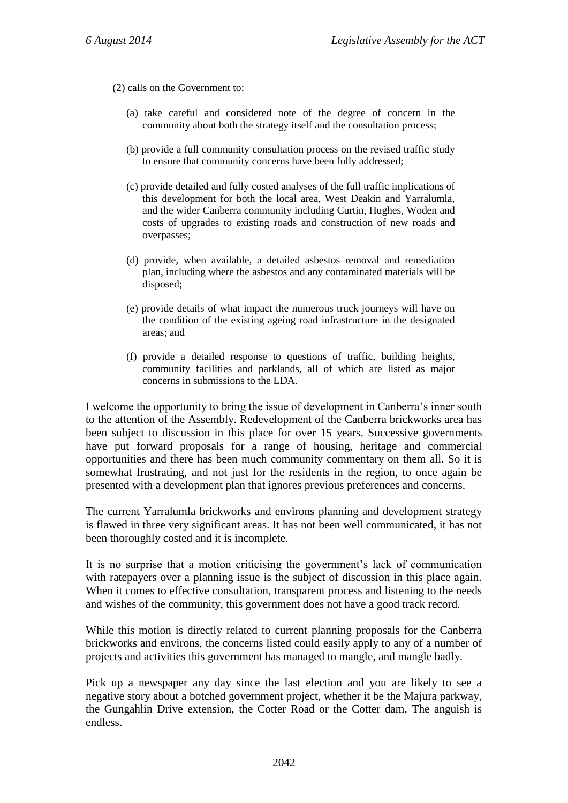(2) calls on the Government to:

- (a) take careful and considered note of the degree of concern in the community about both the strategy itself and the consultation process;
- (b) provide a full community consultation process on the revised traffic study to ensure that community concerns have been fully addressed;
- (c) provide detailed and fully costed analyses of the full traffic implications of this development for both the local area, West Deakin and Yarralumla, and the wider Canberra community including Curtin, Hughes, Woden and costs of upgrades to existing roads and construction of new roads and overpasses;
- (d) provide, when available, a detailed asbestos removal and remediation plan, including where the asbestos and any contaminated materials will be disposed;
- (e) provide details of what impact the numerous truck journeys will have on the condition of the existing ageing road infrastructure in the designated areas; and
- (f) provide a detailed response to questions of traffic, building heights, community facilities and parklands, all of which are listed as major concerns in submissions to the LDA.

I welcome the opportunity to bring the issue of development in Canberra's inner south to the attention of the Assembly. Redevelopment of the Canberra brickworks area has been subject to discussion in this place for over 15 years. Successive governments have put forward proposals for a range of housing, heritage and commercial opportunities and there has been much community commentary on them all. So it is somewhat frustrating, and not just for the residents in the region, to once again be presented with a development plan that ignores previous preferences and concerns.

The current Yarralumla brickworks and environs planning and development strategy is flawed in three very significant areas. It has not been well communicated, it has not been thoroughly costed and it is incomplete.

It is no surprise that a motion criticising the government's lack of communication with ratepayers over a planning issue is the subject of discussion in this place again. When it comes to effective consultation, transparent process and listening to the needs and wishes of the community, this government does not have a good track record.

While this motion is directly related to current planning proposals for the Canberra brickworks and environs, the concerns listed could easily apply to any of a number of projects and activities this government has managed to mangle, and mangle badly.

Pick up a newspaper any day since the last election and you are likely to see a negative story about a botched government project, whether it be the Majura parkway, the Gungahlin Drive extension, the Cotter Road or the Cotter dam. The anguish is endless.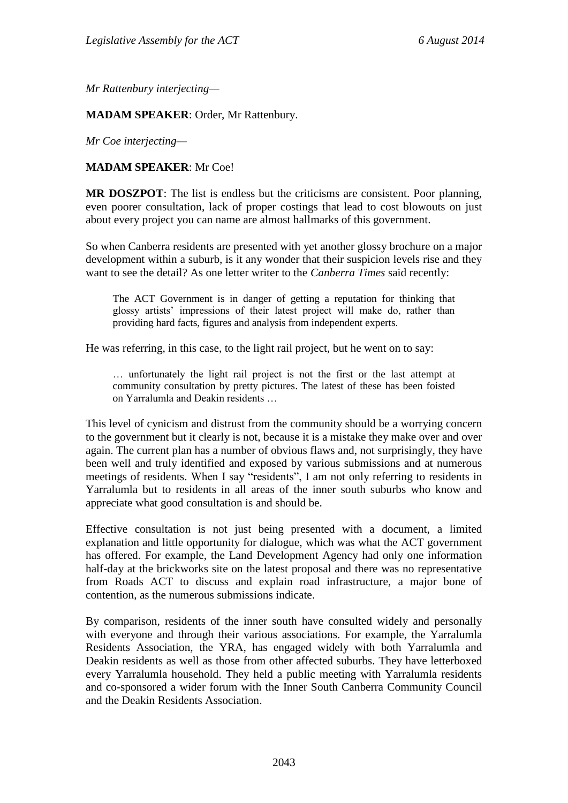*Mr Rattenbury interjecting—*

**MADAM SPEAKER**: Order, Mr Rattenbury.

*Mr Coe interjecting—*

#### **MADAM SPEAKER**: Mr Coe!

**MR DOSZPOT**: The list is endless but the criticisms are consistent. Poor planning, even poorer consultation, lack of proper costings that lead to cost blowouts on just about every project you can name are almost hallmarks of this government.

So when Canberra residents are presented with yet another glossy brochure on a major development within a suburb, is it any wonder that their suspicion levels rise and they want to see the detail? As one letter writer to the *Canberra Times* said recently:

The ACT Government is in danger of getting a reputation for thinking that glossy artists' impressions of their latest project will make do, rather than providing hard facts, figures and analysis from independent experts.

He was referring, in this case, to the light rail project, but he went on to say:

… unfortunately the light rail project is not the first or the last attempt at community consultation by pretty pictures. The latest of these has been foisted on Yarralumla and Deakin residents …

This level of cynicism and distrust from the community should be a worrying concern to the government but it clearly is not, because it is a mistake they make over and over again. The current plan has a number of obvious flaws and, not surprisingly, they have been well and truly identified and exposed by various submissions and at numerous meetings of residents. When I say "residents", I am not only referring to residents in Yarralumla but to residents in all areas of the inner south suburbs who know and appreciate what good consultation is and should be.

Effective consultation is not just being presented with a document, a limited explanation and little opportunity for dialogue, which was what the ACT government has offered. For example, the Land Development Agency had only one information half-day at the brickworks site on the latest proposal and there was no representative from Roads ACT to discuss and explain road infrastructure, a major bone of contention, as the numerous submissions indicate.

By comparison, residents of the inner south have consulted widely and personally with everyone and through their various associations. For example, the Yarralumla Residents Association, the YRA, has engaged widely with both Yarralumla and Deakin residents as well as those from other affected suburbs. They have letterboxed every Yarralumla household. They held a public meeting with Yarralumla residents and co-sponsored a wider forum with the Inner South Canberra Community Council and the Deakin Residents Association.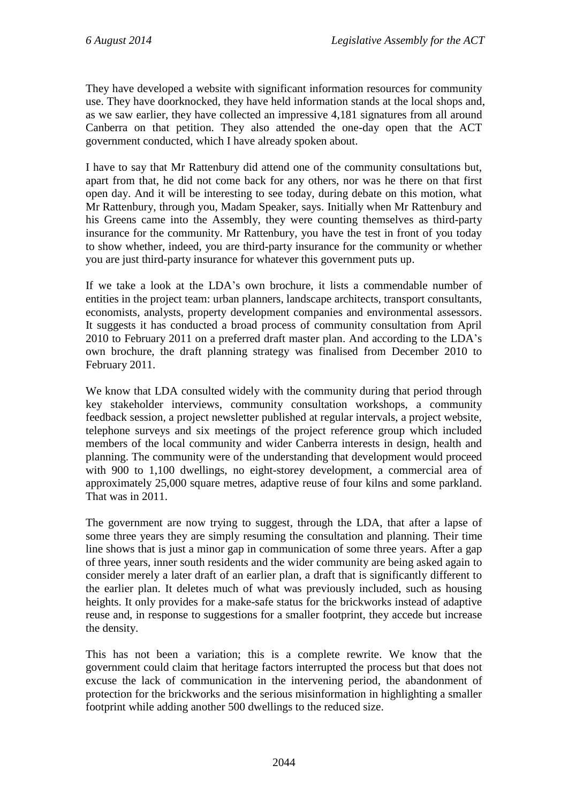They have developed a website with significant information resources for community use. They have doorknocked, they have held information stands at the local shops and, as we saw earlier, they have collected an impressive 4,181 signatures from all around Canberra on that petition. They also attended the one-day open that the ACT government conducted, which I have already spoken about.

I have to say that Mr Rattenbury did attend one of the community consultations but, apart from that, he did not come back for any others, nor was he there on that first open day. And it will be interesting to see today, during debate on this motion, what Mr Rattenbury, through you, Madam Speaker, says. Initially when Mr Rattenbury and his Greens came into the Assembly, they were counting themselves as third-party insurance for the community. Mr Rattenbury, you have the test in front of you today to show whether, indeed, you are third-party insurance for the community or whether you are just third-party insurance for whatever this government puts up.

If we take a look at the LDA's own brochure, it lists a commendable number of entities in the project team: urban planners, landscape architects, transport consultants, economists, analysts, property development companies and environmental assessors. It suggests it has conducted a broad process of community consultation from April 2010 to February 2011 on a preferred draft master plan. And according to the LDA's own brochure, the draft planning strategy was finalised from December 2010 to February 2011.

We know that LDA consulted widely with the community during that period through key stakeholder interviews, community consultation workshops, a community feedback session, a project newsletter published at regular intervals, a project website, telephone surveys and six meetings of the project reference group which included members of the local community and wider Canberra interests in design, health and planning. The community were of the understanding that development would proceed with 900 to 1,100 dwellings, no eight-storey development, a commercial area of approximately 25,000 square metres, adaptive reuse of four kilns and some parkland. That was in 2011.

The government are now trying to suggest, through the LDA, that after a lapse of some three years they are simply resuming the consultation and planning. Their time line shows that is just a minor gap in communication of some three years. After a gap of three years, inner south residents and the wider community are being asked again to consider merely a later draft of an earlier plan, a draft that is significantly different to the earlier plan. It deletes much of what was previously included, such as housing heights. It only provides for a make-safe status for the brickworks instead of adaptive reuse and, in response to suggestions for a smaller footprint, they accede but increase the density.

This has not been a variation; this is a complete rewrite. We know that the government could claim that heritage factors interrupted the process but that does not excuse the lack of communication in the intervening period, the abandonment of protection for the brickworks and the serious misinformation in highlighting a smaller footprint while adding another 500 dwellings to the reduced size.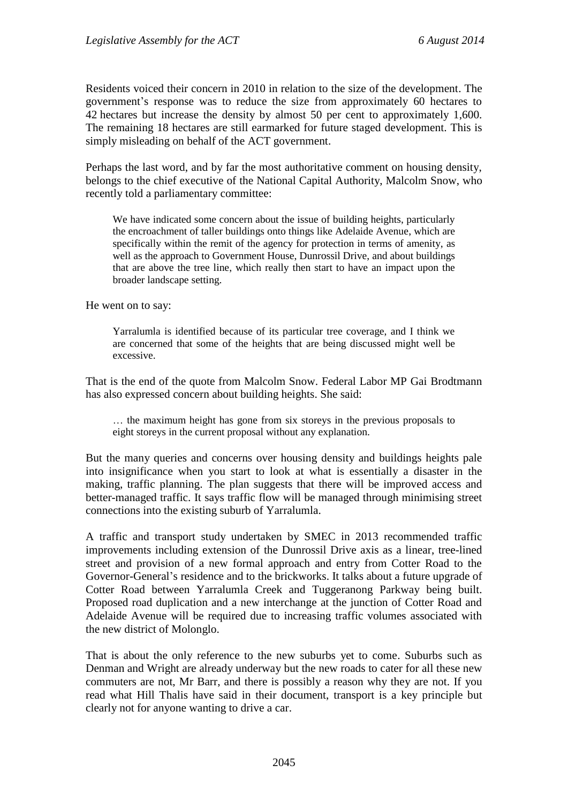Residents voiced their concern in 2010 in relation to the size of the development. The government's response was to reduce the size from approximately 60 hectares to 42 hectares but increase the density by almost 50 per cent to approximately 1,600. The remaining 18 hectares are still earmarked for future staged development. This is simply misleading on behalf of the ACT government.

Perhaps the last word, and by far the most authoritative comment on housing density, belongs to the chief executive of the National Capital Authority, Malcolm Snow, who recently told a parliamentary committee:

We have indicated some concern about the issue of building heights, particularly the encroachment of taller buildings onto things like Adelaide Avenue, which are specifically within the remit of the agency for protection in terms of amenity, as well as the approach to Government House, Dunrossil Drive, and about buildings that are above the tree line, which really then start to have an impact upon the broader landscape setting.

He went on to say:

Yarralumla is identified because of its particular tree coverage, and I think we are concerned that some of the heights that are being discussed might well be excessive.

That is the end of the quote from Malcolm Snow. Federal Labor MP Gai Brodtmann has also expressed concern about building heights. She said:

… the maximum height has gone from six storeys in the previous proposals to eight storeys in the current proposal without any explanation.

But the many queries and concerns over housing density and buildings heights pale into insignificance when you start to look at what is essentially a disaster in the making, traffic planning. The plan suggests that there will be improved access and better-managed traffic. It says traffic flow will be managed through minimising street connections into the existing suburb of Yarralumla.

A traffic and transport study undertaken by SMEC in 2013 recommended traffic improvements including extension of the Dunrossil Drive axis as a linear, tree-lined street and provision of a new formal approach and entry from Cotter Road to the Governor-General's residence and to the brickworks. It talks about a future upgrade of Cotter Road between Yarralumla Creek and Tuggeranong Parkway being built. Proposed road duplication and a new interchange at the junction of Cotter Road and Adelaide Avenue will be required due to increasing traffic volumes associated with the new district of Molonglo.

That is about the only reference to the new suburbs yet to come. Suburbs such as Denman and Wright are already underway but the new roads to cater for all these new commuters are not, Mr Barr, and there is possibly a reason why they are not. If you read what Hill Thalis have said in their document, transport is a key principle but clearly not for anyone wanting to drive a car.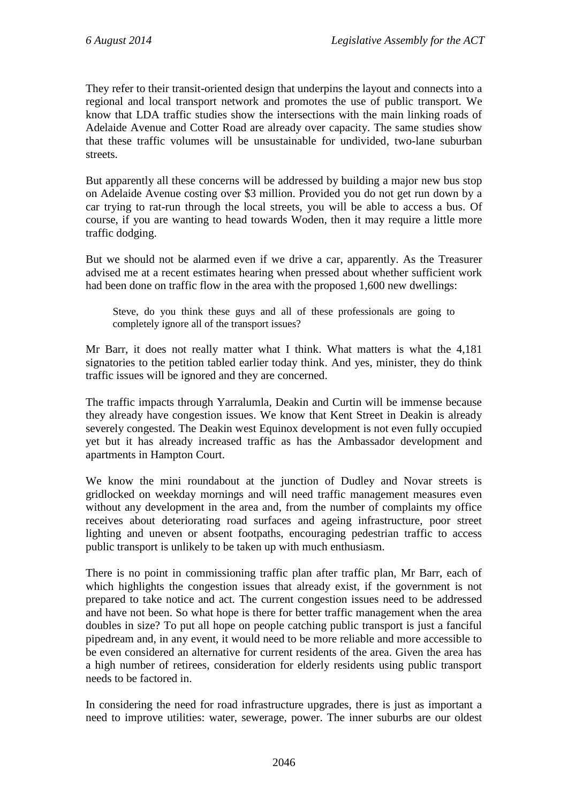They refer to their transit-oriented design that underpins the layout and connects into a regional and local transport network and promotes the use of public transport. We know that LDA traffic studies show the intersections with the main linking roads of Adelaide Avenue and Cotter Road are already over capacity. The same studies show that these traffic volumes will be unsustainable for undivided, two-lane suburban streets.

But apparently all these concerns will be addressed by building a major new bus stop on Adelaide Avenue costing over \$3 million. Provided you do not get run down by a car trying to rat-run through the local streets, you will be able to access a bus. Of course, if you are wanting to head towards Woden, then it may require a little more traffic dodging.

But we should not be alarmed even if we drive a car, apparently. As the Treasurer advised me at a recent estimates hearing when pressed about whether sufficient work had been done on traffic flow in the area with the proposed 1,600 new dwellings:

Steve, do you think these guys and all of these professionals are going to completely ignore all of the transport issues?

Mr Barr, it does not really matter what I think. What matters is what the 4,181 signatories to the petition tabled earlier today think. And yes, minister, they do think traffic issues will be ignored and they are concerned.

The traffic impacts through Yarralumla, Deakin and Curtin will be immense because they already have congestion issues. We know that Kent Street in Deakin is already severely congested. The Deakin west Equinox development is not even fully occupied yet but it has already increased traffic as has the Ambassador development and apartments in Hampton Court.

We know the mini roundabout at the junction of Dudley and Novar streets is gridlocked on weekday mornings and will need traffic management measures even without any development in the area and, from the number of complaints my office receives about deteriorating road surfaces and ageing infrastructure, poor street lighting and uneven or absent footpaths, encouraging pedestrian traffic to access public transport is unlikely to be taken up with much enthusiasm.

There is no point in commissioning traffic plan after traffic plan, Mr Barr, each of which highlights the congestion issues that already exist, if the government is not prepared to take notice and act. The current congestion issues need to be addressed and have not been. So what hope is there for better traffic management when the area doubles in size? To put all hope on people catching public transport is just a fanciful pipedream and, in any event, it would need to be more reliable and more accessible to be even considered an alternative for current residents of the area. Given the area has a high number of retirees, consideration for elderly residents using public transport needs to be factored in.

In considering the need for road infrastructure upgrades, there is just as important a need to improve utilities: water, sewerage, power. The inner suburbs are our oldest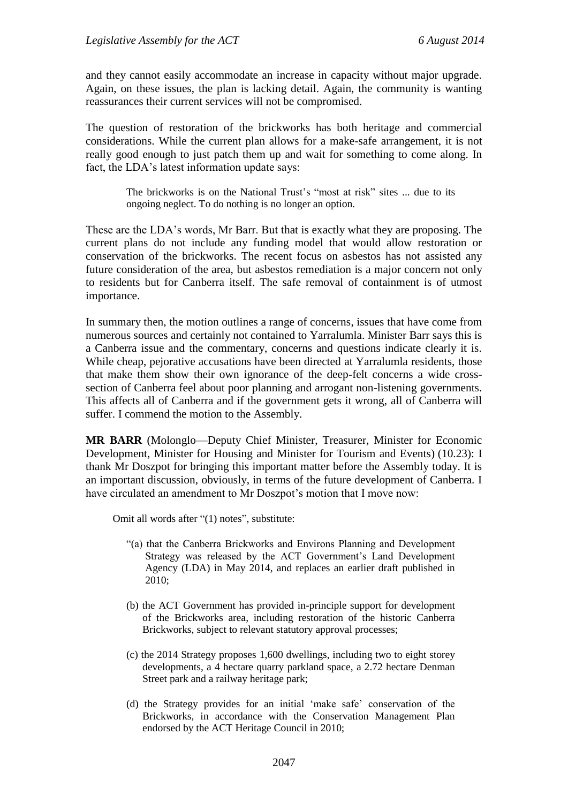and they cannot easily accommodate an increase in capacity without major upgrade. Again, on these issues, the plan is lacking detail. Again, the community is wanting reassurances their current services will not be compromised.

The question of restoration of the brickworks has both heritage and commercial considerations. While the current plan allows for a make-safe arrangement, it is not really good enough to just patch them up and wait for something to come along. In fact, the LDA's latest information update says:

> The brickworks is on the National Trust's "most at risk" sites ... due to its ongoing neglect. To do nothing is no longer an option.

These are the LDA's words, Mr Barr. But that is exactly what they are proposing. The current plans do not include any funding model that would allow restoration or conservation of the brickworks. The recent focus on asbestos has not assisted any future consideration of the area, but asbestos remediation is a major concern not only to residents but for Canberra itself. The safe removal of containment is of utmost importance.

In summary then, the motion outlines a range of concerns, issues that have come from numerous sources and certainly not contained to Yarralumla. Minister Barr says this is a Canberra issue and the commentary, concerns and questions indicate clearly it is. While cheap, pejorative accusations have been directed at Yarralumla residents, those that make them show their own ignorance of the deep-felt concerns a wide crosssection of Canberra feel about poor planning and arrogant non-listening governments. This affects all of Canberra and if the government gets it wrong, all of Canberra will suffer. I commend the motion to the Assembly.

**MR BARR** (Molonglo—Deputy Chief Minister, Treasurer, Minister for Economic Development, Minister for Housing and Minister for Tourism and Events) (10.23): I thank Mr Doszpot for bringing this important matter before the Assembly today. It is an important discussion, obviously, in terms of the future development of Canberra. I have circulated an amendment to Mr Doszpot's motion that I move now:

Omit all words after "(1) notes", substitute:

- "(a) that the Canberra Brickworks and Environs Planning and Development Strategy was released by the ACT Government's Land Development Agency (LDA) in May 2014, and replaces an earlier draft published in 2010;
- (b) the ACT Government has provided in-principle support for development of the Brickworks area, including restoration of the historic Canberra Brickworks, subject to relevant statutory approval processes;
- (c) the 2014 Strategy proposes 1,600 dwellings, including two to eight storey developments, a 4 hectare quarry parkland space, a 2.72 hectare Denman Street park and a railway heritage park;
- (d) the Strategy provides for an initial 'make safe' conservation of the Brickworks, in accordance with the Conservation Management Plan endorsed by the ACT Heritage Council in 2010;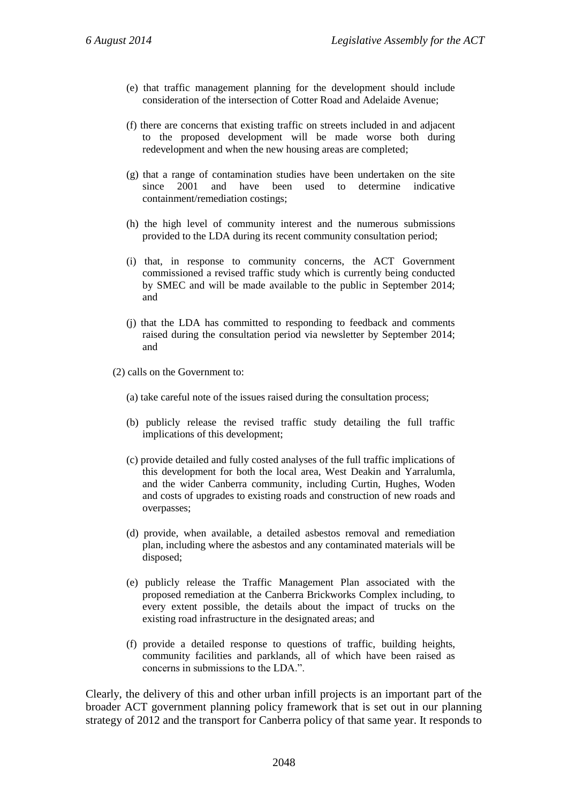- (e) that traffic management planning for the development should include consideration of the intersection of Cotter Road and Adelaide Avenue;
- (f) there are concerns that existing traffic on streets included in and adjacent to the proposed development will be made worse both during redevelopment and when the new housing areas are completed;
- (g) that a range of contamination studies have been undertaken on the site since 2001 and have been used to determine indicative containment/remediation costings;
- (h) the high level of community interest and the numerous submissions provided to the LDA during its recent community consultation period;
- (i) that, in response to community concerns, the ACT Government commissioned a revised traffic study which is currently being conducted by SMEC and will be made available to the public in September 2014; and
- (j) that the LDA has committed to responding to feedback and comments raised during the consultation period via newsletter by September 2014; and
- (2) calls on the Government to:
	- (a) take careful note of the issues raised during the consultation process;
	- (b) publicly release the revised traffic study detailing the full traffic implications of this development;
	- (c) provide detailed and fully costed analyses of the full traffic implications of this development for both the local area, West Deakin and Yarralumla, and the wider Canberra community, including Curtin, Hughes, Woden and costs of upgrades to existing roads and construction of new roads and overpasses;
	- (d) provide, when available, a detailed asbestos removal and remediation plan, including where the asbestos and any contaminated materials will be disposed;
	- (e) publicly release the Traffic Management Plan associated with the proposed remediation at the Canberra Brickworks Complex including, to every extent possible, the details about the impact of trucks on the existing road infrastructure in the designated areas; and
	- (f) provide a detailed response to questions of traffic, building heights, community facilities and parklands, all of which have been raised as concerns in submissions to the LDA.".

Clearly, the delivery of this and other urban infill projects is an important part of the broader ACT government planning policy framework that is set out in our planning strategy of 2012 and the transport for Canberra policy of that same year. It responds to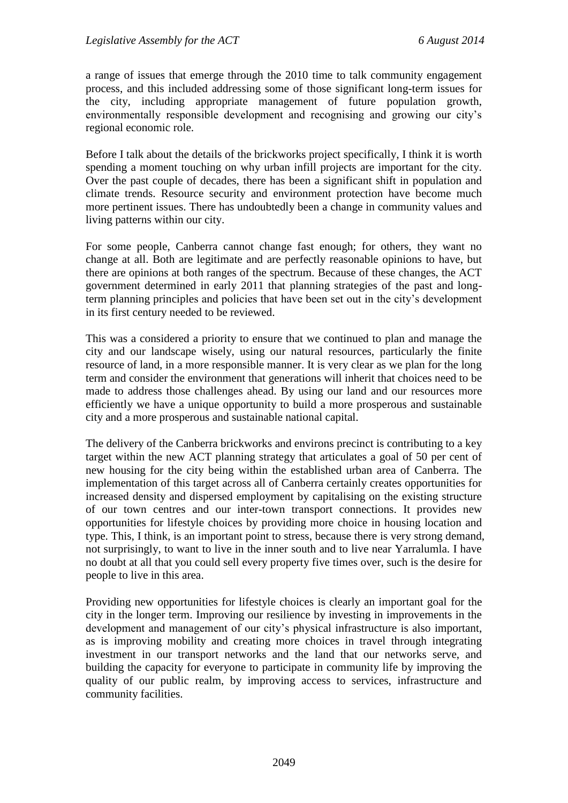a range of issues that emerge through the 2010 time to talk community engagement process, and this included addressing some of those significant long-term issues for the city, including appropriate management of future population growth, environmentally responsible development and recognising and growing our city's regional economic role.

Before I talk about the details of the brickworks project specifically, I think it is worth spending a moment touching on why urban infill projects are important for the city. Over the past couple of decades, there has been a significant shift in population and climate trends. Resource security and environment protection have become much more pertinent issues. There has undoubtedly been a change in community values and living patterns within our city.

For some people, Canberra cannot change fast enough; for others, they want no change at all. Both are legitimate and are perfectly reasonable opinions to have, but there are opinions at both ranges of the spectrum. Because of these changes, the ACT government determined in early 2011 that planning strategies of the past and longterm planning principles and policies that have been set out in the city's development in its first century needed to be reviewed.

This was a considered a priority to ensure that we continued to plan and manage the city and our landscape wisely, using our natural resources, particularly the finite resource of land, in a more responsible manner. It is very clear as we plan for the long term and consider the environment that generations will inherit that choices need to be made to address those challenges ahead. By using our land and our resources more efficiently we have a unique opportunity to build a more prosperous and sustainable city and a more prosperous and sustainable national capital.

The delivery of the Canberra brickworks and environs precinct is contributing to a key target within the new ACT planning strategy that articulates a goal of 50 per cent of new housing for the city being within the established urban area of Canberra. The implementation of this target across all of Canberra certainly creates opportunities for increased density and dispersed employment by capitalising on the existing structure of our town centres and our inter-town transport connections. It provides new opportunities for lifestyle choices by providing more choice in housing location and type. This, I think, is an important point to stress, because there is very strong demand, not surprisingly, to want to live in the inner south and to live near Yarralumla. I have no doubt at all that you could sell every property five times over, such is the desire for people to live in this area.

Providing new opportunities for lifestyle choices is clearly an important goal for the city in the longer term. Improving our resilience by investing in improvements in the development and management of our city's physical infrastructure is also important, as is improving mobility and creating more choices in travel through integrating investment in our transport networks and the land that our networks serve, and building the capacity for everyone to participate in community life by improving the quality of our public realm, by improving access to services, infrastructure and community facilities.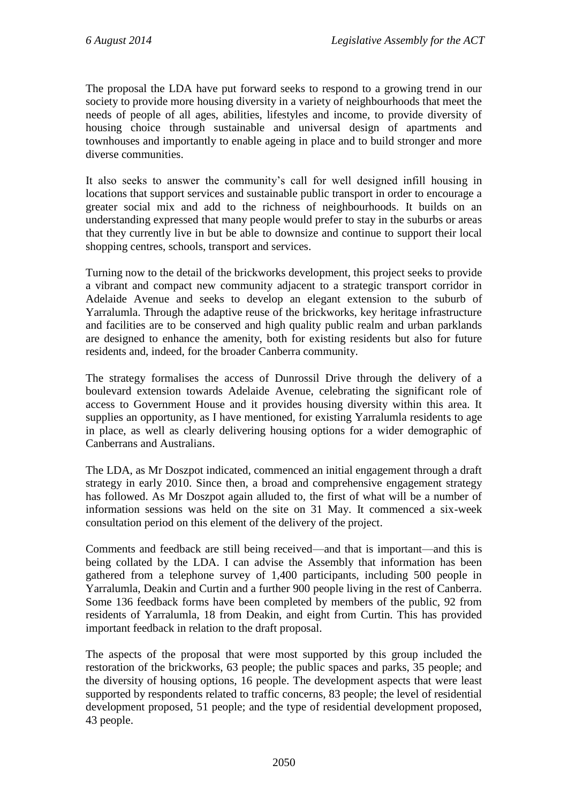The proposal the LDA have put forward seeks to respond to a growing trend in our society to provide more housing diversity in a variety of neighbourhoods that meet the needs of people of all ages, abilities, lifestyles and income, to provide diversity of housing choice through sustainable and universal design of apartments and townhouses and importantly to enable ageing in place and to build stronger and more diverse communities.

It also seeks to answer the community's call for well designed infill housing in locations that support services and sustainable public transport in order to encourage a greater social mix and add to the richness of neighbourhoods. It builds on an understanding expressed that many people would prefer to stay in the suburbs or areas that they currently live in but be able to downsize and continue to support their local shopping centres, schools, transport and services.

Turning now to the detail of the brickworks development, this project seeks to provide a vibrant and compact new community adjacent to a strategic transport corridor in Adelaide Avenue and seeks to develop an elegant extension to the suburb of Yarralumla. Through the adaptive reuse of the brickworks, key heritage infrastructure and facilities are to be conserved and high quality public realm and urban parklands are designed to enhance the amenity, both for existing residents but also for future residents and, indeed, for the broader Canberra community.

The strategy formalises the access of Dunrossil Drive through the delivery of a boulevard extension towards Adelaide Avenue, celebrating the significant role of access to Government House and it provides housing diversity within this area. It supplies an opportunity, as I have mentioned, for existing Yarralumla residents to age in place, as well as clearly delivering housing options for a wider demographic of Canberrans and Australians.

The LDA, as Mr Doszpot indicated, commenced an initial engagement through a draft strategy in early 2010. Since then, a broad and comprehensive engagement strategy has followed. As Mr Doszpot again alluded to, the first of what will be a number of information sessions was held on the site on 31 May. It commenced a six-week consultation period on this element of the delivery of the project.

Comments and feedback are still being received—and that is important—and this is being collated by the LDA. I can advise the Assembly that information has been gathered from a telephone survey of 1,400 participants, including 500 people in Yarralumla, Deakin and Curtin and a further 900 people living in the rest of Canberra. Some 136 feedback forms have been completed by members of the public, 92 from residents of Yarralumla, 18 from Deakin, and eight from Curtin. This has provided important feedback in relation to the draft proposal.

The aspects of the proposal that were most supported by this group included the restoration of the brickworks, 63 people; the public spaces and parks, 35 people; and the diversity of housing options, 16 people. The development aspects that were least supported by respondents related to traffic concerns, 83 people; the level of residential development proposed, 51 people; and the type of residential development proposed, 43 people.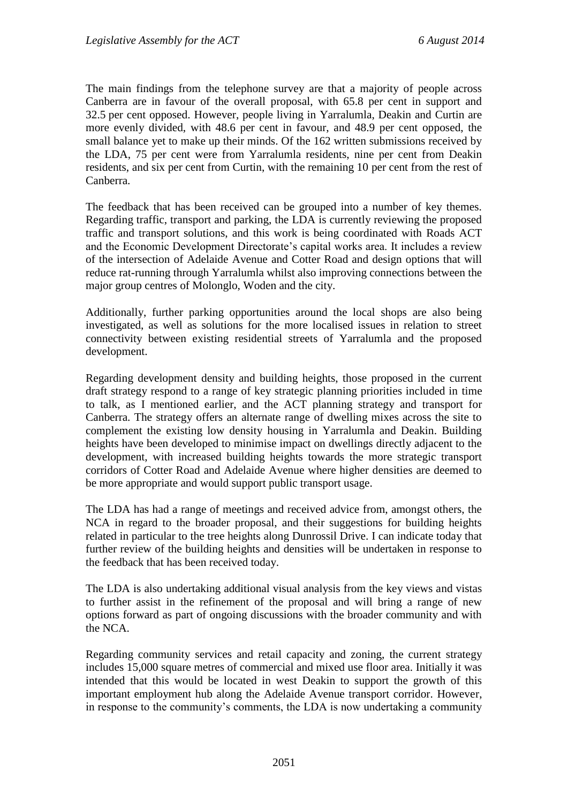The main findings from the telephone survey are that a majority of people across Canberra are in favour of the overall proposal, with 65.8 per cent in support and 32.5 per cent opposed. However, people living in Yarralumla, Deakin and Curtin are more evenly divided, with 48.6 per cent in favour, and 48.9 per cent opposed, the small balance yet to make up their minds. Of the 162 written submissions received by the LDA, 75 per cent were from Yarralumla residents, nine per cent from Deakin residents, and six per cent from Curtin, with the remaining 10 per cent from the rest of Canberra.

The feedback that has been received can be grouped into a number of key themes. Regarding traffic, transport and parking, the LDA is currently reviewing the proposed traffic and transport solutions, and this work is being coordinated with Roads ACT and the Economic Development Directorate's capital works area. It includes a review of the intersection of Adelaide Avenue and Cotter Road and design options that will reduce rat-running through Yarralumla whilst also improving connections between the major group centres of Molonglo, Woden and the city.

Additionally, further parking opportunities around the local shops are also being investigated, as well as solutions for the more localised issues in relation to street connectivity between existing residential streets of Yarralumla and the proposed development.

Regarding development density and building heights, those proposed in the current draft strategy respond to a range of key strategic planning priorities included in time to talk, as I mentioned earlier, and the ACT planning strategy and transport for Canberra. The strategy offers an alternate range of dwelling mixes across the site to complement the existing low density housing in Yarralumla and Deakin. Building heights have been developed to minimise impact on dwellings directly adjacent to the development, with increased building heights towards the more strategic transport corridors of Cotter Road and Adelaide Avenue where higher densities are deemed to be more appropriate and would support public transport usage.

The LDA has had a range of meetings and received advice from, amongst others, the NCA in regard to the broader proposal, and their suggestions for building heights related in particular to the tree heights along Dunrossil Drive. I can indicate today that further review of the building heights and densities will be undertaken in response to the feedback that has been received today.

The LDA is also undertaking additional visual analysis from the key views and vistas to further assist in the refinement of the proposal and will bring a range of new options forward as part of ongoing discussions with the broader community and with the NCA.

Regarding community services and retail capacity and zoning, the current strategy includes 15,000 square metres of commercial and mixed use floor area. Initially it was intended that this would be located in west Deakin to support the growth of this important employment hub along the Adelaide Avenue transport corridor. However, in response to the community's comments, the LDA is now undertaking a community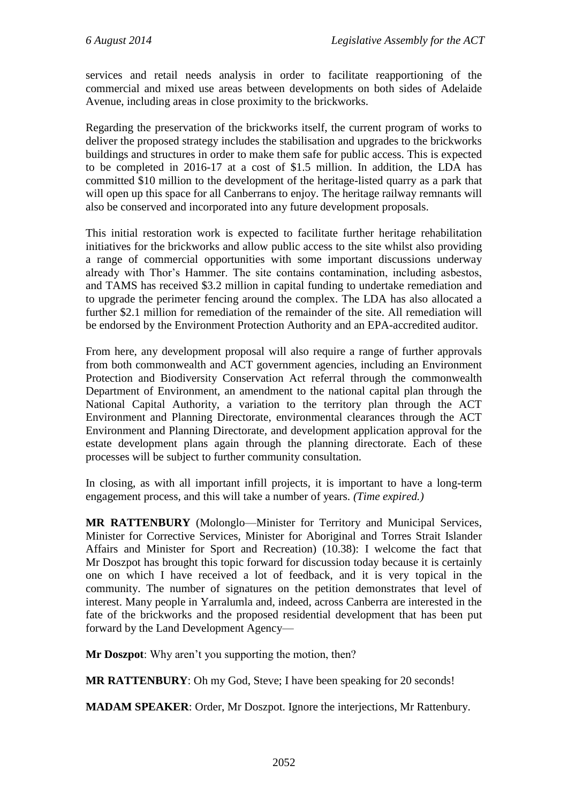services and retail needs analysis in order to facilitate reapportioning of the commercial and mixed use areas between developments on both sides of Adelaide Avenue, including areas in close proximity to the brickworks.

Regarding the preservation of the brickworks itself, the current program of works to deliver the proposed strategy includes the stabilisation and upgrades to the brickworks buildings and structures in order to make them safe for public access. This is expected to be completed in 2016-17 at a cost of \$1.5 million. In addition, the LDA has committed \$10 million to the development of the heritage-listed quarry as a park that will open up this space for all Canberrans to enjoy. The heritage railway remnants will also be conserved and incorporated into any future development proposals.

This initial restoration work is expected to facilitate further heritage rehabilitation initiatives for the brickworks and allow public access to the site whilst also providing a range of commercial opportunities with some important discussions underway already with Thor's Hammer. The site contains contamination, including asbestos, and TAMS has received \$3.2 million in capital funding to undertake remediation and to upgrade the perimeter fencing around the complex. The LDA has also allocated a further \$2.1 million for remediation of the remainder of the site. All remediation will be endorsed by the Environment Protection Authority and an EPA-accredited auditor.

From here, any development proposal will also require a range of further approvals from both commonwealth and ACT government agencies, including an Environment Protection and Biodiversity Conservation Act referral through the commonwealth Department of Environment, an amendment to the national capital plan through the National Capital Authority, a variation to the territory plan through the ACT Environment and Planning Directorate, environmental clearances through the ACT Environment and Planning Directorate, and development application approval for the estate development plans again through the planning directorate. Each of these processes will be subject to further community consultation.

In closing, as with all important infill projects, it is important to have a long-term engagement process, and this will take a number of years. *(Time expired.)*

**MR RATTENBURY** (Molonglo—Minister for Territory and Municipal Services, Minister for Corrective Services, Minister for Aboriginal and Torres Strait Islander Affairs and Minister for Sport and Recreation) (10.38): I welcome the fact that Mr Doszpot has brought this topic forward for discussion today because it is certainly one on which I have received a lot of feedback, and it is very topical in the community. The number of signatures on the petition demonstrates that level of interest. Many people in Yarralumla and, indeed, across Canberra are interested in the fate of the brickworks and the proposed residential development that has been put forward by the Land Development Agency—

**Mr Doszpot**: Why aren't you supporting the motion, then?

**MR RATTENBURY**: Oh my God, Steve; I have been speaking for 20 seconds!

**MADAM SPEAKER**: Order, Mr Doszpot. Ignore the interjections, Mr Rattenbury.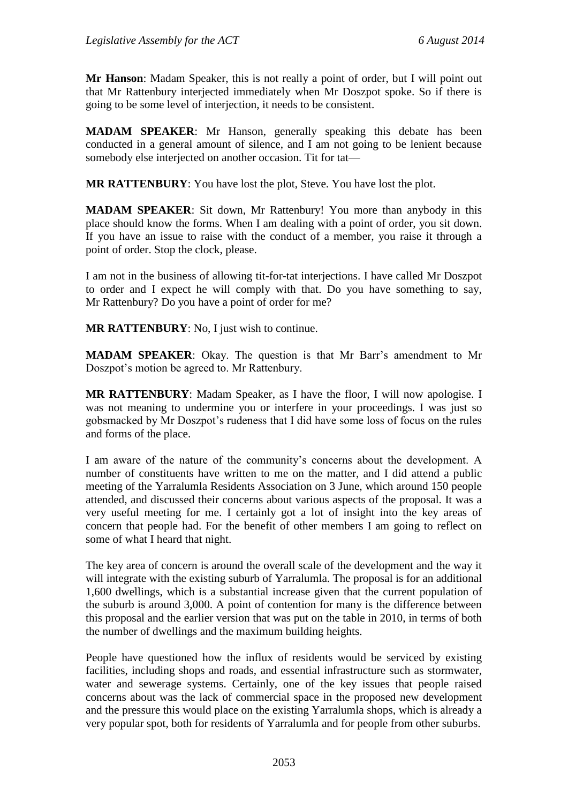**Mr Hanson**: Madam Speaker, this is not really a point of order, but I will point out that Mr Rattenbury interjected immediately when Mr Doszpot spoke. So if there is going to be some level of interjection, it needs to be consistent.

**MADAM SPEAKER**: Mr Hanson, generally speaking this debate has been conducted in a general amount of silence, and I am not going to be lenient because somebody else interjected on another occasion. Tit for tat—

**MR RATTENBURY**: You have lost the plot, Steve. You have lost the plot.

**MADAM SPEAKER**: Sit down, Mr Rattenbury! You more than anybody in this place should know the forms. When I am dealing with a point of order, you sit down. If you have an issue to raise with the conduct of a member, you raise it through a point of order. Stop the clock, please.

I am not in the business of allowing tit-for-tat interjections. I have called Mr Doszpot to order and I expect he will comply with that. Do you have something to say, Mr Rattenbury? Do you have a point of order for me?

**MR RATTENBURY**: No, I just wish to continue.

**MADAM SPEAKER**: Okay. The question is that Mr Barr's amendment to Mr Doszpot's motion be agreed to. Mr Rattenbury.

**MR RATTENBURY**: Madam Speaker, as I have the floor, I will now apologise. I was not meaning to undermine you or interfere in your proceedings. I was just so gobsmacked by Mr Doszpot's rudeness that I did have some loss of focus on the rules and forms of the place.

I am aware of the nature of the community's concerns about the development. A number of constituents have written to me on the matter, and I did attend a public meeting of the Yarralumla Residents Association on 3 June, which around 150 people attended, and discussed their concerns about various aspects of the proposal. It was a very useful meeting for me. I certainly got a lot of insight into the key areas of concern that people had. For the benefit of other members I am going to reflect on some of what I heard that night.

The key area of concern is around the overall scale of the development and the way it will integrate with the existing suburb of Yarralumla. The proposal is for an additional 1,600 dwellings, which is a substantial increase given that the current population of the suburb is around 3,000. A point of contention for many is the difference between this proposal and the earlier version that was put on the table in 2010, in terms of both the number of dwellings and the maximum building heights.

People have questioned how the influx of residents would be serviced by existing facilities, including shops and roads, and essential infrastructure such as stormwater, water and sewerage systems. Certainly, one of the key issues that people raised concerns about was the lack of commercial space in the proposed new development and the pressure this would place on the existing Yarralumla shops, which is already a very popular spot, both for residents of Yarralumla and for people from other suburbs.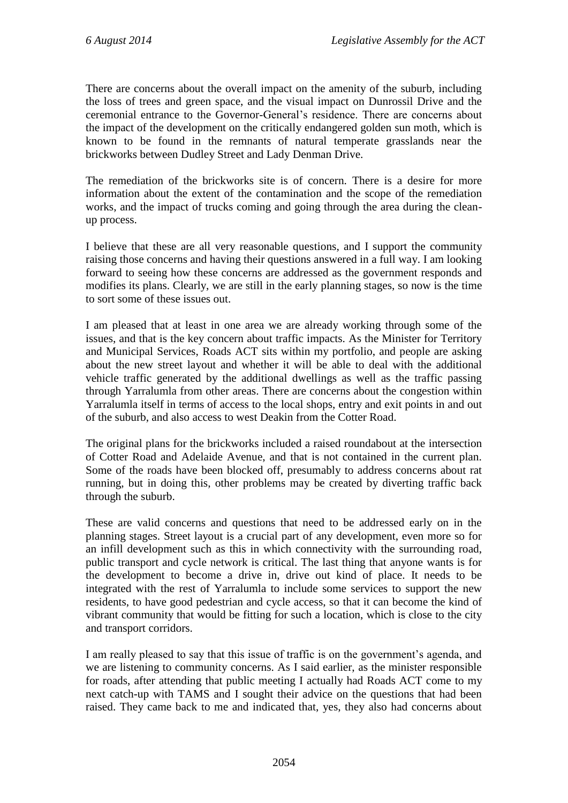There are concerns about the overall impact on the amenity of the suburb, including the loss of trees and green space, and the visual impact on Dunrossil Drive and the ceremonial entrance to the Governor-General's residence. There are concerns about the impact of the development on the critically endangered golden sun moth, which is known to be found in the remnants of natural temperate grasslands near the brickworks between Dudley Street and Lady Denman Drive.

The remediation of the brickworks site is of concern. There is a desire for more information about the extent of the contamination and the scope of the remediation works, and the impact of trucks coming and going through the area during the cleanup process.

I believe that these are all very reasonable questions, and I support the community raising those concerns and having their questions answered in a full way. I am looking forward to seeing how these concerns are addressed as the government responds and modifies its plans. Clearly, we are still in the early planning stages, so now is the time to sort some of these issues out.

I am pleased that at least in one area we are already working through some of the issues, and that is the key concern about traffic impacts. As the Minister for Territory and Municipal Services, Roads ACT sits within my portfolio, and people are asking about the new street layout and whether it will be able to deal with the additional vehicle traffic generated by the additional dwellings as well as the traffic passing through Yarralumla from other areas. There are concerns about the congestion within Yarralumla itself in terms of access to the local shops, entry and exit points in and out of the suburb, and also access to west Deakin from the Cotter Road.

The original plans for the brickworks included a raised roundabout at the intersection of Cotter Road and Adelaide Avenue, and that is not contained in the current plan. Some of the roads have been blocked off, presumably to address concerns about rat running, but in doing this, other problems may be created by diverting traffic back through the suburb.

These are valid concerns and questions that need to be addressed early on in the planning stages. Street layout is a crucial part of any development, even more so for an infill development such as this in which connectivity with the surrounding road, public transport and cycle network is critical. The last thing that anyone wants is for the development to become a drive in, drive out kind of place. It needs to be integrated with the rest of Yarralumla to include some services to support the new residents, to have good pedestrian and cycle access, so that it can become the kind of vibrant community that would be fitting for such a location, which is close to the city and transport corridors.

I am really pleased to say that this issue of traffic is on the government's agenda, and we are listening to community concerns. As I said earlier, as the minister responsible for roads, after attending that public meeting I actually had Roads ACT come to my next catch-up with TAMS and I sought their advice on the questions that had been raised. They came back to me and indicated that, yes, they also had concerns about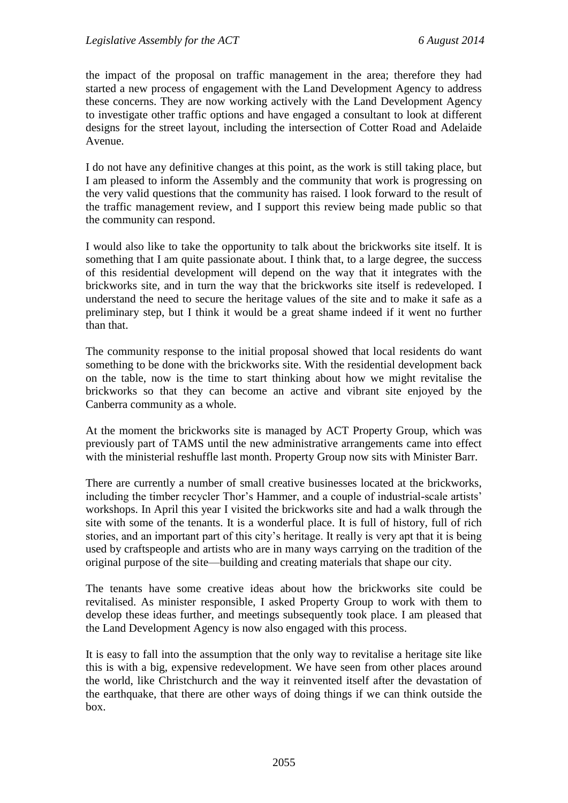the impact of the proposal on traffic management in the area; therefore they had started a new process of engagement with the Land Development Agency to address these concerns. They are now working actively with the Land Development Agency to investigate other traffic options and have engaged a consultant to look at different designs for the street layout, including the intersection of Cotter Road and Adelaide Avenue.

I do not have any definitive changes at this point, as the work is still taking place, but I am pleased to inform the Assembly and the community that work is progressing on the very valid questions that the community has raised. I look forward to the result of the traffic management review, and I support this review being made public so that the community can respond.

I would also like to take the opportunity to talk about the brickworks site itself. It is something that I am quite passionate about. I think that, to a large degree, the success of this residential development will depend on the way that it integrates with the brickworks site, and in turn the way that the brickworks site itself is redeveloped. I understand the need to secure the heritage values of the site and to make it safe as a preliminary step, but I think it would be a great shame indeed if it went no further than that.

The community response to the initial proposal showed that local residents do want something to be done with the brickworks site. With the residential development back on the table, now is the time to start thinking about how we might revitalise the brickworks so that they can become an active and vibrant site enjoyed by the Canberra community as a whole.

At the moment the brickworks site is managed by ACT Property Group, which was previously part of TAMS until the new administrative arrangements came into effect with the ministerial reshuffle last month. Property Group now sits with Minister Barr.

There are currently a number of small creative businesses located at the brickworks, including the timber recycler Thor's Hammer, and a couple of industrial-scale artists' workshops. In April this year I visited the brickworks site and had a walk through the site with some of the tenants. It is a wonderful place. It is full of history, full of rich stories, and an important part of this city's heritage. It really is very apt that it is being used by craftspeople and artists who are in many ways carrying on the tradition of the original purpose of the site—building and creating materials that shape our city.

The tenants have some creative ideas about how the brickworks site could be revitalised. As minister responsible, I asked Property Group to work with them to develop these ideas further, and meetings subsequently took place. I am pleased that the Land Development Agency is now also engaged with this process.

It is easy to fall into the assumption that the only way to revitalise a heritage site like this is with a big, expensive redevelopment. We have seen from other places around the world, like Christchurch and the way it reinvented itself after the devastation of the earthquake, that there are other ways of doing things if we can think outside the box.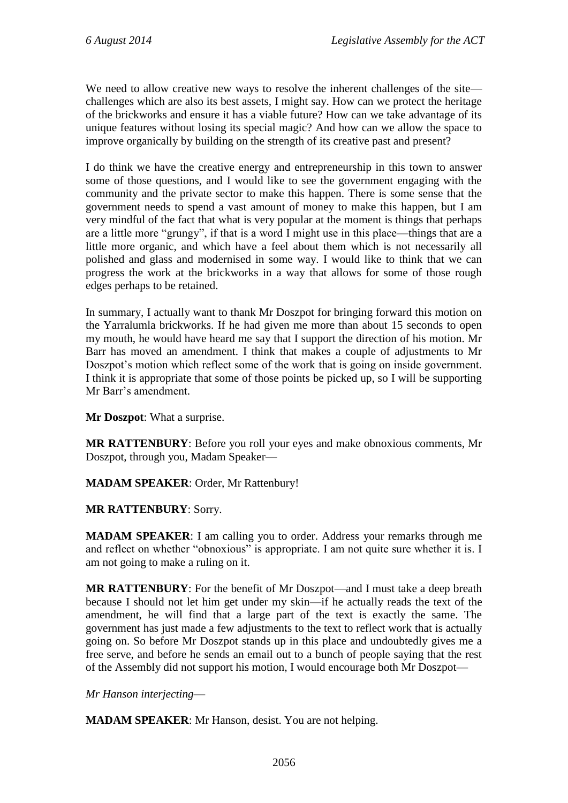We need to allow creative new ways to resolve the inherent challenges of the site challenges which are also its best assets, I might say. How can we protect the heritage of the brickworks and ensure it has a viable future? How can we take advantage of its unique features without losing its special magic? And how can we allow the space to improve organically by building on the strength of its creative past and present?

I do think we have the creative energy and entrepreneurship in this town to answer some of those questions, and I would like to see the government engaging with the community and the private sector to make this happen. There is some sense that the government needs to spend a vast amount of money to make this happen, but I am very mindful of the fact that what is very popular at the moment is things that perhaps are a little more "grungy", if that is a word I might use in this place—things that are a little more organic, and which have a feel about them which is not necessarily all polished and glass and modernised in some way. I would like to think that we can progress the work at the brickworks in a way that allows for some of those rough edges perhaps to be retained.

In summary, I actually want to thank Mr Doszpot for bringing forward this motion on the Yarralumla brickworks. If he had given me more than about 15 seconds to open my mouth, he would have heard me say that I support the direction of his motion. Mr Barr has moved an amendment. I think that makes a couple of adjustments to Mr Doszpot's motion which reflect some of the work that is going on inside government. I think it is appropriate that some of those points be picked up, so I will be supporting Mr Barr's amendment.

**Mr Doszpot**: What a surprise.

**MR RATTENBURY**: Before you roll your eyes and make obnoxious comments, Mr Doszpot, through you, Madam Speaker—

#### **MADAM SPEAKER**: Order, Mr Rattenbury!

#### **MR RATTENBURY**: Sorry.

**MADAM SPEAKER**: I am calling you to order. Address your remarks through me and reflect on whether "obnoxious" is appropriate. I am not quite sure whether it is. I am not going to make a ruling on it.

**MR RATTENBURY**: For the benefit of Mr Doszpot—and I must take a deep breath because I should not let him get under my skin—if he actually reads the text of the amendment, he will find that a large part of the text is exactly the same. The government has just made a few adjustments to the text to reflect work that is actually going on. So before Mr Doszpot stands up in this place and undoubtedly gives me a free serve, and before he sends an email out to a bunch of people saying that the rest of the Assembly did not support his motion, I would encourage both Mr Doszpot—

*Mr Hanson interjecting*—

**MADAM SPEAKER**: Mr Hanson, desist. You are not helping.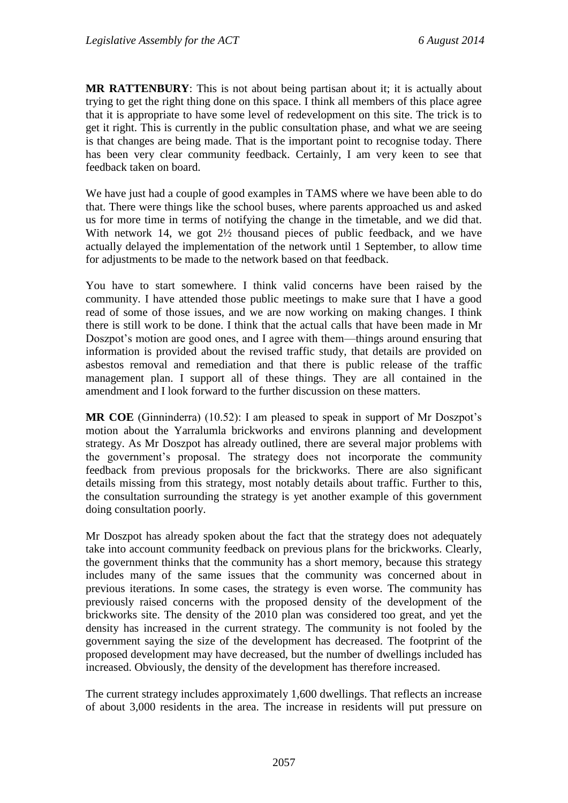**MR RATTENBURY**: This is not about being partisan about it; it is actually about trying to get the right thing done on this space. I think all members of this place agree that it is appropriate to have some level of redevelopment on this site. The trick is to get it right. This is currently in the public consultation phase, and what we are seeing is that changes are being made. That is the important point to recognise today. There has been very clear community feedback. Certainly, I am very keen to see that feedback taken on board.

We have just had a couple of good examples in TAMS where we have been able to do that. There were things like the school buses, where parents approached us and asked us for more time in terms of notifying the change in the timetable, and we did that. With network 14, we got  $2\frac{1}{2}$  thousand pieces of public feedback, and we have actually delayed the implementation of the network until 1 September, to allow time for adjustments to be made to the network based on that feedback.

You have to start somewhere. I think valid concerns have been raised by the community. I have attended those public meetings to make sure that I have a good read of some of those issues, and we are now working on making changes. I think there is still work to be done. I think that the actual calls that have been made in Mr Doszpot's motion are good ones, and I agree with them—things around ensuring that information is provided about the revised traffic study, that details are provided on asbestos removal and remediation and that there is public release of the traffic management plan. I support all of these things. They are all contained in the amendment and I look forward to the further discussion on these matters.

**MR COE** (Ginninderra) (10.52): I am pleased to speak in support of Mr Doszpot's motion about the Yarralumla brickworks and environs planning and development strategy. As Mr Doszpot has already outlined, there are several major problems with the government's proposal. The strategy does not incorporate the community feedback from previous proposals for the brickworks. There are also significant details missing from this strategy, most notably details about traffic. Further to this, the consultation surrounding the strategy is yet another example of this government doing consultation poorly.

Mr Doszpot has already spoken about the fact that the strategy does not adequately take into account community feedback on previous plans for the brickworks. Clearly, the government thinks that the community has a short memory, because this strategy includes many of the same issues that the community was concerned about in previous iterations. In some cases, the strategy is even worse. The community has previously raised concerns with the proposed density of the development of the brickworks site. The density of the 2010 plan was considered too great, and yet the density has increased in the current strategy. The community is not fooled by the government saying the size of the development has decreased. The footprint of the proposed development may have decreased, but the number of dwellings included has increased. Obviously, the density of the development has therefore increased.

The current strategy includes approximately 1,600 dwellings. That reflects an increase of about 3,000 residents in the area. The increase in residents will put pressure on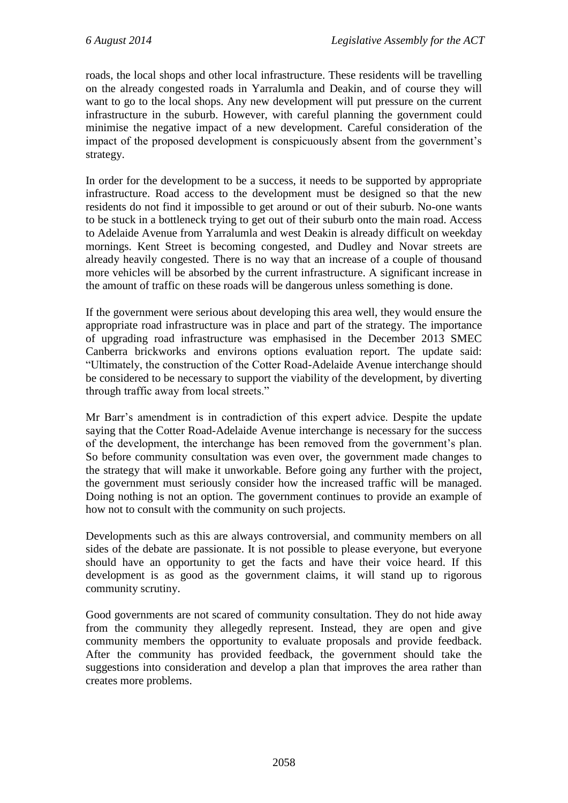roads, the local shops and other local infrastructure. These residents will be travelling on the already congested roads in Yarralumla and Deakin, and of course they will want to go to the local shops. Any new development will put pressure on the current infrastructure in the suburb. However, with careful planning the government could minimise the negative impact of a new development. Careful consideration of the impact of the proposed development is conspicuously absent from the government's strategy.

In order for the development to be a success, it needs to be supported by appropriate infrastructure. Road access to the development must be designed so that the new residents do not find it impossible to get around or out of their suburb. No-one wants to be stuck in a bottleneck trying to get out of their suburb onto the main road. Access to Adelaide Avenue from Yarralumla and west Deakin is already difficult on weekday mornings. Kent Street is becoming congested, and Dudley and Novar streets are already heavily congested. There is no way that an increase of a couple of thousand more vehicles will be absorbed by the current infrastructure. A significant increase in the amount of traffic on these roads will be dangerous unless something is done.

If the government were serious about developing this area well, they would ensure the appropriate road infrastructure was in place and part of the strategy. The importance of upgrading road infrastructure was emphasised in the December 2013 SMEC Canberra brickworks and environs options evaluation report. The update said: "Ultimately, the construction of the Cotter Road-Adelaide Avenue interchange should be considered to be necessary to support the viability of the development, by diverting through traffic away from local streets."

Mr Barr's amendment is in contradiction of this expert advice. Despite the update saying that the Cotter Road-Adelaide Avenue interchange is necessary for the success of the development, the interchange has been removed from the government's plan. So before community consultation was even over, the government made changes to the strategy that will make it unworkable. Before going any further with the project, the government must seriously consider how the increased traffic will be managed. Doing nothing is not an option. The government continues to provide an example of how not to consult with the community on such projects.

Developments such as this are always controversial, and community members on all sides of the debate are passionate. It is not possible to please everyone, but everyone should have an opportunity to get the facts and have their voice heard. If this development is as good as the government claims, it will stand up to rigorous community scrutiny.

Good governments are not scared of community consultation. They do not hide away from the community they allegedly represent. Instead, they are open and give community members the opportunity to evaluate proposals and provide feedback. After the community has provided feedback, the government should take the suggestions into consideration and develop a plan that improves the area rather than creates more problems.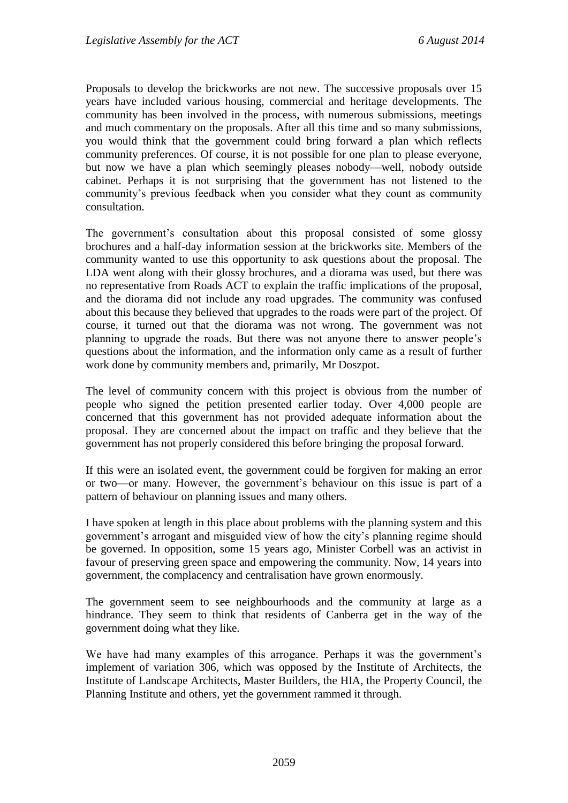Proposals to develop the brickworks are not new. The successive proposals over 15 years have included various housing, commercial and heritage developments. The community has been involved in the process, with numerous submissions, meetings and much commentary on the proposals. After all this time and so many submissions, you would think that the government could bring forward a plan which reflects community preferences. Of course, it is not possible for one plan to please everyone, but now we have a plan which seemingly pleases nobody—well, nobody outside cabinet. Perhaps it is not surprising that the government has not listened to the community's previous feedback when you consider what they count as community consultation.

The government's consultation about this proposal consisted of some glossy brochures and a half-day information session at the brickworks site. Members of the community wanted to use this opportunity to ask questions about the proposal. The LDA went along with their glossy brochures, and a diorama was used, but there was no representative from Roads ACT to explain the traffic implications of the proposal, and the diorama did not include any road upgrades. The community was confused about this because they believed that upgrades to the roads were part of the project. Of course, it turned out that the diorama was not wrong. The government was not planning to upgrade the roads. But there was not anyone there to answer people's questions about the information, and the information only came as a result of further work done by community members and, primarily, Mr Doszpot.

The level of community concern with this project is obvious from the number of people who signed the petition presented earlier today. Over 4,000 people are concerned that this government has not provided adequate information about the proposal. They are concerned about the impact on traffic and they believe that the government has not properly considered this before bringing the proposal forward.

If this were an isolated event, the government could be forgiven for making an error or two—or many. However, the government's behaviour on this issue is part of a pattern of behaviour on planning issues and many others.

I have spoken at length in this place about problems with the planning system and this government's arrogant and misguided view of how the city's planning regime should be governed. In opposition, some 15 years ago, Minister Corbell was an activist in favour of preserving green space and empowering the community. Now, 14 years into government, the complacency and centralisation have grown enormously.

The government seem to see neighbourhoods and the community at large as a hindrance. They seem to think that residents of Canberra get in the way of the government doing what they like.

We have had many examples of this arrogance. Perhaps it was the government's implement of variation 306, which was opposed by the Institute of Architects, the Institute of Landscape Architects, Master Builders, the HIA, the Property Council, the Planning Institute and others, yet the government rammed it through.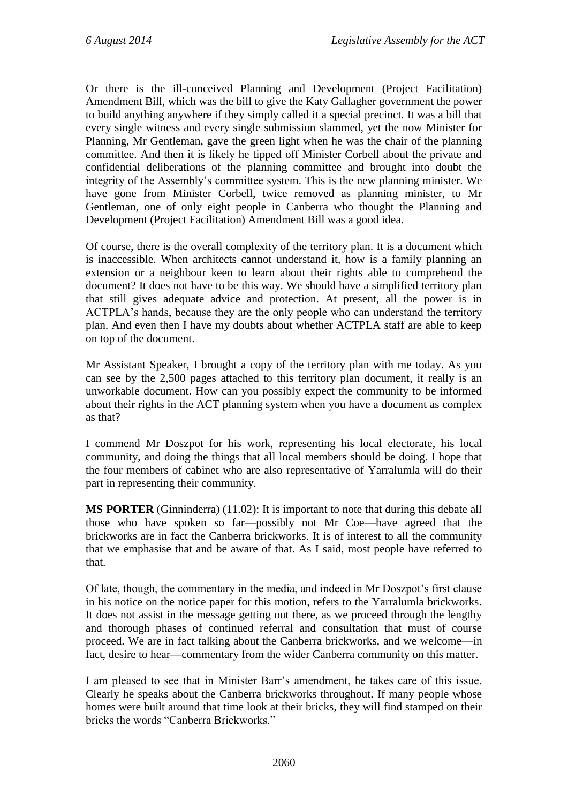Or there is the ill-conceived Planning and Development (Project Facilitation) Amendment Bill, which was the bill to give the Katy Gallagher government the power to build anything anywhere if they simply called it a special precinct. It was a bill that every single witness and every single submission slammed, yet the now Minister for Planning, Mr Gentleman, gave the green light when he was the chair of the planning committee. And then it is likely he tipped off Minister Corbell about the private and confidential deliberations of the planning committee and brought into doubt the integrity of the Assembly's committee system. This is the new planning minister. We have gone from Minister Corbell, twice removed as planning minister, to Mr Gentleman, one of only eight people in Canberra who thought the Planning and Development (Project Facilitation) Amendment Bill was a good idea.

Of course, there is the overall complexity of the territory plan. It is a document which is inaccessible. When architects cannot understand it, how is a family planning an extension or a neighbour keen to learn about their rights able to comprehend the document? It does not have to be this way. We should have a simplified territory plan that still gives adequate advice and protection. At present, all the power is in ACTPLA's hands, because they are the only people who can understand the territory plan. And even then I have my doubts about whether ACTPLA staff are able to keep on top of the document.

Mr Assistant Speaker, I brought a copy of the territory plan with me today. As you can see by the 2,500 pages attached to this territory plan document, it really is an unworkable document. How can you possibly expect the community to be informed about their rights in the ACT planning system when you have a document as complex as that?

I commend Mr Doszpot for his work, representing his local electorate, his local community, and doing the things that all local members should be doing. I hope that the four members of cabinet who are also representative of Yarralumla will do their part in representing their community.

**MS PORTER** (Ginninderra) (11.02): It is important to note that during this debate all those who have spoken so far—possibly not Mr Coe—have agreed that the brickworks are in fact the Canberra brickworks. It is of interest to all the community that we emphasise that and be aware of that. As I said, most people have referred to that.

Of late, though, the commentary in the media, and indeed in Mr Doszpot's first clause in his notice on the notice paper for this motion, refers to the Yarralumla brickworks. It does not assist in the message getting out there, as we proceed through the lengthy and thorough phases of continued referral and consultation that must of course proceed. We are in fact talking about the Canberra brickworks, and we welcome—in fact, desire to hear—commentary from the wider Canberra community on this matter.

I am pleased to see that in Minister Barr's amendment, he takes care of this issue. Clearly he speaks about the Canberra brickworks throughout. If many people whose homes were built around that time look at their bricks, they will find stamped on their bricks the words "Canberra Brickworks."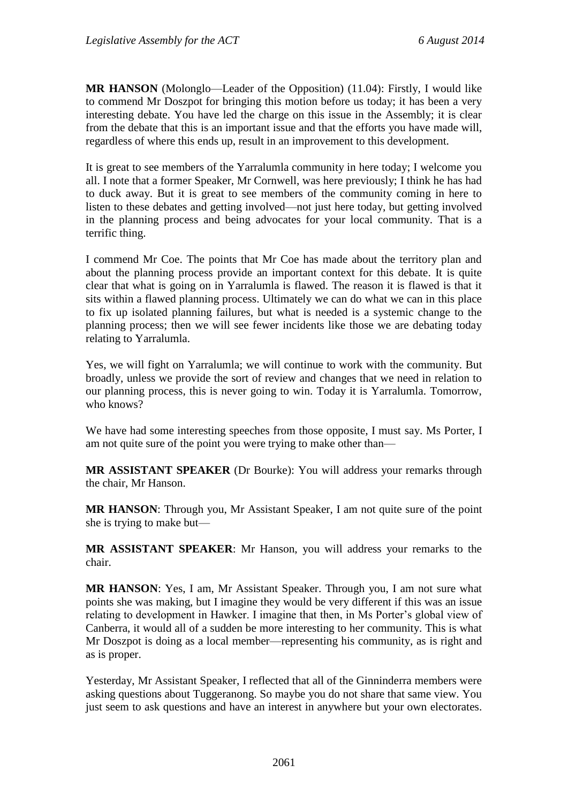**MR HANSON** (Molonglo—Leader of the Opposition) (11.04): Firstly, I would like to commend Mr Doszpot for bringing this motion before us today; it has been a very interesting debate. You have led the charge on this issue in the Assembly; it is clear from the debate that this is an important issue and that the efforts you have made will, regardless of where this ends up, result in an improvement to this development.

It is great to see members of the Yarralumla community in here today; I welcome you all. I note that a former Speaker, Mr Cornwell, was here previously; I think he has had to duck away. But it is great to see members of the community coming in here to listen to these debates and getting involved—not just here today, but getting involved in the planning process and being advocates for your local community. That is a terrific thing.

I commend Mr Coe. The points that Mr Coe has made about the territory plan and about the planning process provide an important context for this debate. It is quite clear that what is going on in Yarralumla is flawed. The reason it is flawed is that it sits within a flawed planning process. Ultimately we can do what we can in this place to fix up isolated planning failures, but what is needed is a systemic change to the planning process; then we will see fewer incidents like those we are debating today relating to Yarralumla.

Yes, we will fight on Yarralumla; we will continue to work with the community. But broadly, unless we provide the sort of review and changes that we need in relation to our planning process, this is never going to win. Today it is Yarralumla. Tomorrow, who knows?

We have had some interesting speeches from those opposite, I must say. Ms Porter, I am not quite sure of the point you were trying to make other than—

**MR ASSISTANT SPEAKER** (Dr Bourke): You will address your remarks through the chair, Mr Hanson.

**MR HANSON**: Through you, Mr Assistant Speaker, I am not quite sure of the point she is trying to make but—

**MR ASSISTANT SPEAKER**: Mr Hanson, you will address your remarks to the chair.

**MR HANSON**: Yes, I am, Mr Assistant Speaker. Through you, I am not sure what points she was making, but I imagine they would be very different if this was an issue relating to development in Hawker. I imagine that then, in Ms Porter's global view of Canberra, it would all of a sudden be more interesting to her community. This is what Mr Doszpot is doing as a local member—representing his community, as is right and as is proper.

Yesterday, Mr Assistant Speaker, I reflected that all of the Ginninderra members were asking questions about Tuggeranong. So maybe you do not share that same view. You just seem to ask questions and have an interest in anywhere but your own electorates.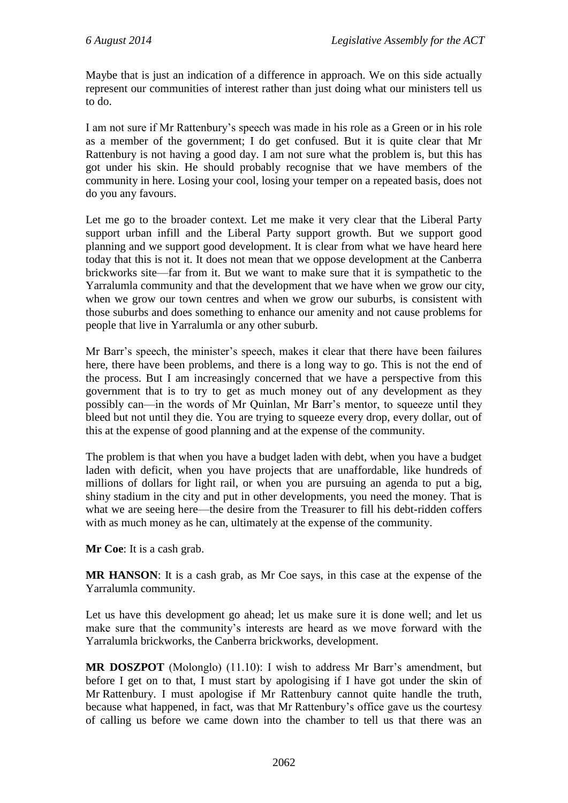Maybe that is just an indication of a difference in approach. We on this side actually represent our communities of interest rather than just doing what our ministers tell us to do.

I am not sure if Mr Rattenbury's speech was made in his role as a Green or in his role as a member of the government; I do get confused. But it is quite clear that Mr Rattenbury is not having a good day. I am not sure what the problem is, but this has got under his skin. He should probably recognise that we have members of the community in here. Losing your cool, losing your temper on a repeated basis, does not do you any favours.

Let me go to the broader context. Let me make it very clear that the Liberal Party support urban infill and the Liberal Party support growth. But we support good planning and we support good development. It is clear from what we have heard here today that this is not it. It does not mean that we oppose development at the Canberra brickworks site—far from it. But we want to make sure that it is sympathetic to the Yarralumla community and that the development that we have when we grow our city, when we grow our town centres and when we grow our suburbs, is consistent with those suburbs and does something to enhance our amenity and not cause problems for people that live in Yarralumla or any other suburb.

Mr Barr's speech, the minister's speech, makes it clear that there have been failures here, there have been problems, and there is a long way to go. This is not the end of the process. But I am increasingly concerned that we have a perspective from this government that is to try to get as much money out of any development as they possibly can—in the words of Mr Quinlan, Mr Barr's mentor, to squeeze until they bleed but not until they die. You are trying to squeeze every drop, every dollar, out of this at the expense of good planning and at the expense of the community.

The problem is that when you have a budget laden with debt, when you have a budget laden with deficit, when you have projects that are unaffordable, like hundreds of millions of dollars for light rail, or when you are pursuing an agenda to put a big, shiny stadium in the city and put in other developments, you need the money. That is what we are seeing here—the desire from the Treasurer to fill his debt-ridden coffers with as much money as he can, ultimately at the expense of the community.

**Mr Coe**: It is a cash grab.

**MR HANSON**: It is a cash grab, as Mr Coe says, in this case at the expense of the Yarralumla community.

Let us have this development go ahead; let us make sure it is done well; and let us make sure that the community's interests are heard as we move forward with the Yarralumla brickworks, the Canberra brickworks, development.

**MR DOSZPOT** (Molonglo) (11.10): I wish to address Mr Barr's amendment, but before I get on to that, I must start by apologising if I have got under the skin of Mr Rattenbury. I must apologise if Mr Rattenbury cannot quite handle the truth, because what happened, in fact, was that Mr Rattenbury's office gave us the courtesy of calling us before we came down into the chamber to tell us that there was an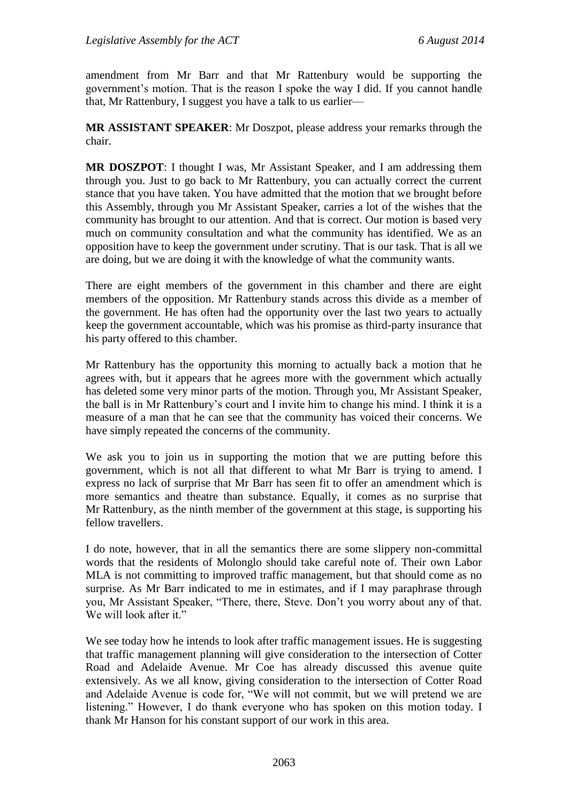amendment from Mr Barr and that Mr Rattenbury would be supporting the government's motion. That is the reason I spoke the way I did. If you cannot handle that, Mr Rattenbury, I suggest you have a talk to us earlier—

**MR ASSISTANT SPEAKER**: Mr Doszpot, please address your remarks through the chair.

**MR DOSZPOT**: I thought I was, Mr Assistant Speaker, and I am addressing them through you. Just to go back to Mr Rattenbury, you can actually correct the current stance that you have taken. You have admitted that the motion that we brought before this Assembly, through you Mr Assistant Speaker, carries a lot of the wishes that the community has brought to our attention. And that is correct. Our motion is based very much on community consultation and what the community has identified. We as an opposition have to keep the government under scrutiny. That is our task. That is all we are doing, but we are doing it with the knowledge of what the community wants.

There are eight members of the government in this chamber and there are eight members of the opposition. Mr Rattenbury stands across this divide as a member of the government. He has often had the opportunity over the last two years to actually keep the government accountable, which was his promise as third-party insurance that his party offered to this chamber.

Mr Rattenbury has the opportunity this morning to actually back a motion that he agrees with, but it appears that he agrees more with the government which actually has deleted some very minor parts of the motion. Through you, Mr Assistant Speaker, the ball is in Mr Rattenbury's court and I invite him to change his mind. I think it is a measure of a man that he can see that the community has voiced their concerns. We have simply repeated the concerns of the community.

We ask you to join us in supporting the motion that we are putting before this government, which is not all that different to what Mr Barr is trying to amend. I express no lack of surprise that Mr Barr has seen fit to offer an amendment which is more semantics and theatre than substance. Equally, it comes as no surprise that Mr Rattenbury, as the ninth member of the government at this stage, is supporting his fellow travellers.

I do note, however, that in all the semantics there are some slippery non-committal words that the residents of Molonglo should take careful note of. Their own Labor MLA is not committing to improved traffic management, but that should come as no surprise. As Mr Barr indicated to me in estimates, and if I may paraphrase through you, Mr Assistant Speaker, "There, there, Steve. Don't you worry about any of that. We will look after it."

We see today how he intends to look after traffic management issues. He is suggesting that traffic management planning will give consideration to the intersection of Cotter Road and Adelaide Avenue. Mr Coe has already discussed this avenue quite extensively. As we all know, giving consideration to the intersection of Cotter Road and Adelaide Avenue is code for, "We will not commit, but we will pretend we are listening." However, I do thank everyone who has spoken on this motion today. I thank Mr Hanson for his constant support of our work in this area.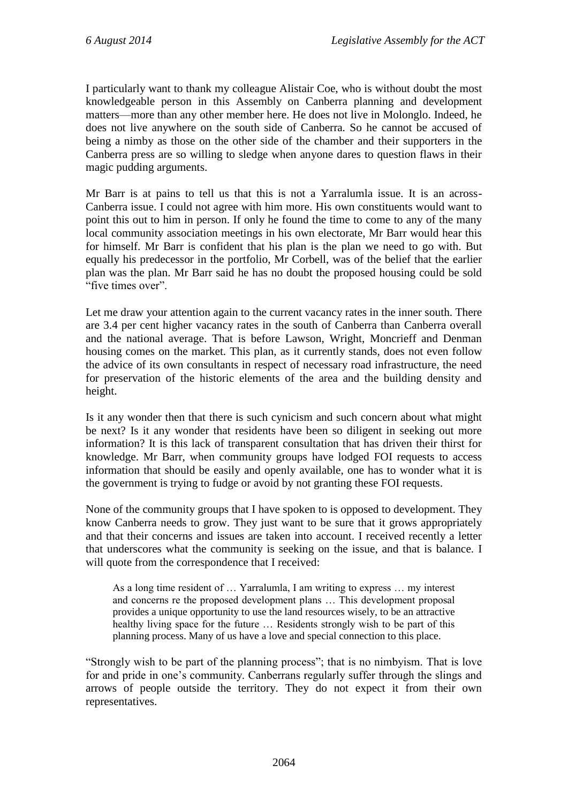I particularly want to thank my colleague Alistair Coe, who is without doubt the most knowledgeable person in this Assembly on Canberra planning and development matters—more than any other member here. He does not live in Molonglo. Indeed, he does not live anywhere on the south side of Canberra. So he cannot be accused of being a nimby as those on the other side of the chamber and their supporters in the Canberra press are so willing to sledge when anyone dares to question flaws in their magic pudding arguments.

Mr Barr is at pains to tell us that this is not a Yarralumla issue. It is an across-Canberra issue. I could not agree with him more. His own constituents would want to point this out to him in person. If only he found the time to come to any of the many local community association meetings in his own electorate, Mr Barr would hear this for himself. Mr Barr is confident that his plan is the plan we need to go with. But equally his predecessor in the portfolio, Mr Corbell, was of the belief that the earlier plan was the plan. Mr Barr said he has no doubt the proposed housing could be sold "five times over".

Let me draw your attention again to the current vacancy rates in the inner south. There are 3.4 per cent higher vacancy rates in the south of Canberra than Canberra overall and the national average. That is before Lawson, Wright, Moncrieff and Denman housing comes on the market. This plan, as it currently stands, does not even follow the advice of its own consultants in respect of necessary road infrastructure, the need for preservation of the historic elements of the area and the building density and height.

Is it any wonder then that there is such cynicism and such concern about what might be next? Is it any wonder that residents have been so diligent in seeking out more information? It is this lack of transparent consultation that has driven their thirst for knowledge. Mr Barr, when community groups have lodged FOI requests to access information that should be easily and openly available, one has to wonder what it is the government is trying to fudge or avoid by not granting these FOI requests.

None of the community groups that I have spoken to is opposed to development. They know Canberra needs to grow. They just want to be sure that it grows appropriately and that their concerns and issues are taken into account. I received recently a letter that underscores what the community is seeking on the issue, and that is balance. I will quote from the correspondence that I received:

As a long time resident of … Yarralumla, I am writing to express … my interest and concerns re the proposed development plans … This development proposal provides a unique opportunity to use the land resources wisely, to be an attractive healthy living space for the future … Residents strongly wish to be part of this planning process. Many of us have a love and special connection to this place.

"Strongly wish to be part of the planning process"; that is no nimbyism. That is love for and pride in one's community. Canberrans regularly suffer through the slings and arrows of people outside the territory. They do not expect it from their own representatives.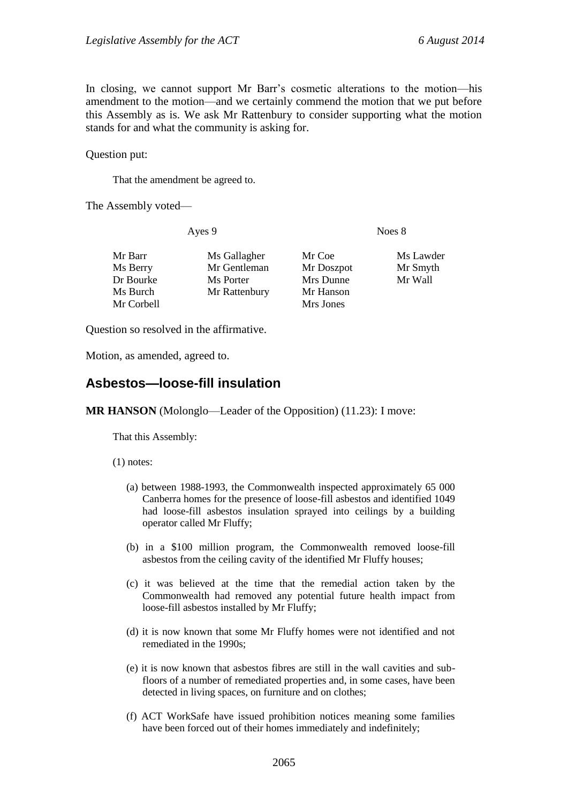In closing, we cannot support Mr Barr's cosmetic alterations to the motion—his amendment to the motion—and we certainly commend the motion that we put before this Assembly as is. We ask Mr Rattenbury to consider supporting what the motion stands for and what the community is asking for.

Question put:

That the amendment be agreed to.

The Assembly voted—

Ayes 9 Noes 8

| Ms Gallagher<br>Mr Gentleman<br>Ms Porter<br>Mr Rattenbury | Mr Coe<br>Mr Doszpot<br>Mrs Dunne<br>Mr Hanson | Ms Lawder<br>Mr Smyth<br>Mr Wall |
|------------------------------------------------------------|------------------------------------------------|----------------------------------|
|                                                            | Mrs Jones                                      |                                  |
|                                                            |                                                |                                  |

Question so resolved in the affirmative.

Motion, as amended, agreed to.

#### <span id="page-28-0"></span>**Asbestos—loose-fill insulation**

**MR HANSON** (Molonglo—Leader of the Opposition) (11.23): I move:

That this Assembly:

(1) notes:

- (a) between 1988-1993, the Commonwealth inspected approximately 65 000 Canberra homes for the presence of loose-fill asbestos and identified 1049 had loose-fill asbestos insulation sprayed into ceilings by a building operator called Mr Fluffy;
- (b) in a \$100 million program, the Commonwealth removed loose-fill asbestos from the ceiling cavity of the identified Mr Fluffy houses;
- (c) it was believed at the time that the remedial action taken by the Commonwealth had removed any potential future health impact from loose-fill asbestos installed by Mr Fluffy;
- (d) it is now known that some Mr Fluffy homes were not identified and not remediated in the 1990s;
- (e) it is now known that asbestos fibres are still in the wall cavities and subfloors of a number of remediated properties and, in some cases, have been detected in living spaces, on furniture and on clothes;
- (f) ACT WorkSafe have issued prohibition notices meaning some families have been forced out of their homes immediately and indefinitely;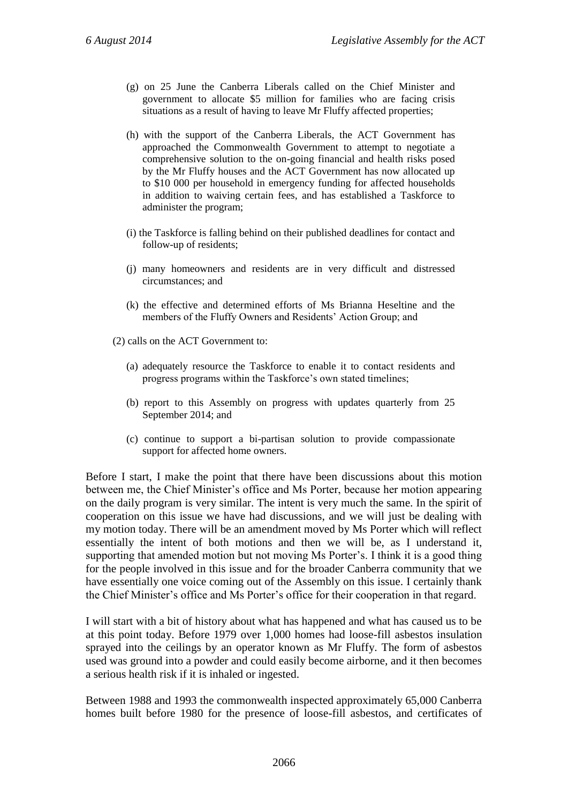- (g) on 25 June the Canberra Liberals called on the Chief Minister and government to allocate \$5 million for families who are facing crisis situations as a result of having to leave Mr Fluffy affected properties;
- (h) with the support of the Canberra Liberals, the ACT Government has approached the Commonwealth Government to attempt to negotiate a comprehensive solution to the on-going financial and health risks posed by the Mr Fluffy houses and the ACT Government has now allocated up to \$10 000 per household in emergency funding for affected households in addition to waiving certain fees, and has established a Taskforce to administer the program;
- (i) the Taskforce is falling behind on their published deadlines for contact and follow-up of residents;
- (j) many homeowners and residents are in very difficult and distressed circumstances; and
- (k) the effective and determined efforts of Ms Brianna Heseltine and the members of the Fluffy Owners and Residents' Action Group; and
- (2) calls on the ACT Government to:
	- (a) adequately resource the Taskforce to enable it to contact residents and progress programs within the Taskforce's own stated timelines;
	- (b) report to this Assembly on progress with updates quarterly from 25 September 2014; and
	- (c) continue to support a bi-partisan solution to provide compassionate support for affected home owners.

Before I start, I make the point that there have been discussions about this motion between me, the Chief Minister's office and Ms Porter, because her motion appearing on the daily program is very similar. The intent is very much the same. In the spirit of cooperation on this issue we have had discussions, and we will just be dealing with my motion today. There will be an amendment moved by Ms Porter which will reflect essentially the intent of both motions and then we will be, as I understand it, supporting that amended motion but not moving Ms Porter's. I think it is a good thing for the people involved in this issue and for the broader Canberra community that we have essentially one voice coming out of the Assembly on this issue. I certainly thank the Chief Minister's office and Ms Porter's office for their cooperation in that regard.

I will start with a bit of history about what has happened and what has caused us to be at this point today. Before 1979 over 1,000 homes had loose-fill asbestos insulation sprayed into the ceilings by an operator known as Mr Fluffy. The form of asbestos used was ground into a powder and could easily become airborne, and it then becomes a serious health risk if it is inhaled or ingested.

Between 1988 and 1993 the commonwealth inspected approximately 65,000 Canberra homes built before 1980 for the presence of loose-fill asbestos, and certificates of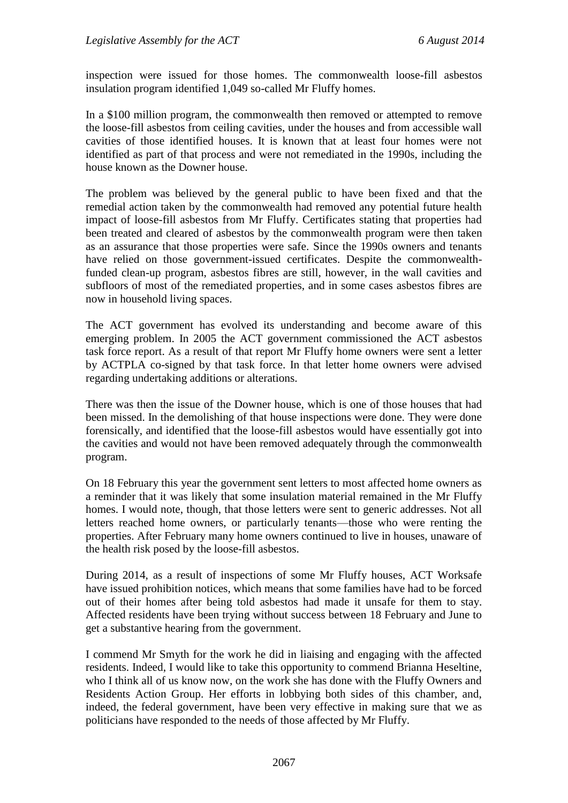inspection were issued for those homes. The commonwealth loose-fill asbestos insulation program identified 1,049 so-called Mr Fluffy homes.

In a \$100 million program, the commonwealth then removed or attempted to remove the loose-fill asbestos from ceiling cavities, under the houses and from accessible wall cavities of those identified houses. It is known that at least four homes were not identified as part of that process and were not remediated in the 1990s, including the house known as the Downer house.

The problem was believed by the general public to have been fixed and that the remedial action taken by the commonwealth had removed any potential future health impact of loose-fill asbestos from Mr Fluffy. Certificates stating that properties had been treated and cleared of asbestos by the commonwealth program were then taken as an assurance that those properties were safe. Since the 1990s owners and tenants have relied on those government-issued certificates. Despite the commonwealthfunded clean-up program, asbestos fibres are still, however, in the wall cavities and subfloors of most of the remediated properties, and in some cases asbestos fibres are now in household living spaces.

The ACT government has evolved its understanding and become aware of this emerging problem. In 2005 the ACT government commissioned the ACT asbestos task force report. As a result of that report Mr Fluffy home owners were sent a letter by ACTPLA co-signed by that task force. In that letter home owners were advised regarding undertaking additions or alterations.

There was then the issue of the Downer house, which is one of those houses that had been missed. In the demolishing of that house inspections were done. They were done forensically, and identified that the loose-fill asbestos would have essentially got into the cavities and would not have been removed adequately through the commonwealth program.

On 18 February this year the government sent letters to most affected home owners as a reminder that it was likely that some insulation material remained in the Mr Fluffy homes. I would note, though, that those letters were sent to generic addresses. Not all letters reached home owners, or particularly tenants—those who were renting the properties. After February many home owners continued to live in houses, unaware of the health risk posed by the loose-fill asbestos.

During 2014, as a result of inspections of some Mr Fluffy houses, ACT Worksafe have issued prohibition notices, which means that some families have had to be forced out of their homes after being told asbestos had made it unsafe for them to stay. Affected residents have been trying without success between 18 February and June to get a substantive hearing from the government.

I commend Mr Smyth for the work he did in liaising and engaging with the affected residents. Indeed, I would like to take this opportunity to commend Brianna Heseltine, who I think all of us know now, on the work she has done with the Fluffy Owners and Residents Action Group. Her efforts in lobbying both sides of this chamber, and, indeed, the federal government, have been very effective in making sure that we as politicians have responded to the needs of those affected by Mr Fluffy.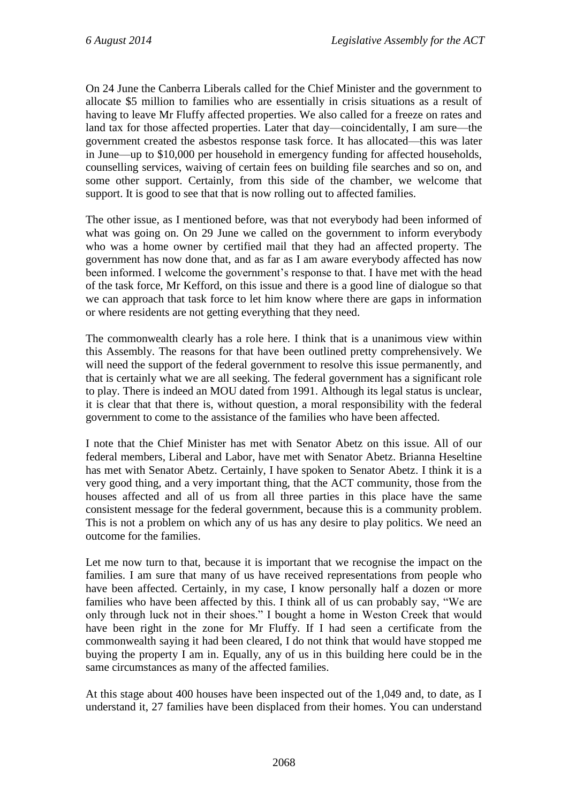On 24 June the Canberra Liberals called for the Chief Minister and the government to allocate \$5 million to families who are essentially in crisis situations as a result of having to leave Mr Fluffy affected properties. We also called for a freeze on rates and land tax for those affected properties. Later that day—coincidentally, I am sure—the government created the asbestos response task force. It has allocated—this was later in June—up to \$10,000 per household in emergency funding for affected households, counselling services, waiving of certain fees on building file searches and so on, and some other support. Certainly, from this side of the chamber, we welcome that support. It is good to see that that is now rolling out to affected families.

The other issue, as I mentioned before, was that not everybody had been informed of what was going on. On 29 June we called on the government to inform everybody who was a home owner by certified mail that they had an affected property. The government has now done that, and as far as I am aware everybody affected has now been informed. I welcome the government's response to that. I have met with the head of the task force, Mr Kefford, on this issue and there is a good line of dialogue so that we can approach that task force to let him know where there are gaps in information or where residents are not getting everything that they need.

The commonwealth clearly has a role here. I think that is a unanimous view within this Assembly. The reasons for that have been outlined pretty comprehensively. We will need the support of the federal government to resolve this issue permanently, and that is certainly what we are all seeking. The federal government has a significant role to play. There is indeed an MOU dated from 1991. Although its legal status is unclear, it is clear that that there is, without question, a moral responsibility with the federal government to come to the assistance of the families who have been affected.

I note that the Chief Minister has met with Senator Abetz on this issue. All of our federal members, Liberal and Labor, have met with Senator Abetz. Brianna Heseltine has met with Senator Abetz. Certainly, I have spoken to Senator Abetz. I think it is a very good thing, and a very important thing, that the ACT community, those from the houses affected and all of us from all three parties in this place have the same consistent message for the federal government, because this is a community problem. This is not a problem on which any of us has any desire to play politics. We need an outcome for the families.

Let me now turn to that, because it is important that we recognise the impact on the families. I am sure that many of us have received representations from people who have been affected. Certainly, in my case, I know personally half a dozen or more families who have been affected by this. I think all of us can probably say, "We are only through luck not in their shoes." I bought a home in Weston Creek that would have been right in the zone for Mr Fluffy. If I had seen a certificate from the commonwealth saying it had been cleared, I do not think that would have stopped me buying the property I am in. Equally, any of us in this building here could be in the same circumstances as many of the affected families.

At this stage about 400 houses have been inspected out of the 1,049 and, to date, as I understand it, 27 families have been displaced from their homes. You can understand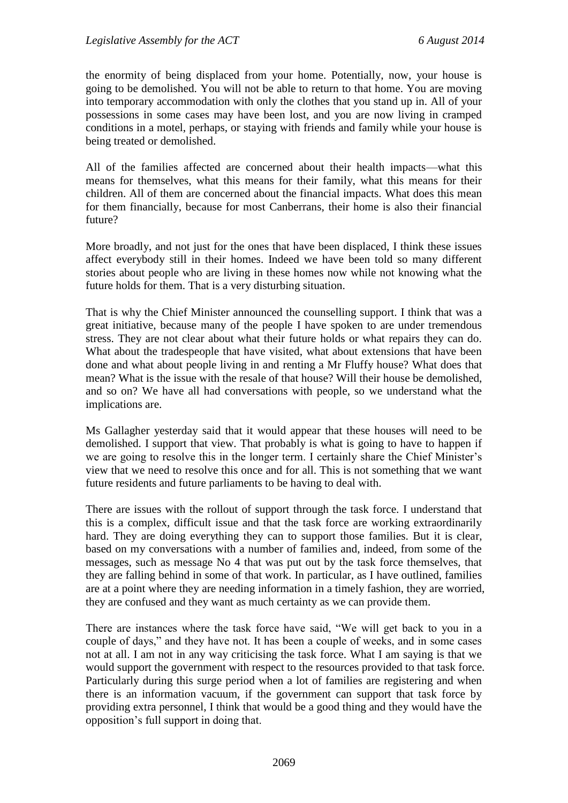the enormity of being displaced from your home. Potentially, now, your house is going to be demolished. You will not be able to return to that home. You are moving into temporary accommodation with only the clothes that you stand up in. All of your possessions in some cases may have been lost, and you are now living in cramped conditions in a motel, perhaps, or staying with friends and family while your house is being treated or demolished.

All of the families affected are concerned about their health impacts—what this means for themselves, what this means for their family, what this means for their children. All of them are concerned about the financial impacts. What does this mean for them financially, because for most Canberrans, their home is also their financial future?

More broadly, and not just for the ones that have been displaced, I think these issues affect everybody still in their homes. Indeed we have been told so many different stories about people who are living in these homes now while not knowing what the future holds for them. That is a very disturbing situation.

That is why the Chief Minister announced the counselling support. I think that was a great initiative, because many of the people I have spoken to are under tremendous stress. They are not clear about what their future holds or what repairs they can do. What about the tradespeople that have visited, what about extensions that have been done and what about people living in and renting a Mr Fluffy house? What does that mean? What is the issue with the resale of that house? Will their house be demolished, and so on? We have all had conversations with people, so we understand what the implications are.

Ms Gallagher yesterday said that it would appear that these houses will need to be demolished. I support that view. That probably is what is going to have to happen if we are going to resolve this in the longer term. I certainly share the Chief Minister's view that we need to resolve this once and for all. This is not something that we want future residents and future parliaments to be having to deal with.

There are issues with the rollout of support through the task force. I understand that this is a complex, difficult issue and that the task force are working extraordinarily hard. They are doing everything they can to support those families. But it is clear, based on my conversations with a number of families and, indeed, from some of the messages, such as message No 4 that was put out by the task force themselves, that they are falling behind in some of that work. In particular, as I have outlined, families are at a point where they are needing information in a timely fashion, they are worried, they are confused and they want as much certainty as we can provide them.

There are instances where the task force have said, "We will get back to you in a couple of days," and they have not. It has been a couple of weeks, and in some cases not at all. I am not in any way criticising the task force. What I am saying is that we would support the government with respect to the resources provided to that task force. Particularly during this surge period when a lot of families are registering and when there is an information vacuum, if the government can support that task force by providing extra personnel, I think that would be a good thing and they would have the opposition's full support in doing that.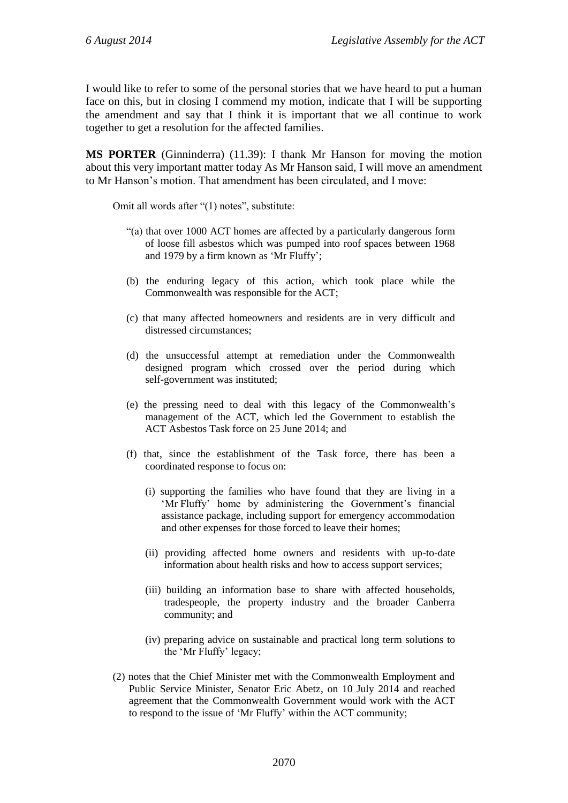I would like to refer to some of the personal stories that we have heard to put a human face on this, but in closing I commend my motion, indicate that I will be supporting the amendment and say that I think it is important that we all continue to work together to get a resolution for the affected families.

**MS PORTER** (Ginninderra) (11.39): I thank Mr Hanson for moving the motion about this very important matter today As Mr Hanson said, I will move an amendment to Mr Hanson's motion. That amendment has been circulated, and I move:

Omit all words after "(1) notes", substitute:

- "(a) that over 1000 ACT homes are affected by a particularly dangerous form of loose fill asbestos which was pumped into roof spaces between 1968 and 1979 by a firm known as 'Mr Fluffy';
- (b) the enduring legacy of this action, which took place while the Commonwealth was responsible for the ACT;
- (c) that many affected homeowners and residents are in very difficult and distressed circumstances;
- (d) the unsuccessful attempt at remediation under the Commonwealth designed program which crossed over the period during which self-government was instituted;
- (e) the pressing need to deal with this legacy of the Commonwealth's management of the ACT, which led the Government to establish the ACT Asbestos Task force on 25 June 2014; and
- (f) that, since the establishment of the Task force, there has been a coordinated response to focus on:
	- (i) supporting the families who have found that they are living in a 'Mr Fluffy' home by administering the Government's financial assistance package, including support for emergency accommodation and other expenses for those forced to leave their homes;
	- (ii) providing affected home owners and residents with up-to-date information about health risks and how to access support services;
	- (iii) building an information base to share with affected households, tradespeople, the property industry and the broader Canberra community; and
	- (iv) preparing advice on sustainable and practical long term solutions to the 'Mr Fluffy' legacy;
- (2) notes that the Chief Minister met with the Commonwealth Employment and Public Service Minister, Senator Eric Abetz, on 10 July 2014 and reached agreement that the Commonwealth Government would work with the ACT to respond to the issue of 'Mr Fluffy' within the ACT community;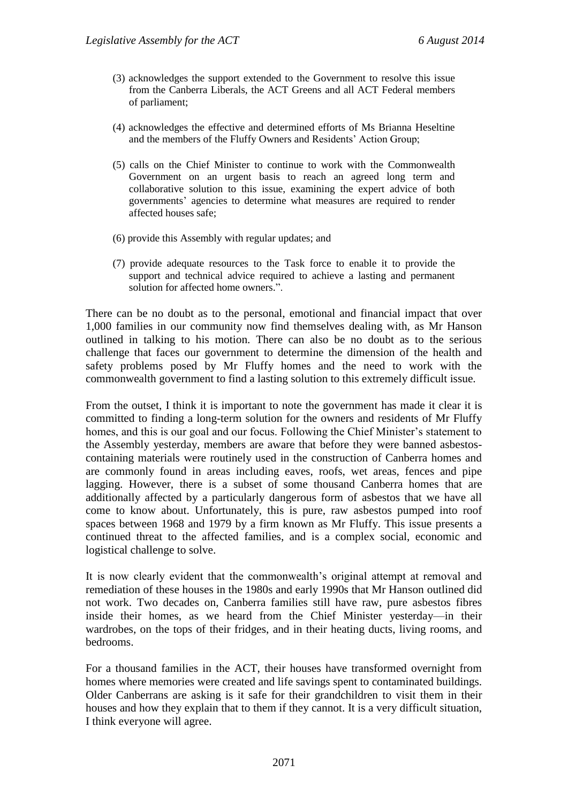- (3) acknowledges the support extended to the Government to resolve this issue from the Canberra Liberals, the ACT Greens and all ACT Federal members of parliament;
- (4) acknowledges the effective and determined efforts of Ms Brianna Heseltine and the members of the Fluffy Owners and Residents' Action Group;
- (5) calls on the Chief Minister to continue to work with the Commonwealth Government on an urgent basis to reach an agreed long term and collaborative solution to this issue, examining the expert advice of both governments' agencies to determine what measures are required to render affected houses safe;
- (6) provide this Assembly with regular updates; and
- (7) provide adequate resources to the Task force to enable it to provide the support and technical advice required to achieve a lasting and permanent solution for affected home owners.".

There can be no doubt as to the personal, emotional and financial impact that over 1,000 families in our community now find themselves dealing with, as Mr Hanson outlined in talking to his motion. There can also be no doubt as to the serious challenge that faces our government to determine the dimension of the health and safety problems posed by Mr Fluffy homes and the need to work with the commonwealth government to find a lasting solution to this extremely difficult issue.

From the outset, I think it is important to note the government has made it clear it is committed to finding a long-term solution for the owners and residents of Mr Fluffy homes, and this is our goal and our focus. Following the Chief Minister's statement to the Assembly yesterday, members are aware that before they were banned asbestoscontaining materials were routinely used in the construction of Canberra homes and are commonly found in areas including eaves, roofs, wet areas, fences and pipe lagging. However, there is a subset of some thousand Canberra homes that are additionally affected by a particularly dangerous form of asbestos that we have all come to know about. Unfortunately, this is pure, raw asbestos pumped into roof spaces between 1968 and 1979 by a firm known as Mr Fluffy. This issue presents a continued threat to the affected families, and is a complex social, economic and logistical challenge to solve.

It is now clearly evident that the commonwealth's original attempt at removal and remediation of these houses in the 1980s and early 1990s that Mr Hanson outlined did not work. Two decades on, Canberra families still have raw, pure asbestos fibres inside their homes, as we heard from the Chief Minister yesterday—in their wardrobes, on the tops of their fridges, and in their heating ducts, living rooms, and bedrooms.

For a thousand families in the ACT, their houses have transformed overnight from homes where memories were created and life savings spent to contaminated buildings. Older Canberrans are asking is it safe for their grandchildren to visit them in their houses and how they explain that to them if they cannot. It is a very difficult situation, I think everyone will agree.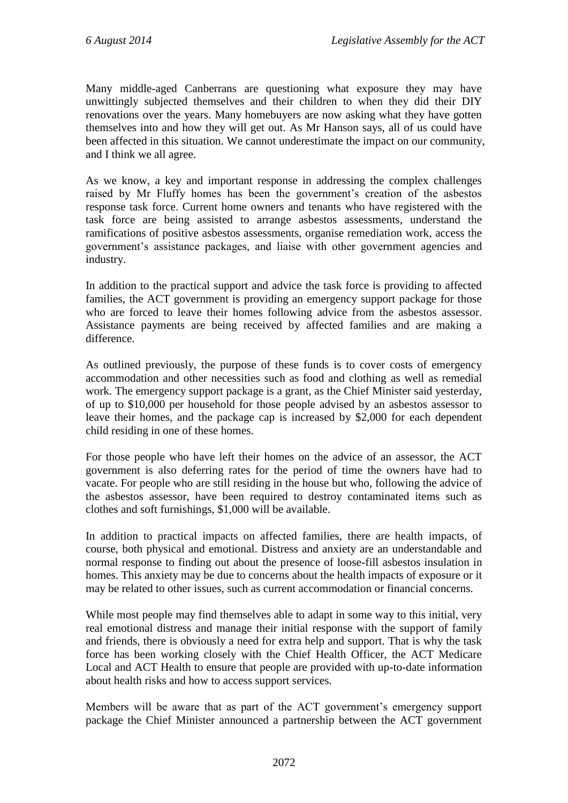Many middle-aged Canberrans are questioning what exposure they may have unwittingly subjected themselves and their children to when they did their DIY renovations over the years. Many homebuyers are now asking what they have gotten themselves into and how they will get out. As Mr Hanson says, all of us could have been affected in this situation. We cannot underestimate the impact on our community, and I think we all agree.

As we know, a key and important response in addressing the complex challenges raised by Mr Fluffy homes has been the government's creation of the asbestos response task force. Current home owners and tenants who have registered with the task force are being assisted to arrange asbestos assessments, understand the ramifications of positive asbestos assessments, organise remediation work, access the government's assistance packages, and liaise with other government agencies and industry.

In addition to the practical support and advice the task force is providing to affected families, the ACT government is providing an emergency support package for those who are forced to leave their homes following advice from the asbestos assessor. Assistance payments are being received by affected families and are making a difference.

As outlined previously, the purpose of these funds is to cover costs of emergency accommodation and other necessities such as food and clothing as well as remedial work. The emergency support package is a grant, as the Chief Minister said yesterday, of up to \$10,000 per household for those people advised by an asbestos assessor to leave their homes, and the package cap is increased by \$2,000 for each dependent child residing in one of these homes.

For those people who have left their homes on the advice of an assessor, the ACT government is also deferring rates for the period of time the owners have had to vacate. For people who are still residing in the house but who, following the advice of the asbestos assessor, have been required to destroy contaminated items such as clothes and soft furnishings, \$1,000 will be available.

In addition to practical impacts on affected families, there are health impacts, of course, both physical and emotional. Distress and anxiety are an understandable and normal response to finding out about the presence of loose-fill asbestos insulation in homes. This anxiety may be due to concerns about the health impacts of exposure or it may be related to other issues, such as current accommodation or financial concerns.

While most people may find themselves able to adapt in some way to this initial, very real emotional distress and manage their initial response with the support of family and friends, there is obviously a need for extra help and support. That is why the task force has been working closely with the Chief Health Officer, the ACT Medicare Local and ACT Health to ensure that people are provided with up-to-date information about health risks and how to access support services.

Members will be aware that as part of the ACT government's emergency support package the Chief Minister announced a partnership between the ACT government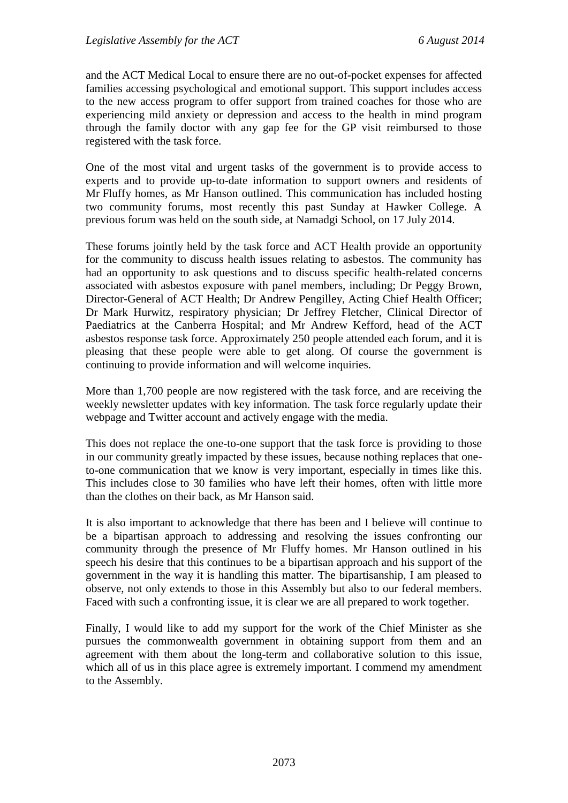and the ACT Medical Local to ensure there are no out-of-pocket expenses for affected families accessing psychological and emotional support. This support includes access to the new access program to offer support from trained coaches for those who are experiencing mild anxiety or depression and access to the health in mind program through the family doctor with any gap fee for the GP visit reimbursed to those registered with the task force.

One of the most vital and urgent tasks of the government is to provide access to experts and to provide up-to-date information to support owners and residents of Mr Fluffy homes, as Mr Hanson outlined. This communication has included hosting two community forums, most recently this past Sunday at Hawker College. A previous forum was held on the south side, at Namadgi School, on 17 July 2014.

These forums jointly held by the task force and ACT Health provide an opportunity for the community to discuss health issues relating to asbestos. The community has had an opportunity to ask questions and to discuss specific health-related concerns associated with asbestos exposure with panel members, including; Dr Peggy Brown, Director-General of ACT Health; Dr Andrew Pengilley, Acting Chief Health Officer; Dr Mark Hurwitz, respiratory physician; Dr Jeffrey Fletcher, Clinical Director of Paediatrics at the Canberra Hospital; and Mr Andrew Kefford, head of the ACT asbestos response task force. Approximately 250 people attended each forum, and it is pleasing that these people were able to get along. Of course the government is continuing to provide information and will welcome inquiries.

More than 1,700 people are now registered with the task force, and are receiving the weekly newsletter updates with key information. The task force regularly update their webpage and Twitter account and actively engage with the media.

This does not replace the one-to-one support that the task force is providing to those in our community greatly impacted by these issues, because nothing replaces that oneto-one communication that we know is very important, especially in times like this. This includes close to 30 families who have left their homes, often with little more than the clothes on their back, as Mr Hanson said.

It is also important to acknowledge that there has been and I believe will continue to be a bipartisan approach to addressing and resolving the issues confronting our community through the presence of Mr Fluffy homes. Mr Hanson outlined in his speech his desire that this continues to be a bipartisan approach and his support of the government in the way it is handling this matter. The bipartisanship, I am pleased to observe, not only extends to those in this Assembly but also to our federal members. Faced with such a confronting issue, it is clear we are all prepared to work together.

Finally, I would like to add my support for the work of the Chief Minister as she pursues the commonwealth government in obtaining support from them and an agreement with them about the long-term and collaborative solution to this issue, which all of us in this place agree is extremely important. I commend my amendment to the Assembly.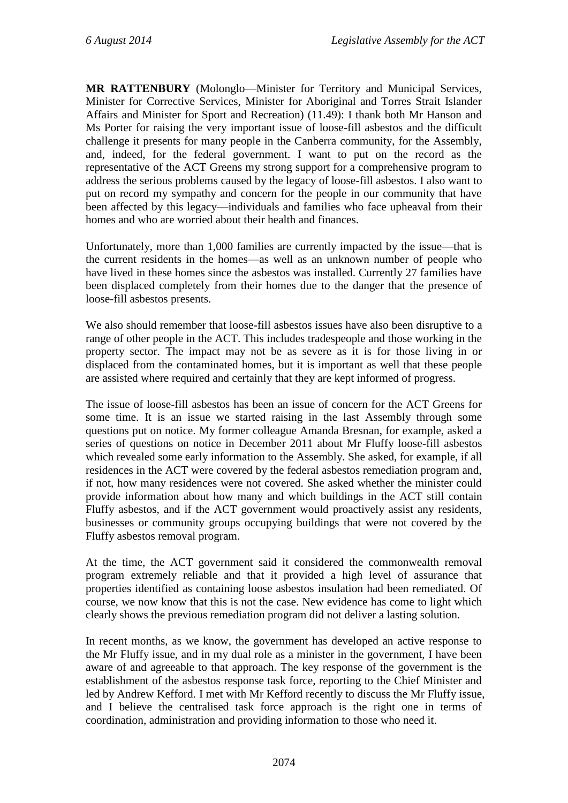**MR RATTENBURY** (Molonglo—Minister for Territory and Municipal Services, Minister for Corrective Services, Minister for Aboriginal and Torres Strait Islander Affairs and Minister for Sport and Recreation) (11.49): I thank both Mr Hanson and Ms Porter for raising the very important issue of loose-fill asbestos and the difficult challenge it presents for many people in the Canberra community, for the Assembly, and, indeed, for the federal government. I want to put on the record as the representative of the ACT Greens my strong support for a comprehensive program to address the serious problems caused by the legacy of loose-fill asbestos. I also want to put on record my sympathy and concern for the people in our community that have been affected by this legacy—individuals and families who face upheaval from their homes and who are worried about their health and finances.

Unfortunately, more than 1,000 families are currently impacted by the issue—that is the current residents in the homes—as well as an unknown number of people who have lived in these homes since the asbestos was installed. Currently 27 families have been displaced completely from their homes due to the danger that the presence of loose-fill asbestos presents.

We also should remember that loose-fill asbestos issues have also been disruptive to a range of other people in the ACT. This includes tradespeople and those working in the property sector. The impact may not be as severe as it is for those living in or displaced from the contaminated homes, but it is important as well that these people are assisted where required and certainly that they are kept informed of progress.

The issue of loose-fill asbestos has been an issue of concern for the ACT Greens for some time. It is an issue we started raising in the last Assembly through some questions put on notice. My former colleague Amanda Bresnan, for example, asked a series of questions on notice in December 2011 about Mr Fluffy loose-fill asbestos which revealed some early information to the Assembly. She asked, for example, if all residences in the ACT were covered by the federal asbestos remediation program and, if not, how many residences were not covered. She asked whether the minister could provide information about how many and which buildings in the ACT still contain Fluffy asbestos, and if the ACT government would proactively assist any residents, businesses or community groups occupying buildings that were not covered by the Fluffy asbestos removal program.

At the time, the ACT government said it considered the commonwealth removal program extremely reliable and that it provided a high level of assurance that properties identified as containing loose asbestos insulation had been remediated. Of course, we now know that this is not the case. New evidence has come to light which clearly shows the previous remediation program did not deliver a lasting solution.

In recent months, as we know, the government has developed an active response to the Mr Fluffy issue, and in my dual role as a minister in the government, I have been aware of and agreeable to that approach. The key response of the government is the establishment of the asbestos response task force, reporting to the Chief Minister and led by Andrew Kefford. I met with Mr Kefford recently to discuss the Mr Fluffy issue, and I believe the centralised task force approach is the right one in terms of coordination, administration and providing information to those who need it.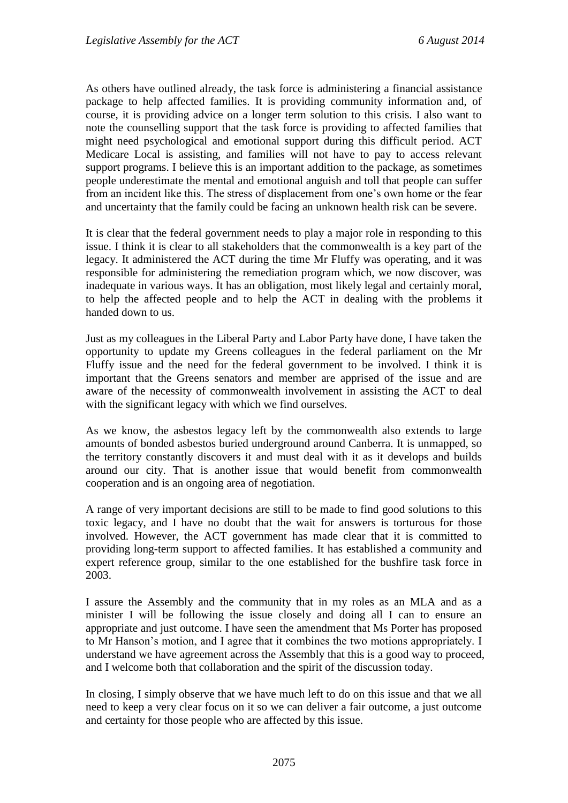As others have outlined already, the task force is administering a financial assistance package to help affected families. It is providing community information and, of course, it is providing advice on a longer term solution to this crisis. I also want to note the counselling support that the task force is providing to affected families that might need psychological and emotional support during this difficult period. ACT Medicare Local is assisting, and families will not have to pay to access relevant support programs. I believe this is an important addition to the package, as sometimes people underestimate the mental and emotional anguish and toll that people can suffer from an incident like this. The stress of displacement from one's own home or the fear and uncertainty that the family could be facing an unknown health risk can be severe.

It is clear that the federal government needs to play a major role in responding to this issue. I think it is clear to all stakeholders that the commonwealth is a key part of the legacy. It administered the ACT during the time Mr Fluffy was operating, and it was responsible for administering the remediation program which, we now discover, was inadequate in various ways. It has an obligation, most likely legal and certainly moral, to help the affected people and to help the ACT in dealing with the problems it handed down to us.

Just as my colleagues in the Liberal Party and Labor Party have done, I have taken the opportunity to update my Greens colleagues in the federal parliament on the Mr Fluffy issue and the need for the federal government to be involved. I think it is important that the Greens senators and member are apprised of the issue and are aware of the necessity of commonwealth involvement in assisting the ACT to deal with the significant legacy with which we find ourselves.

As we know, the asbestos legacy left by the commonwealth also extends to large amounts of bonded asbestos buried underground around Canberra. It is unmapped, so the territory constantly discovers it and must deal with it as it develops and builds around our city. That is another issue that would benefit from commonwealth cooperation and is an ongoing area of negotiation.

A range of very important decisions are still to be made to find good solutions to this toxic legacy, and I have no doubt that the wait for answers is torturous for those involved. However, the ACT government has made clear that it is committed to providing long-term support to affected families. It has established a community and expert reference group, similar to the one established for the bushfire task force in 2003.

I assure the Assembly and the community that in my roles as an MLA and as a minister I will be following the issue closely and doing all I can to ensure an appropriate and just outcome. I have seen the amendment that Ms Porter has proposed to Mr Hanson's motion, and I agree that it combines the two motions appropriately. I understand we have agreement across the Assembly that this is a good way to proceed, and I welcome both that collaboration and the spirit of the discussion today.

In closing, I simply observe that we have much left to do on this issue and that we all need to keep a very clear focus on it so we can deliver a fair outcome, a just outcome and certainty for those people who are affected by this issue.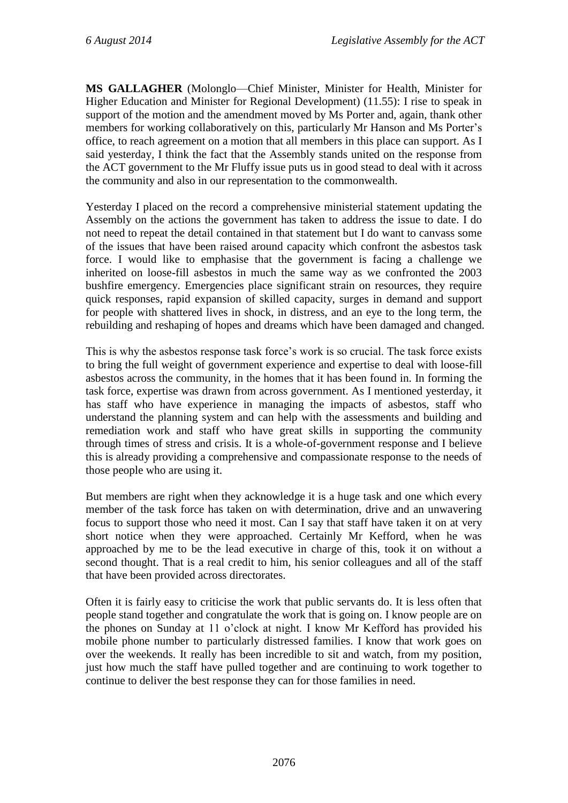**MS GALLAGHER** (Molonglo—Chief Minister, Minister for Health, Minister for Higher Education and Minister for Regional Development) (11.55): I rise to speak in support of the motion and the amendment moved by Ms Porter and, again, thank other members for working collaboratively on this, particularly Mr Hanson and Ms Porter's office, to reach agreement on a motion that all members in this place can support. As I said yesterday, I think the fact that the Assembly stands united on the response from the ACT government to the Mr Fluffy issue puts us in good stead to deal with it across the community and also in our representation to the commonwealth.

Yesterday I placed on the record a comprehensive ministerial statement updating the Assembly on the actions the government has taken to address the issue to date. I do not need to repeat the detail contained in that statement but I do want to canvass some of the issues that have been raised around capacity which confront the asbestos task force. I would like to emphasise that the government is facing a challenge we inherited on loose-fill asbestos in much the same way as we confronted the 2003 bushfire emergency. Emergencies place significant strain on resources, they require quick responses, rapid expansion of skilled capacity, surges in demand and support for people with shattered lives in shock, in distress, and an eye to the long term, the rebuilding and reshaping of hopes and dreams which have been damaged and changed.

This is why the asbestos response task force's work is so crucial. The task force exists to bring the full weight of government experience and expertise to deal with loose-fill asbestos across the community, in the homes that it has been found in. In forming the task force, expertise was drawn from across government. As I mentioned yesterday, it has staff who have experience in managing the impacts of asbestos, staff who understand the planning system and can help with the assessments and building and remediation work and staff who have great skills in supporting the community through times of stress and crisis. It is a whole-of-government response and I believe this is already providing a comprehensive and compassionate response to the needs of those people who are using it.

But members are right when they acknowledge it is a huge task and one which every member of the task force has taken on with determination, drive and an unwavering focus to support those who need it most. Can I say that staff have taken it on at very short notice when they were approached. Certainly Mr Kefford, when he was approached by me to be the lead executive in charge of this, took it on without a second thought. That is a real credit to him, his senior colleagues and all of the staff that have been provided across directorates.

Often it is fairly easy to criticise the work that public servants do. It is less often that people stand together and congratulate the work that is going on. I know people are on the phones on Sunday at 11 o'clock at night. I know Mr Kefford has provided his mobile phone number to particularly distressed families. I know that work goes on over the weekends. It really has been incredible to sit and watch, from my position, just how much the staff have pulled together and are continuing to work together to continue to deliver the best response they can for those families in need.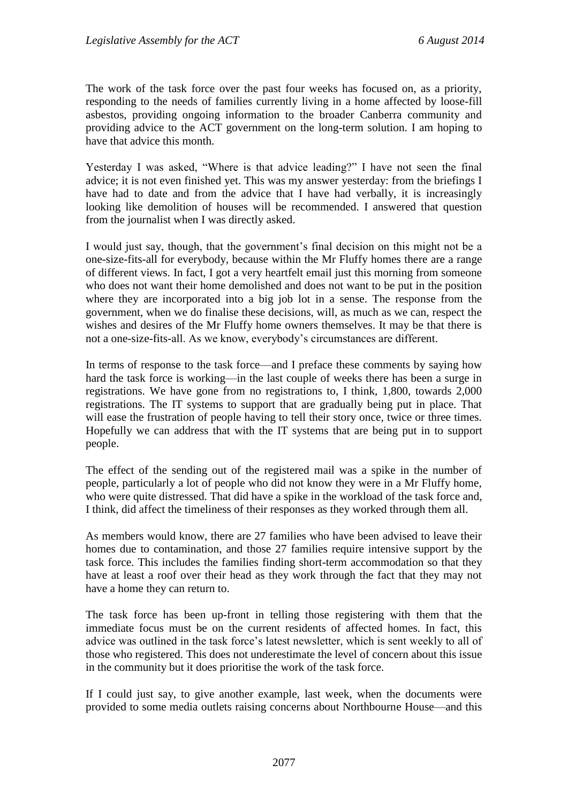The work of the task force over the past four weeks has focused on, as a priority, responding to the needs of families currently living in a home affected by loose-fill asbestos, providing ongoing information to the broader Canberra community and providing advice to the ACT government on the long-term solution. I am hoping to have that advice this month.

Yesterday I was asked, "Where is that advice leading?" I have not seen the final advice; it is not even finished yet. This was my answer yesterday: from the briefings I have had to date and from the advice that I have had verbally, it is increasingly looking like demolition of houses will be recommended. I answered that question from the journalist when I was directly asked.

I would just say, though, that the government's final decision on this might not be a one-size-fits-all for everybody, because within the Mr Fluffy homes there are a range of different views. In fact, I got a very heartfelt email just this morning from someone who does not want their home demolished and does not want to be put in the position where they are incorporated into a big job lot in a sense. The response from the government, when we do finalise these decisions, will, as much as we can, respect the wishes and desires of the Mr Fluffy home owners themselves. It may be that there is not a one-size-fits-all. As we know, everybody's circumstances are different.

In terms of response to the task force—and I preface these comments by saying how hard the task force is working—in the last couple of weeks there has been a surge in registrations. We have gone from no registrations to, I think, 1,800, towards 2,000 registrations. The IT systems to support that are gradually being put in place. That will ease the frustration of people having to tell their story once, twice or three times. Hopefully we can address that with the IT systems that are being put in to support people.

The effect of the sending out of the registered mail was a spike in the number of people, particularly a lot of people who did not know they were in a Mr Fluffy home, who were quite distressed. That did have a spike in the workload of the task force and, I think, did affect the timeliness of their responses as they worked through them all.

As members would know, there are 27 families who have been advised to leave their homes due to contamination, and those 27 families require intensive support by the task force. This includes the families finding short-term accommodation so that they have at least a roof over their head as they work through the fact that they may not have a home they can return to.

The task force has been up-front in telling those registering with them that the immediate focus must be on the current residents of affected homes. In fact, this advice was outlined in the task force's latest newsletter, which is sent weekly to all of those who registered. This does not underestimate the level of concern about this issue in the community but it does prioritise the work of the task force.

If I could just say, to give another example, last week, when the documents were provided to some media outlets raising concerns about Northbourne House—and this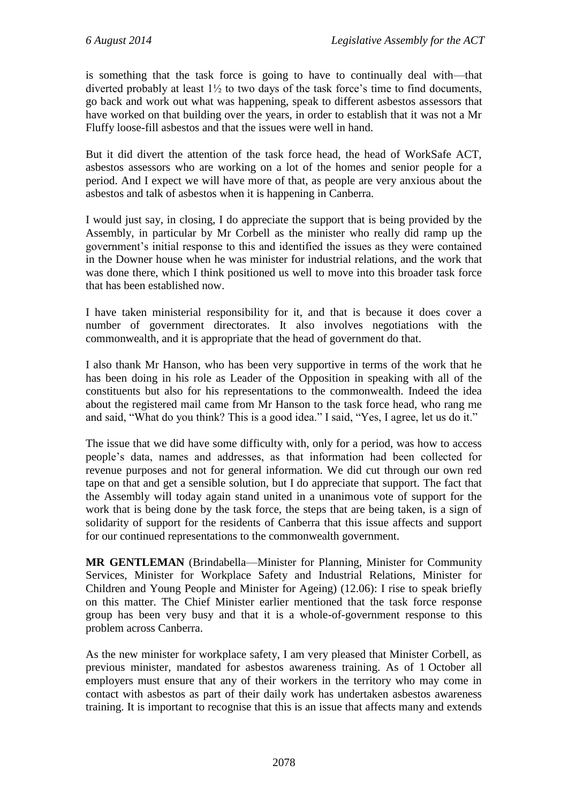is something that the task force is going to have to continually deal with—that diverted probably at least 1½ to two days of the task force's time to find documents, go back and work out what was happening, speak to different asbestos assessors that have worked on that building over the years, in order to establish that it was not a Mr Fluffy loose-fill asbestos and that the issues were well in hand.

But it did divert the attention of the task force head, the head of WorkSafe ACT, asbestos assessors who are working on a lot of the homes and senior people for a period. And I expect we will have more of that, as people are very anxious about the asbestos and talk of asbestos when it is happening in Canberra.

I would just say, in closing, I do appreciate the support that is being provided by the Assembly, in particular by Mr Corbell as the minister who really did ramp up the government's initial response to this and identified the issues as they were contained in the Downer house when he was minister for industrial relations, and the work that was done there, which I think positioned us well to move into this broader task force that has been established now.

I have taken ministerial responsibility for it, and that is because it does cover a number of government directorates. It also involves negotiations with the commonwealth, and it is appropriate that the head of government do that.

I also thank Mr Hanson, who has been very supportive in terms of the work that he has been doing in his role as Leader of the Opposition in speaking with all of the constituents but also for his representations to the commonwealth. Indeed the idea about the registered mail came from Mr Hanson to the task force head, who rang me and said, "What do you think? This is a good idea." I said, "Yes, I agree, let us do it."

The issue that we did have some difficulty with, only for a period, was how to access people's data, names and addresses, as that information had been collected for revenue purposes and not for general information. We did cut through our own red tape on that and get a sensible solution, but I do appreciate that support. The fact that the Assembly will today again stand united in a unanimous vote of support for the work that is being done by the task force, the steps that are being taken, is a sign of solidarity of support for the residents of Canberra that this issue affects and support for our continued representations to the commonwealth government.

**MR GENTLEMAN** (Brindabella—Minister for Planning, Minister for Community Services, Minister for Workplace Safety and Industrial Relations, Minister for Children and Young People and Minister for Ageing) (12.06): I rise to speak briefly on this matter. The Chief Minister earlier mentioned that the task force response group has been very busy and that it is a whole-of-government response to this problem across Canberra.

As the new minister for workplace safety, I am very pleased that Minister Corbell, as previous minister, mandated for asbestos awareness training. As of 1 October all employers must ensure that any of their workers in the territory who may come in contact with asbestos as part of their daily work has undertaken asbestos awareness training. It is important to recognise that this is an issue that affects many and extends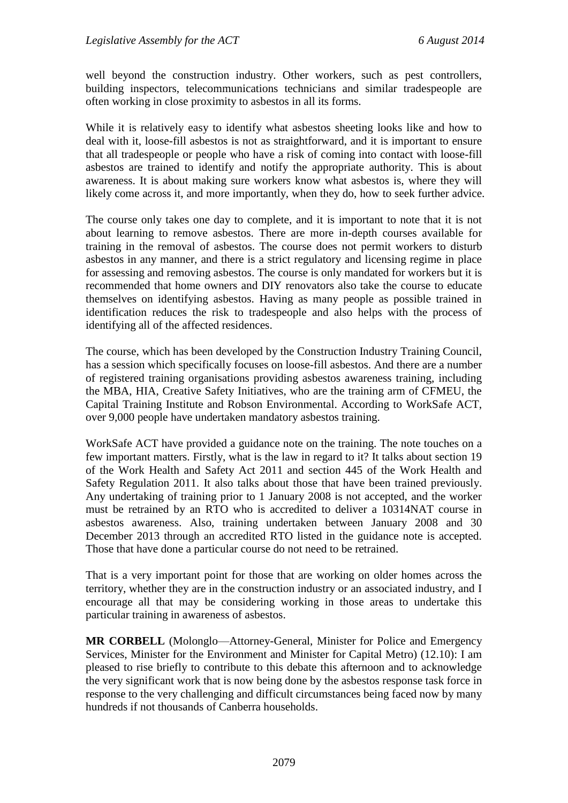well beyond the construction industry. Other workers, such as pest controllers, building inspectors, telecommunications technicians and similar tradespeople are often working in close proximity to asbestos in all its forms.

While it is relatively easy to identify what asbestos sheeting looks like and how to deal with it, loose-fill asbestos is not as straightforward, and it is important to ensure that all tradespeople or people who have a risk of coming into contact with loose-fill asbestos are trained to identify and notify the appropriate authority. This is about awareness. It is about making sure workers know what asbestos is, where they will likely come across it, and more importantly, when they do, how to seek further advice.

The course only takes one day to complete, and it is important to note that it is not about learning to remove asbestos. There are more in-depth courses available for training in the removal of asbestos. The course does not permit workers to disturb asbestos in any manner, and there is a strict regulatory and licensing regime in place for assessing and removing asbestos. The course is only mandated for workers but it is recommended that home owners and DIY renovators also take the course to educate themselves on identifying asbestos. Having as many people as possible trained in identification reduces the risk to tradespeople and also helps with the process of identifying all of the affected residences.

The course, which has been developed by the Construction Industry Training Council, has a session which specifically focuses on loose-fill asbestos. And there are a number of registered training organisations providing asbestos awareness training, including the MBA, HIA, Creative Safety Initiatives, who are the training arm of CFMEU, the Capital Training Institute and Robson Environmental. According to WorkSafe ACT, over 9,000 people have undertaken mandatory asbestos training.

WorkSafe ACT have provided a guidance note on the training. The note touches on a few important matters. Firstly, what is the law in regard to it? It talks about section 19 of the Work Health and Safety Act 2011 and section 445 of the Work Health and Safety Regulation 2011. It also talks about those that have been trained previously. Any undertaking of training prior to 1 January 2008 is not accepted, and the worker must be retrained by an RTO who is accredited to deliver a 10314NAT course in asbestos awareness. Also, training undertaken between January 2008 and 30 December 2013 through an accredited RTO listed in the guidance note is accepted. Those that have done a particular course do not need to be retrained.

That is a very important point for those that are working on older homes across the territory, whether they are in the construction industry or an associated industry, and I encourage all that may be considering working in those areas to undertake this particular training in awareness of asbestos.

**MR CORBELL** (Molonglo—Attorney-General, Minister for Police and Emergency Services, Minister for the Environment and Minister for Capital Metro) (12.10): I am pleased to rise briefly to contribute to this debate this afternoon and to acknowledge the very significant work that is now being done by the asbestos response task force in response to the very challenging and difficult circumstances being faced now by many hundreds if not thousands of Canberra households.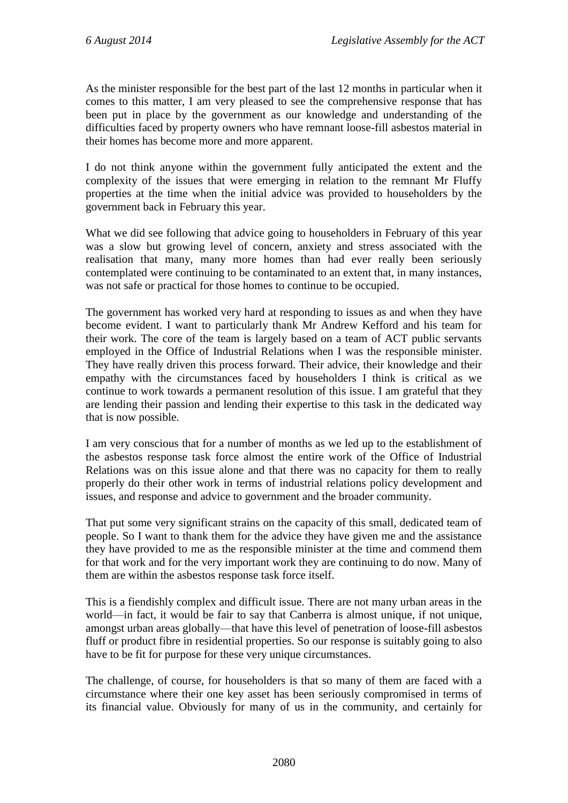As the minister responsible for the best part of the last 12 months in particular when it comes to this matter, I am very pleased to see the comprehensive response that has been put in place by the government as our knowledge and understanding of the difficulties faced by property owners who have remnant loose-fill asbestos material in their homes has become more and more apparent.

I do not think anyone within the government fully anticipated the extent and the complexity of the issues that were emerging in relation to the remnant Mr Fluffy properties at the time when the initial advice was provided to householders by the government back in February this year.

What we did see following that advice going to householders in February of this year was a slow but growing level of concern, anxiety and stress associated with the realisation that many, many more homes than had ever really been seriously contemplated were continuing to be contaminated to an extent that, in many instances, was not safe or practical for those homes to continue to be occupied.

The government has worked very hard at responding to issues as and when they have become evident. I want to particularly thank Mr Andrew Kefford and his team for their work. The core of the team is largely based on a team of ACT public servants employed in the Office of Industrial Relations when I was the responsible minister. They have really driven this process forward. Their advice, their knowledge and their empathy with the circumstances faced by householders I think is critical as we continue to work towards a permanent resolution of this issue. I am grateful that they are lending their passion and lending their expertise to this task in the dedicated way that is now possible.

I am very conscious that for a number of months as we led up to the establishment of the asbestos response task force almost the entire work of the Office of Industrial Relations was on this issue alone and that there was no capacity for them to really properly do their other work in terms of industrial relations policy development and issues, and response and advice to government and the broader community.

That put some very significant strains on the capacity of this small, dedicated team of people. So I want to thank them for the advice they have given me and the assistance they have provided to me as the responsible minister at the time and commend them for that work and for the very important work they are continuing to do now. Many of them are within the asbestos response task force itself.

This is a fiendishly complex and difficult issue. There are not many urban areas in the world—in fact, it would be fair to say that Canberra is almost unique, if not unique, amongst urban areas globally—that have this level of penetration of loose-fill asbestos fluff or product fibre in residential properties. So our response is suitably going to also have to be fit for purpose for these very unique circumstances.

The challenge, of course, for householders is that so many of them are faced with a circumstance where their one key asset has been seriously compromised in terms of its financial value. Obviously for many of us in the community, and certainly for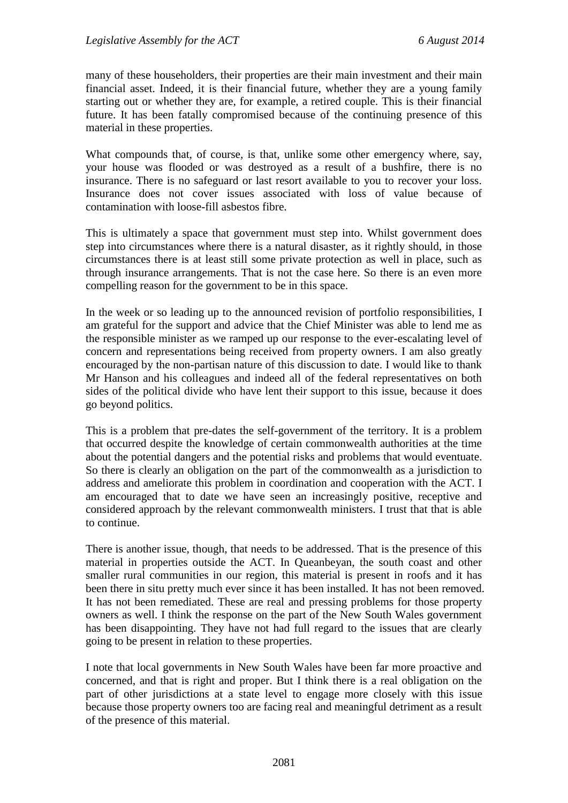many of these householders, their properties are their main investment and their main financial asset. Indeed, it is their financial future, whether they are a young family starting out or whether they are, for example, a retired couple. This is their financial future. It has been fatally compromised because of the continuing presence of this material in these properties.

What compounds that, of course, is that, unlike some other emergency where, say, your house was flooded or was destroyed as a result of a bushfire, there is no insurance. There is no safeguard or last resort available to you to recover your loss. Insurance does not cover issues associated with loss of value because of contamination with loose-fill asbestos fibre.

This is ultimately a space that government must step into. Whilst government does step into circumstances where there is a natural disaster, as it rightly should, in those circumstances there is at least still some private protection as well in place, such as through insurance arrangements. That is not the case here. So there is an even more compelling reason for the government to be in this space.

In the week or so leading up to the announced revision of portfolio responsibilities, I am grateful for the support and advice that the Chief Minister was able to lend me as the responsible minister as we ramped up our response to the ever-escalating level of concern and representations being received from property owners. I am also greatly encouraged by the non-partisan nature of this discussion to date. I would like to thank Mr Hanson and his colleagues and indeed all of the federal representatives on both sides of the political divide who have lent their support to this issue, because it does go beyond politics.

This is a problem that pre-dates the self-government of the territory. It is a problem that occurred despite the knowledge of certain commonwealth authorities at the time about the potential dangers and the potential risks and problems that would eventuate. So there is clearly an obligation on the part of the commonwealth as a jurisdiction to address and ameliorate this problem in coordination and cooperation with the ACT. I am encouraged that to date we have seen an increasingly positive, receptive and considered approach by the relevant commonwealth ministers. I trust that that is able to continue.

There is another issue, though, that needs to be addressed. That is the presence of this material in properties outside the ACT. In Queanbeyan, the south coast and other smaller rural communities in our region, this material is present in roofs and it has been there in situ pretty much ever since it has been installed. It has not been removed. It has not been remediated. These are real and pressing problems for those property owners as well. I think the response on the part of the New South Wales government has been disappointing. They have not had full regard to the issues that are clearly going to be present in relation to these properties.

I note that local governments in New South Wales have been far more proactive and concerned, and that is right and proper. But I think there is a real obligation on the part of other jurisdictions at a state level to engage more closely with this issue because those property owners too are facing real and meaningful detriment as a result of the presence of this material.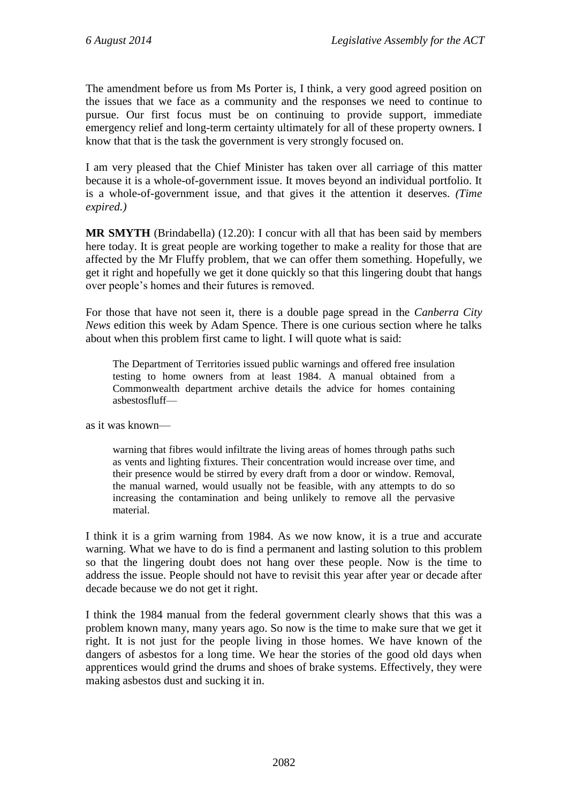The amendment before us from Ms Porter is, I think, a very good agreed position on the issues that we face as a community and the responses we need to continue to pursue. Our first focus must be on continuing to provide support, immediate emergency relief and long-term certainty ultimately for all of these property owners. I know that that is the task the government is very strongly focused on.

I am very pleased that the Chief Minister has taken over all carriage of this matter because it is a whole-of-government issue. It moves beyond an individual portfolio. It is a whole-of-government issue, and that gives it the attention it deserves. *(Time expired.)*

**MR SMYTH** (Brindabella) (12.20): I concur with all that has been said by members here today. It is great people are working together to make a reality for those that are affected by the Mr Fluffy problem, that we can offer them something. Hopefully, we get it right and hopefully we get it done quickly so that this lingering doubt that hangs over people's homes and their futures is removed.

For those that have not seen it, there is a double page spread in the *Canberra City News* edition this week by Adam Spence. There is one curious section where he talks about when this problem first came to light. I will quote what is said:

The Department of Territories issued public warnings and offered free insulation testing to home owners from at least 1984. A manual obtained from a Commonwealth department archive details the advice for homes containing asbestosfluff—

as it was known—

warning that fibres would infiltrate the living areas of homes through paths such as vents and lighting fixtures. Their concentration would increase over time, and their presence would be stirred by every draft from a door or window. Removal, the manual warned, would usually not be feasible, with any attempts to do so increasing the contamination and being unlikely to remove all the pervasive material.

I think it is a grim warning from 1984. As we now know, it is a true and accurate warning. What we have to do is find a permanent and lasting solution to this problem so that the lingering doubt does not hang over these people. Now is the time to address the issue. People should not have to revisit this year after year or decade after decade because we do not get it right.

I think the 1984 manual from the federal government clearly shows that this was a problem known many, many years ago. So now is the time to make sure that we get it right. It is not just for the people living in those homes. We have known of the dangers of asbestos for a long time. We hear the stories of the good old days when apprentices would grind the drums and shoes of brake systems. Effectively, they were making asbestos dust and sucking it in.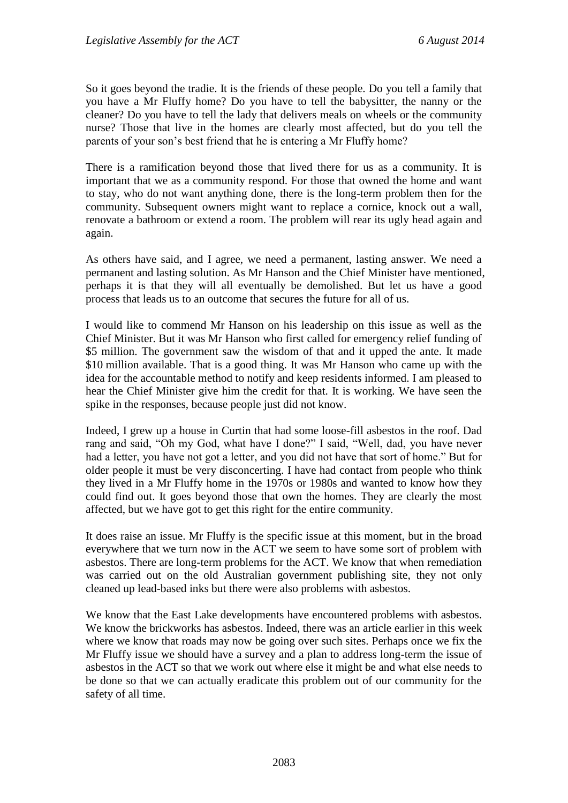So it goes beyond the tradie. It is the friends of these people. Do you tell a family that you have a Mr Fluffy home? Do you have to tell the babysitter, the nanny or the cleaner? Do you have to tell the lady that delivers meals on wheels or the community nurse? Those that live in the homes are clearly most affected, but do you tell the parents of your son's best friend that he is entering a Mr Fluffy home?

There is a ramification beyond those that lived there for us as a community. It is important that we as a community respond. For those that owned the home and want to stay, who do not want anything done, there is the long-term problem then for the community. Subsequent owners might want to replace a cornice, knock out a wall, renovate a bathroom or extend a room. The problem will rear its ugly head again and again.

As others have said, and I agree, we need a permanent, lasting answer. We need a permanent and lasting solution. As Mr Hanson and the Chief Minister have mentioned, perhaps it is that they will all eventually be demolished. But let us have a good process that leads us to an outcome that secures the future for all of us.

I would like to commend Mr Hanson on his leadership on this issue as well as the Chief Minister. But it was Mr Hanson who first called for emergency relief funding of \$5 million. The government saw the wisdom of that and it upped the ante. It made \$10 million available. That is a good thing. It was Mr Hanson who came up with the idea for the accountable method to notify and keep residents informed. I am pleased to hear the Chief Minister give him the credit for that. It is working. We have seen the spike in the responses, because people just did not know.

Indeed, I grew up a house in Curtin that had some loose-fill asbestos in the roof. Dad rang and said, "Oh my God, what have I done?" I said, "Well, dad, you have never had a letter, you have not got a letter, and you did not have that sort of home." But for older people it must be very disconcerting. I have had contact from people who think they lived in a Mr Fluffy home in the 1970s or 1980s and wanted to know how they could find out. It goes beyond those that own the homes. They are clearly the most affected, but we have got to get this right for the entire community.

It does raise an issue. Mr Fluffy is the specific issue at this moment, but in the broad everywhere that we turn now in the ACT we seem to have some sort of problem with asbestos. There are long-term problems for the ACT. We know that when remediation was carried out on the old Australian government publishing site, they not only cleaned up lead-based inks but there were also problems with asbestos.

We know that the East Lake developments have encountered problems with asbestos. We know the brickworks has asbestos. Indeed, there was an article earlier in this week where we know that roads may now be going over such sites. Perhaps once we fix the Mr Fluffy issue we should have a survey and a plan to address long-term the issue of asbestos in the ACT so that we work out where else it might be and what else needs to be done so that we can actually eradicate this problem out of our community for the safety of all time.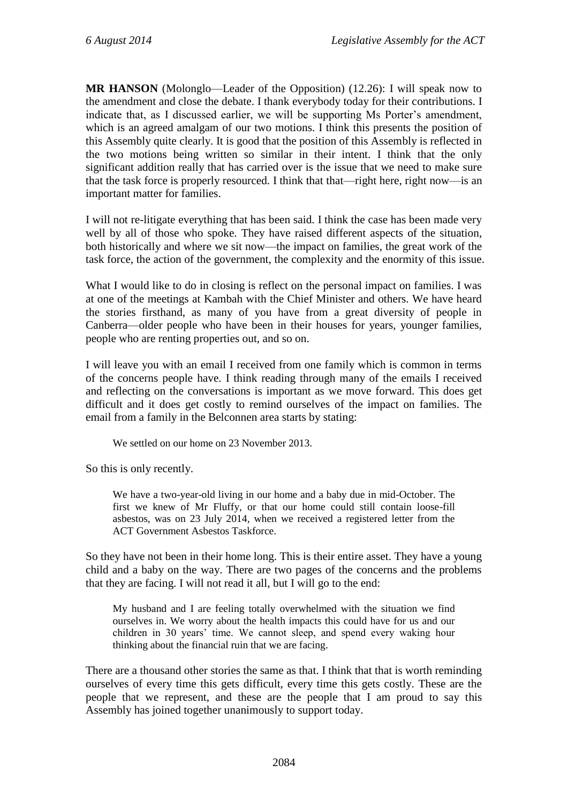**MR HANSON** (Molonglo—Leader of the Opposition) (12.26): I will speak now to the amendment and close the debate. I thank everybody today for their contributions. I indicate that, as I discussed earlier, we will be supporting Ms Porter's amendment, which is an agreed amalgam of our two motions. I think this presents the position of this Assembly quite clearly. It is good that the position of this Assembly is reflected in the two motions being written so similar in their intent. I think that the only significant addition really that has carried over is the issue that we need to make sure that the task force is properly resourced. I think that that—right here, right now—is an important matter for families.

I will not re-litigate everything that has been said. I think the case has been made very well by all of those who spoke. They have raised different aspects of the situation, both historically and where we sit now—the impact on families, the great work of the task force, the action of the government, the complexity and the enormity of this issue.

What I would like to do in closing is reflect on the personal impact on families. I was at one of the meetings at Kambah with the Chief Minister and others. We have heard the stories firsthand, as many of you have from a great diversity of people in Canberra—older people who have been in their houses for years, younger families, people who are renting properties out, and so on.

I will leave you with an email I received from one family which is common in terms of the concerns people have. I think reading through many of the emails I received and reflecting on the conversations is important as we move forward. This does get difficult and it does get costly to remind ourselves of the impact on families. The email from a family in the Belconnen area starts by stating:

We settled on our home on 23 November 2013.

So this is only recently.

We have a two-year-old living in our home and a baby due in mid-October. The first we knew of Mr Fluffy, or that our home could still contain loose-fill asbestos, was on 23 July 2014, when we received a registered letter from the ACT Government Asbestos Taskforce.

So they have not been in their home long. This is their entire asset. They have a young child and a baby on the way. There are two pages of the concerns and the problems that they are facing. I will not read it all, but I will go to the end:

My husband and I are feeling totally overwhelmed with the situation we find ourselves in. We worry about the health impacts this could have for us and our children in 30 years' time. We cannot sleep, and spend every waking hour thinking about the financial ruin that we are facing.

There are a thousand other stories the same as that. I think that that is worth reminding ourselves of every time this gets difficult, every time this gets costly. These are the people that we represent, and these are the people that I am proud to say this Assembly has joined together unanimously to support today.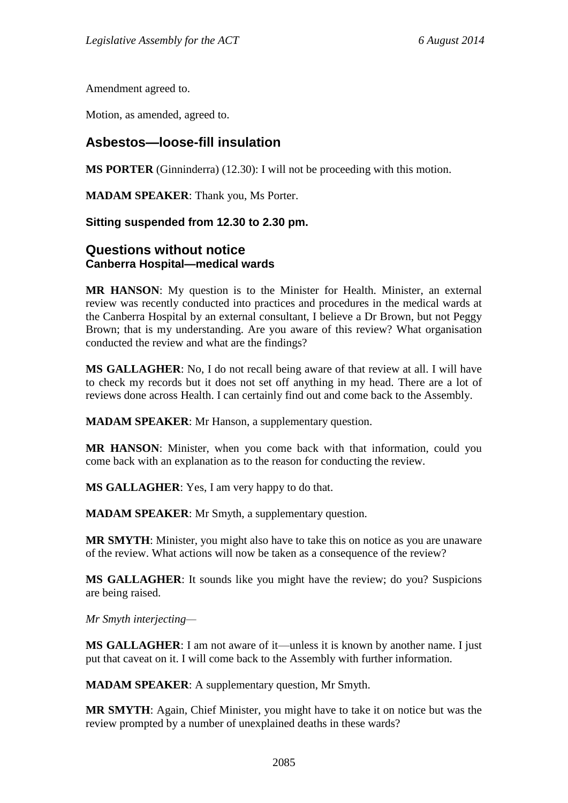Amendment agreed to.

Motion, as amended, agreed to.

# **Asbestos—loose-fill insulation**

**MS PORTER** (Ginninderra) (12.30): I will not be proceeding with this motion.

**MADAM SPEAKER**: Thank you, Ms Porter.

### **Sitting suspended from 12.30 to 2.30 pm.**

## **Questions without notice Canberra Hospital—medical wards**

**MR HANSON**: My question is to the Minister for Health. Minister, an external review was recently conducted into practices and procedures in the medical wards at the Canberra Hospital by an external consultant, I believe a Dr Brown, but not Peggy Brown; that is my understanding. Are you aware of this review? What organisation conducted the review and what are the findings?

**MS GALLAGHER**: No, I do not recall being aware of that review at all. I will have to check my records but it does not set off anything in my head. There are a lot of reviews done across Health. I can certainly find out and come back to the Assembly.

**MADAM SPEAKER**: Mr Hanson, a supplementary question.

**MR HANSON**: Minister, when you come back with that information, could you come back with an explanation as to the reason for conducting the review.

**MS GALLAGHER**: Yes, I am very happy to do that.

**MADAM SPEAKER**: Mr Smyth, a supplementary question.

**MR SMYTH:** Minister, you might also have to take this on notice as you are unaware of the review. What actions will now be taken as a consequence of the review?

**MS GALLAGHER**: It sounds like you might have the review; do you? Suspicions are being raised.

*Mr Smyth interjecting—*

**MS GALLAGHER**: I am not aware of it—unless it is known by another name. I just put that caveat on it. I will come back to the Assembly with further information.

**MADAM SPEAKER**: A supplementary question, Mr Smyth.

**MR SMYTH**: Again, Chief Minister, you might have to take it on notice but was the review prompted by a number of unexplained deaths in these wards?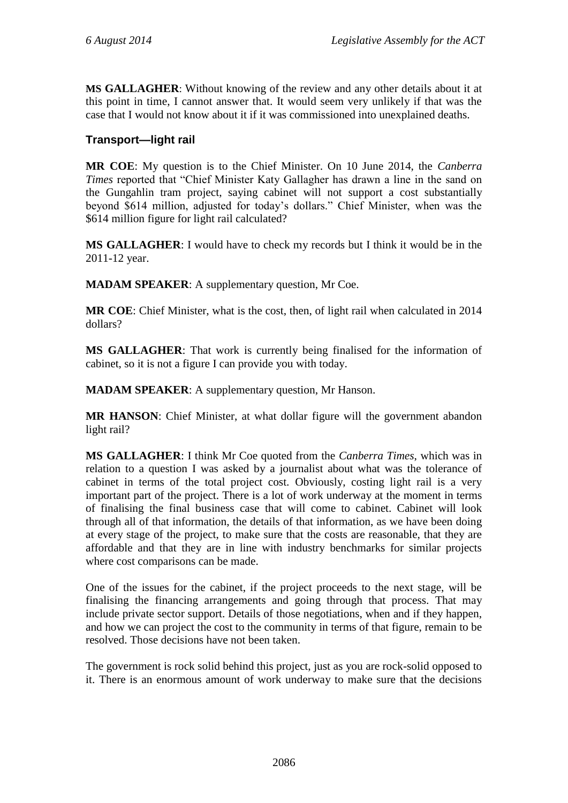**MS GALLAGHER**: Without knowing of the review and any other details about it at this point in time, I cannot answer that. It would seem very unlikely if that was the case that I would not know about it if it was commissioned into unexplained deaths.

## **Transport—light rail**

**MR COE**: My question is to the Chief Minister. On 10 June 2014, the *Canberra Times* reported that "Chief Minister Katy Gallagher has drawn a line in the sand on the Gungahlin tram project, saying cabinet will not support a cost substantially beyond \$614 million, adjusted for today's dollars." Chief Minister, when was the \$614 million figure for light rail calculated?

**MS GALLAGHER**: I would have to check my records but I think it would be in the 2011-12 year.

**MADAM SPEAKER**: A supplementary question, Mr Coe.

**MR COE**: Chief Minister, what is the cost, then, of light rail when calculated in 2014 dollars?

**MS GALLAGHER**: That work is currently being finalised for the information of cabinet, so it is not a figure I can provide you with today.

**MADAM SPEAKER**: A supplementary question, Mr Hanson.

**MR HANSON**: Chief Minister, at what dollar figure will the government abandon light rail?

**MS GALLAGHER**: I think Mr Coe quoted from the *Canberra Times*, which was in relation to a question I was asked by a journalist about what was the tolerance of cabinet in terms of the total project cost. Obviously, costing light rail is a very important part of the project. There is a lot of work underway at the moment in terms of finalising the final business case that will come to cabinet. Cabinet will look through all of that information, the details of that information, as we have been doing at every stage of the project, to make sure that the costs are reasonable, that they are affordable and that they are in line with industry benchmarks for similar projects where cost comparisons can be made.

One of the issues for the cabinet, if the project proceeds to the next stage, will be finalising the financing arrangements and going through that process. That may include private sector support. Details of those negotiations, when and if they happen, and how we can project the cost to the community in terms of that figure, remain to be resolved. Those decisions have not been taken.

The government is rock solid behind this project, just as you are rock-solid opposed to it. There is an enormous amount of work underway to make sure that the decisions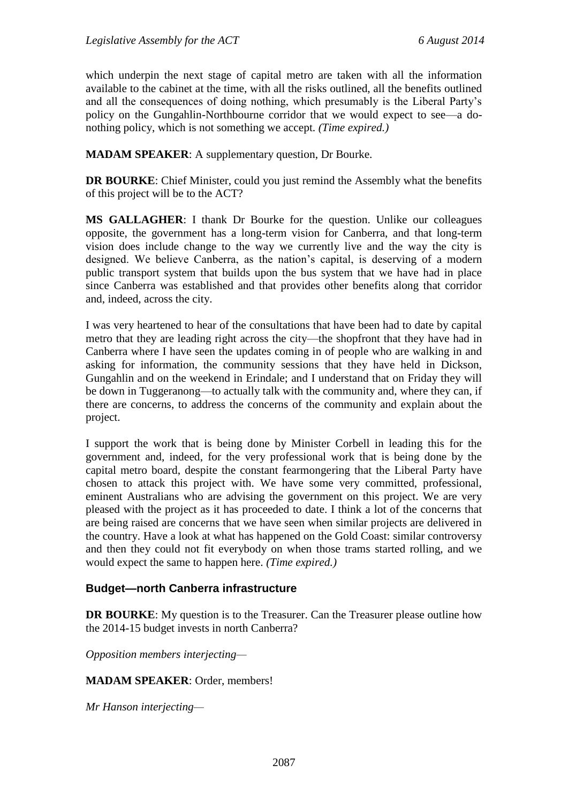which underpin the next stage of capital metro are taken with all the information available to the cabinet at the time, with all the risks outlined, all the benefits outlined and all the consequences of doing nothing, which presumably is the Liberal Party's policy on the Gungahlin-Northbourne corridor that we would expect to see—a donothing policy, which is not something we accept. *(Time expired.)*

**MADAM SPEAKER**: A supplementary question, Dr Bourke.

**DR BOURKE:** Chief Minister, could you just remind the Assembly what the benefits of this project will be to the ACT?

**MS GALLAGHER**: I thank Dr Bourke for the question. Unlike our colleagues opposite, the government has a long-term vision for Canberra, and that long-term vision does include change to the way we currently live and the way the city is designed. We believe Canberra, as the nation's capital, is deserving of a modern public transport system that builds upon the bus system that we have had in place since Canberra was established and that provides other benefits along that corridor and, indeed, across the city.

I was very heartened to hear of the consultations that have been had to date by capital metro that they are leading right across the city—the shopfront that they have had in Canberra where I have seen the updates coming in of people who are walking in and asking for information, the community sessions that they have held in Dickson, Gungahlin and on the weekend in Erindale; and I understand that on Friday they will be down in Tuggeranong—to actually talk with the community and, where they can, if there are concerns, to address the concerns of the community and explain about the project.

I support the work that is being done by Minister Corbell in leading this for the government and, indeed, for the very professional work that is being done by the capital metro board, despite the constant fearmongering that the Liberal Party have chosen to attack this project with. We have some very committed, professional, eminent Australians who are advising the government on this project. We are very pleased with the project as it has proceeded to date. I think a lot of the concerns that are being raised are concerns that we have seen when similar projects are delivered in the country. Have a look at what has happened on the Gold Coast: similar controversy and then they could not fit everybody on when those trams started rolling, and we would expect the same to happen here. *(Time expired.)*

#### **Budget—north Canberra infrastructure**

**DR BOURKE:** My question is to the Treasurer. Can the Treasurer please outline how the 2014-15 budget invests in north Canberra?

*Opposition members interjecting—*

#### **MADAM SPEAKER**: Order, members!

*Mr Hanson interjecting—*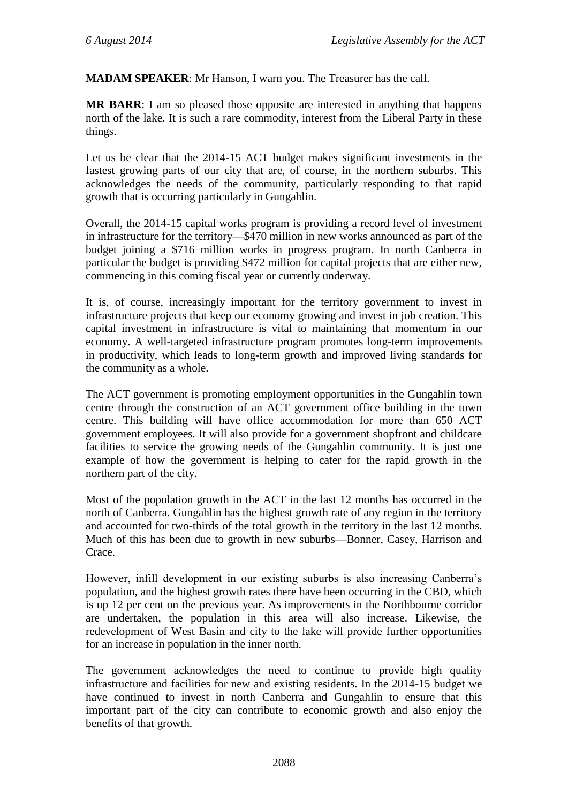**MADAM SPEAKER**: Mr Hanson, I warn you. The Treasurer has the call.

**MR BARR**: I am so pleased those opposite are interested in anything that happens north of the lake. It is such a rare commodity, interest from the Liberal Party in these things.

Let us be clear that the 2014-15 ACT budget makes significant investments in the fastest growing parts of our city that are, of course, in the northern suburbs. This acknowledges the needs of the community, particularly responding to that rapid growth that is occurring particularly in Gungahlin.

Overall, the 2014-15 capital works program is providing a record level of investment in infrastructure for the territory—\$470 million in new works announced as part of the budget joining a \$716 million works in progress program. In north Canberra in particular the budget is providing \$472 million for capital projects that are either new, commencing in this coming fiscal year or currently underway.

It is, of course, increasingly important for the territory government to invest in infrastructure projects that keep our economy growing and invest in job creation. This capital investment in infrastructure is vital to maintaining that momentum in our economy. A well-targeted infrastructure program promotes long-term improvements in productivity, which leads to long-term growth and improved living standards for the community as a whole.

The ACT government is promoting employment opportunities in the Gungahlin town centre through the construction of an ACT government office building in the town centre. This building will have office accommodation for more than 650 ACT government employees. It will also provide for a government shopfront and childcare facilities to service the growing needs of the Gungahlin community. It is just one example of how the government is helping to cater for the rapid growth in the northern part of the city.

Most of the population growth in the ACT in the last 12 months has occurred in the north of Canberra. Gungahlin has the highest growth rate of any region in the territory and accounted for two-thirds of the total growth in the territory in the last 12 months. Much of this has been due to growth in new suburbs—Bonner, Casey, Harrison and Crace.

However, infill development in our existing suburbs is also increasing Canberra's population, and the highest growth rates there have been occurring in the CBD, which is up 12 per cent on the previous year. As improvements in the Northbourne corridor are undertaken, the population in this area will also increase. Likewise, the redevelopment of West Basin and city to the lake will provide further opportunities for an increase in population in the inner north.

The government acknowledges the need to continue to provide high quality infrastructure and facilities for new and existing residents. In the 2014-15 budget we have continued to invest in north Canberra and Gungahlin to ensure that this important part of the city can contribute to economic growth and also enjoy the benefits of that growth.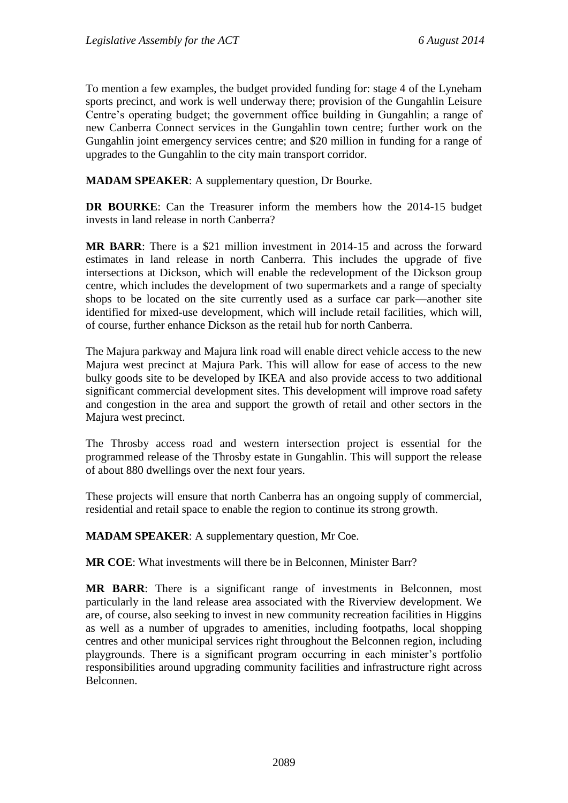To mention a few examples, the budget provided funding for: stage 4 of the Lyneham sports precinct, and work is well underway there; provision of the Gungahlin Leisure Centre's operating budget; the government office building in Gungahlin; a range of new Canberra Connect services in the Gungahlin town centre; further work on the Gungahlin joint emergency services centre; and \$20 million in funding for a range of upgrades to the Gungahlin to the city main transport corridor.

**MADAM SPEAKER**: A supplementary question, Dr Bourke.

**DR BOURKE**: Can the Treasurer inform the members how the 2014-15 budget invests in land release in north Canberra?

**MR BARR**: There is a \$21 million investment in 2014-15 and across the forward estimates in land release in north Canberra. This includes the upgrade of five intersections at Dickson, which will enable the redevelopment of the Dickson group centre, which includes the development of two supermarkets and a range of specialty shops to be located on the site currently used as a surface car park—another site identified for mixed-use development, which will include retail facilities, which will, of course, further enhance Dickson as the retail hub for north Canberra.

The Majura parkway and Majura link road will enable direct vehicle access to the new Majura west precinct at Majura Park. This will allow for ease of access to the new bulky goods site to be developed by IKEA and also provide access to two additional significant commercial development sites. This development will improve road safety and congestion in the area and support the growth of retail and other sectors in the Majura west precinct.

The Throsby access road and western intersection project is essential for the programmed release of the Throsby estate in Gungahlin. This will support the release of about 880 dwellings over the next four years.

These projects will ensure that north Canberra has an ongoing supply of commercial, residential and retail space to enable the region to continue its strong growth.

**MADAM SPEAKER**: A supplementary question, Mr Coe.

**MR COE**: What investments will there be in Belconnen, Minister Barr?

**MR BARR**: There is a significant range of investments in Belconnen, most particularly in the land release area associated with the Riverview development. We are, of course, also seeking to invest in new community recreation facilities in Higgins as well as a number of upgrades to amenities, including footpaths, local shopping centres and other municipal services right throughout the Belconnen region, including playgrounds. There is a significant program occurring in each minister's portfolio responsibilities around upgrading community facilities and infrastructure right across Belconnen.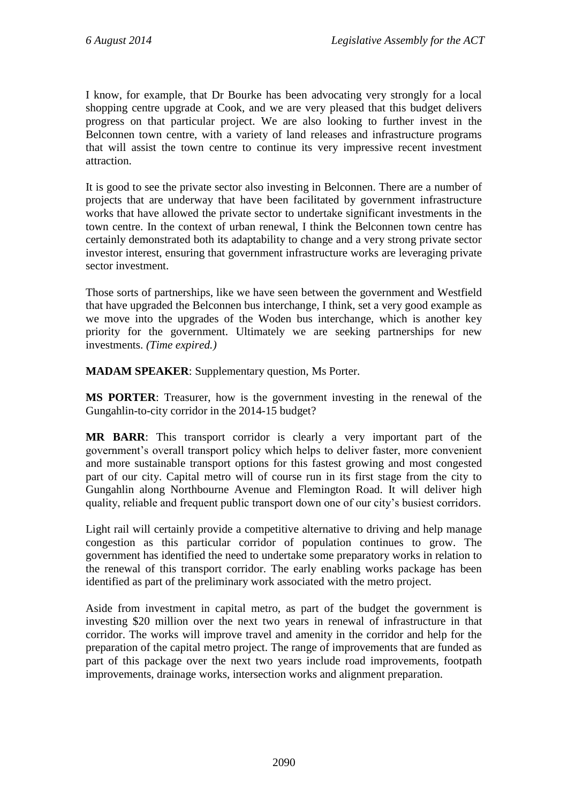I know, for example, that Dr Bourke has been advocating very strongly for a local shopping centre upgrade at Cook, and we are very pleased that this budget delivers progress on that particular project. We are also looking to further invest in the Belconnen town centre, with a variety of land releases and infrastructure programs that will assist the town centre to continue its very impressive recent investment attraction.

It is good to see the private sector also investing in Belconnen. There are a number of projects that are underway that have been facilitated by government infrastructure works that have allowed the private sector to undertake significant investments in the town centre. In the context of urban renewal, I think the Belconnen town centre has certainly demonstrated both its adaptability to change and a very strong private sector investor interest, ensuring that government infrastructure works are leveraging private sector investment.

Those sorts of partnerships, like we have seen between the government and Westfield that have upgraded the Belconnen bus interchange, I think, set a very good example as we move into the upgrades of the Woden bus interchange, which is another key priority for the government. Ultimately we are seeking partnerships for new investments. *(Time expired.)*

**MADAM SPEAKER**: Supplementary question, Ms Porter.

**MS PORTER**: Treasurer, how is the government investing in the renewal of the Gungahlin-to-city corridor in the 2014-15 budget?

**MR BARR**: This transport corridor is clearly a very important part of the government's overall transport policy which helps to deliver faster, more convenient and more sustainable transport options for this fastest growing and most congested part of our city. Capital metro will of course run in its first stage from the city to Gungahlin along Northbourne Avenue and Flemington Road. It will deliver high quality, reliable and frequent public transport down one of our city's busiest corridors.

Light rail will certainly provide a competitive alternative to driving and help manage congestion as this particular corridor of population continues to grow. The government has identified the need to undertake some preparatory works in relation to the renewal of this transport corridor. The early enabling works package has been identified as part of the preliminary work associated with the metro project.

Aside from investment in capital metro, as part of the budget the government is investing \$20 million over the next two years in renewal of infrastructure in that corridor. The works will improve travel and amenity in the corridor and help for the preparation of the capital metro project. The range of improvements that are funded as part of this package over the next two years include road improvements, footpath improvements, drainage works, intersection works and alignment preparation.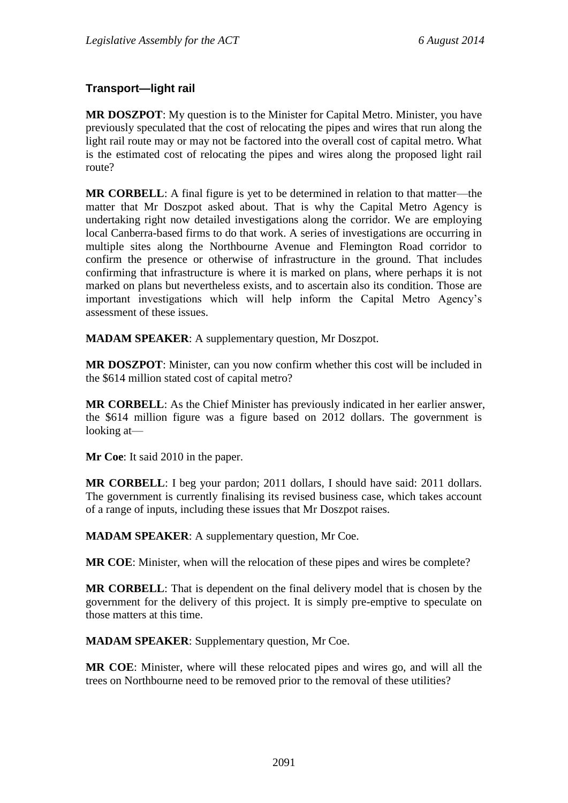## **Transport—light rail**

**MR DOSZPOT**: My question is to the Minister for Capital Metro. Minister, you have previously speculated that the cost of relocating the pipes and wires that run along the light rail route may or may not be factored into the overall cost of capital metro. What is the estimated cost of relocating the pipes and wires along the proposed light rail route?

**MR CORBELL**: A final figure is yet to be determined in relation to that matter—the matter that Mr Doszpot asked about. That is why the Capital Metro Agency is undertaking right now detailed investigations along the corridor. We are employing local Canberra-based firms to do that work. A series of investigations are occurring in multiple sites along the Northbourne Avenue and Flemington Road corridor to confirm the presence or otherwise of infrastructure in the ground. That includes confirming that infrastructure is where it is marked on plans, where perhaps it is not marked on plans but nevertheless exists, and to ascertain also its condition. Those are important investigations which will help inform the Capital Metro Agency's assessment of these issues.

**MADAM SPEAKER**: A supplementary question, Mr Doszpot.

**MR DOSZPOT**: Minister, can you now confirm whether this cost will be included in the \$614 million stated cost of capital metro?

**MR CORBELL**: As the Chief Minister has previously indicated in her earlier answer, the \$614 million figure was a figure based on 2012 dollars. The government is looking at—

**Mr Coe**: It said 2010 in the paper.

**MR CORBELL**: I beg your pardon; 2011 dollars, I should have said: 2011 dollars. The government is currently finalising its revised business case, which takes account of a range of inputs, including these issues that Mr Doszpot raises.

**MADAM SPEAKER**: A supplementary question, Mr Coe.

**MR COE**: Minister, when will the relocation of these pipes and wires be complete?

**MR CORBELL**: That is dependent on the final delivery model that is chosen by the government for the delivery of this project. It is simply pre-emptive to speculate on those matters at this time.

**MADAM SPEAKER**: Supplementary question, Mr Coe.

**MR COE**: Minister, where will these relocated pipes and wires go, and will all the trees on Northbourne need to be removed prior to the removal of these utilities?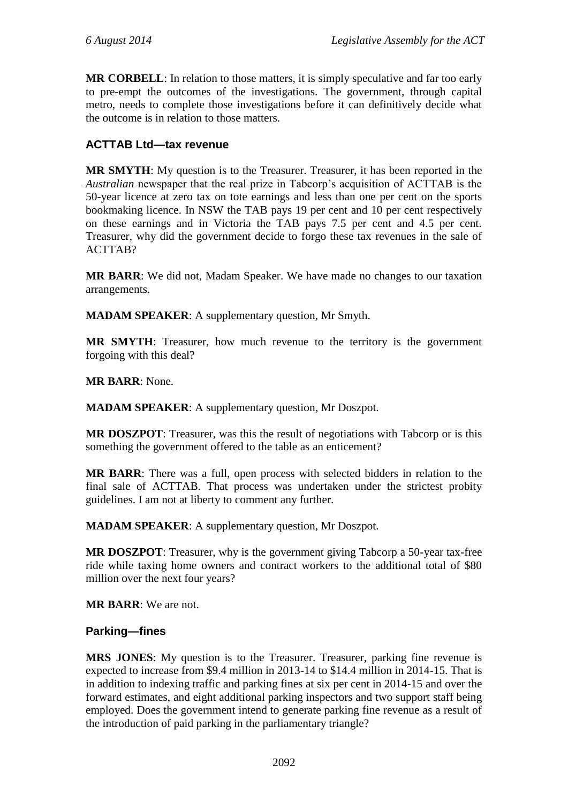**MR CORBELL:** In relation to those matters, it is simply speculative and far too early to pre-empt the outcomes of the investigations. The government, through capital metro, needs to complete those investigations before it can definitively decide what the outcome is in relation to those matters.

## **ACTTAB Ltd—tax revenue**

**MR SMYTH**: My question is to the Treasurer. Treasurer, it has been reported in the *Australian* newspaper that the real prize in Tabcorp's acquisition of ACTTAB is the 50-year licence at zero tax on tote earnings and less than one per cent on the sports bookmaking licence. In NSW the TAB pays 19 per cent and 10 per cent respectively on these earnings and in Victoria the TAB pays 7.5 per cent and 4.5 per cent. Treasurer, why did the government decide to forgo these tax revenues in the sale of ACTTAB?

**MR BARR**: We did not, Madam Speaker. We have made no changes to our taxation arrangements.

**MADAM SPEAKER**: A supplementary question, Mr Smyth.

**MR SMYTH**: Treasurer, how much revenue to the territory is the government forgoing with this deal?

**MR BARR**: None.

**MADAM SPEAKER**: A supplementary question, Mr Doszpot.

**MR DOSZPOT**: Treasurer, was this the result of negotiations with Tabcorp or is this something the government offered to the table as an enticement?

**MR BARR**: There was a full, open process with selected bidders in relation to the final sale of ACTTAB. That process was undertaken under the strictest probity guidelines. I am not at liberty to comment any further.

**MADAM SPEAKER**: A supplementary question, Mr Doszpot.

**MR DOSZPOT**: Treasurer, why is the government giving Tabcorp a 50-year tax-free ride while taxing home owners and contract workers to the additional total of \$80 million over the next four years?

**MR BARR**: We are not.

#### **Parking—fines**

**MRS JONES**: My question is to the Treasurer. Treasurer, parking fine revenue is expected to increase from \$9.4 million in 2013-14 to \$14.4 million in 2014-15. That is in addition to indexing traffic and parking fines at six per cent in 2014-15 and over the forward estimates, and eight additional parking inspectors and two support staff being employed. Does the government intend to generate parking fine revenue as a result of the introduction of paid parking in the parliamentary triangle?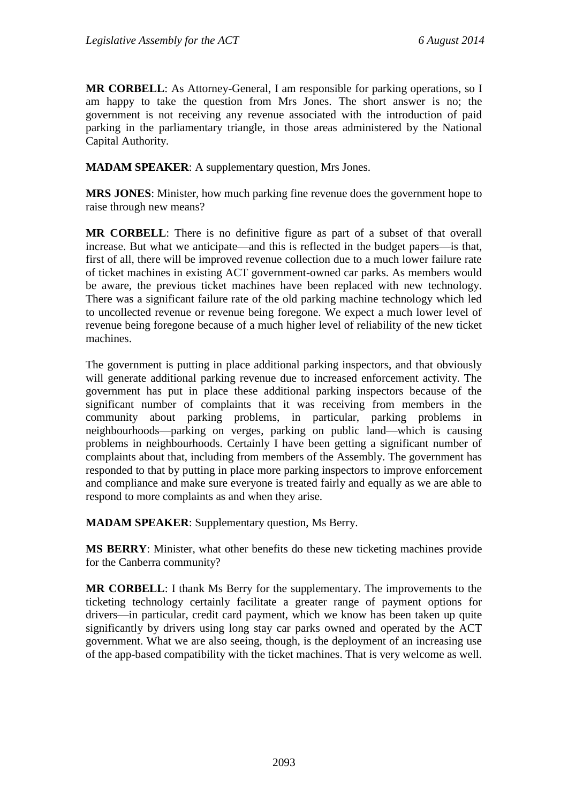**MR CORBELL**: As Attorney-General, I am responsible for parking operations, so I am happy to take the question from Mrs Jones. The short answer is no; the government is not receiving any revenue associated with the introduction of paid parking in the parliamentary triangle, in those areas administered by the National Capital Authority.

**MADAM SPEAKER**: A supplementary question, Mrs Jones.

**MRS JONES**: Minister, how much parking fine revenue does the government hope to raise through new means?

**MR CORBELL**: There is no definitive figure as part of a subset of that overall increase. But what we anticipate—and this is reflected in the budget papers—is that, first of all, there will be improved revenue collection due to a much lower failure rate of ticket machines in existing ACT government-owned car parks. As members would be aware, the previous ticket machines have been replaced with new technology. There was a significant failure rate of the old parking machine technology which led to uncollected revenue or revenue being foregone. We expect a much lower level of revenue being foregone because of a much higher level of reliability of the new ticket machines.

The government is putting in place additional parking inspectors, and that obviously will generate additional parking revenue due to increased enforcement activity. The government has put in place these additional parking inspectors because of the significant number of complaints that it was receiving from members in the community about parking problems, in particular, parking problems in neighbourhoods—parking on verges, parking on public land—which is causing problems in neighbourhoods. Certainly I have been getting a significant number of complaints about that, including from members of the Assembly. The government has responded to that by putting in place more parking inspectors to improve enforcement and compliance and make sure everyone is treated fairly and equally as we are able to respond to more complaints as and when they arise.

**MADAM SPEAKER**: Supplementary question, Ms Berry.

**MS BERRY**: Minister, what other benefits do these new ticketing machines provide for the Canberra community?

**MR CORBELL**: I thank Ms Berry for the supplementary. The improvements to the ticketing technology certainly facilitate a greater range of payment options for drivers—in particular, credit card payment, which we know has been taken up quite significantly by drivers using long stay car parks owned and operated by the ACT government. What we are also seeing, though, is the deployment of an increasing use of the app-based compatibility with the ticket machines. That is very welcome as well.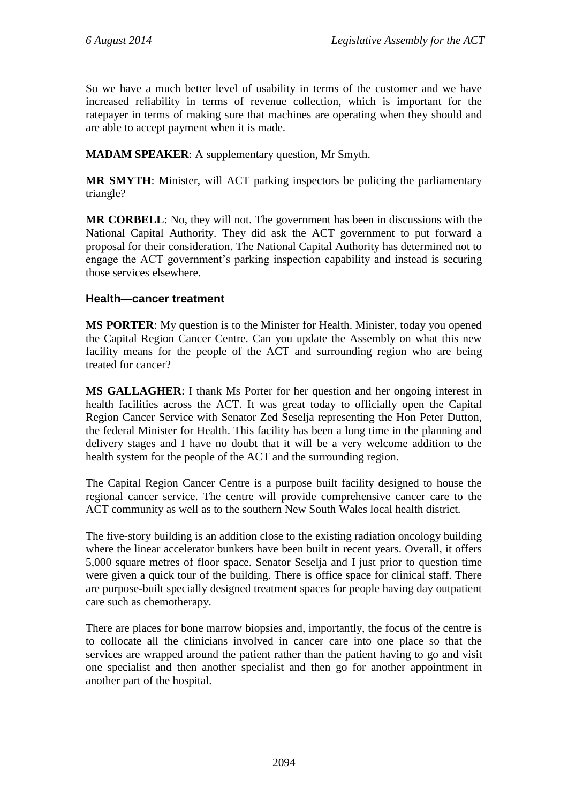So we have a much better level of usability in terms of the customer and we have increased reliability in terms of revenue collection, which is important for the ratepayer in terms of making sure that machines are operating when they should and are able to accept payment when it is made.

**MADAM SPEAKER**: A supplementary question, Mr Smyth.

**MR SMYTH**: Minister, will ACT parking inspectors be policing the parliamentary triangle?

**MR CORBELL**: No, they will not. The government has been in discussions with the National Capital Authority. They did ask the ACT government to put forward a proposal for their consideration. The National Capital Authority has determined not to engage the ACT government's parking inspection capability and instead is securing those services elsewhere.

### **Health—cancer treatment**

**MS PORTER**: My question is to the Minister for Health. Minister, today you opened the Capital Region Cancer Centre. Can you update the Assembly on what this new facility means for the people of the ACT and surrounding region who are being treated for cancer?

**MS GALLAGHER**: I thank Ms Porter for her question and her ongoing interest in health facilities across the ACT. It was great today to officially open the Capital Region Cancer Service with Senator Zed Seselja representing the Hon Peter Dutton, the federal Minister for Health. This facility has been a long time in the planning and delivery stages and I have no doubt that it will be a very welcome addition to the health system for the people of the ACT and the surrounding region.

The Capital Region Cancer Centre is a purpose built facility designed to house the regional cancer service. The centre will provide comprehensive cancer care to the ACT community as well as to the southern New South Wales local health district.

The five-story building is an addition close to the existing radiation oncology building where the linear accelerator bunkers have been built in recent years. Overall, it offers 5,000 square metres of floor space. Senator Seselja and I just prior to question time were given a quick tour of the building. There is office space for clinical staff. There are purpose-built specially designed treatment spaces for people having day outpatient care such as chemotherapy.

There are places for bone marrow biopsies and, importantly, the focus of the centre is to collocate all the clinicians involved in cancer care into one place so that the services are wrapped around the patient rather than the patient having to go and visit one specialist and then another specialist and then go for another appointment in another part of the hospital.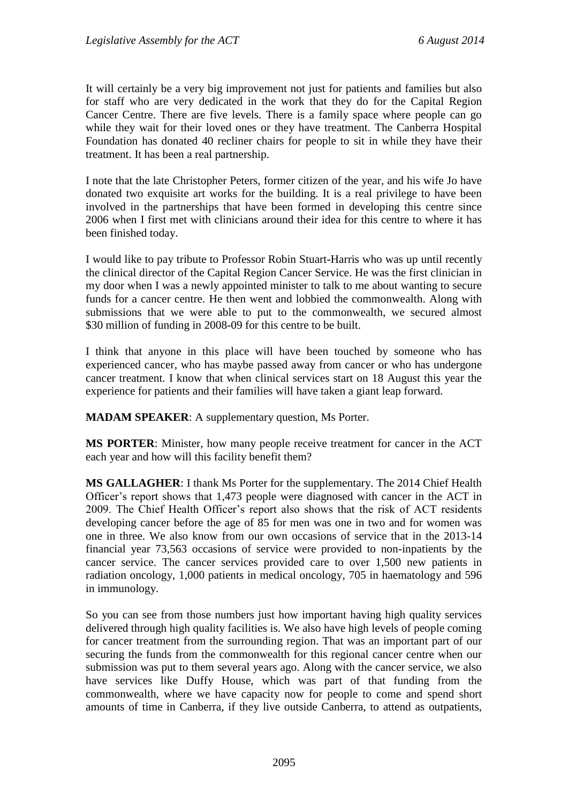It will certainly be a very big improvement not just for patients and families but also for staff who are very dedicated in the work that they do for the Capital Region Cancer Centre. There are five levels. There is a family space where people can go while they wait for their loved ones or they have treatment. The Canberra Hospital Foundation has donated 40 recliner chairs for people to sit in while they have their treatment. It has been a real partnership.

I note that the late Christopher Peters, former citizen of the year, and his wife Jo have donated two exquisite art works for the building. It is a real privilege to have been involved in the partnerships that have been formed in developing this centre since 2006 when I first met with clinicians around their idea for this centre to where it has been finished today.

I would like to pay tribute to Professor Robin Stuart-Harris who was up until recently the clinical director of the Capital Region Cancer Service. He was the first clinician in my door when I was a newly appointed minister to talk to me about wanting to secure funds for a cancer centre. He then went and lobbied the commonwealth. Along with submissions that we were able to put to the commonwealth, we secured almost \$30 million of funding in 2008-09 for this centre to be built.

I think that anyone in this place will have been touched by someone who has experienced cancer, who has maybe passed away from cancer or who has undergone cancer treatment. I know that when clinical services start on 18 August this year the experience for patients and their families will have taken a giant leap forward.

**MADAM SPEAKER**: A supplementary question, Ms Porter.

**MS PORTER**: Minister, how many people receive treatment for cancer in the ACT each year and how will this facility benefit them?

**MS GALLAGHER**: I thank Ms Porter for the supplementary. The 2014 Chief Health Officer's report shows that 1,473 people were diagnosed with cancer in the ACT in 2009. The Chief Health Officer's report also shows that the risk of ACT residents developing cancer before the age of 85 for men was one in two and for women was one in three. We also know from our own occasions of service that in the 2013-14 financial year 73,563 occasions of service were provided to non-inpatients by the cancer service. The cancer services provided care to over 1,500 new patients in radiation oncology, 1,000 patients in medical oncology, 705 in haematology and 596 in immunology.

So you can see from those numbers just how important having high quality services delivered through high quality facilities is. We also have high levels of people coming for cancer treatment from the surrounding region. That was an important part of our securing the funds from the commonwealth for this regional cancer centre when our submission was put to them several years ago. Along with the cancer service, we also have services like Duffy House, which was part of that funding from the commonwealth, where we have capacity now for people to come and spend short amounts of time in Canberra, if they live outside Canberra, to attend as outpatients,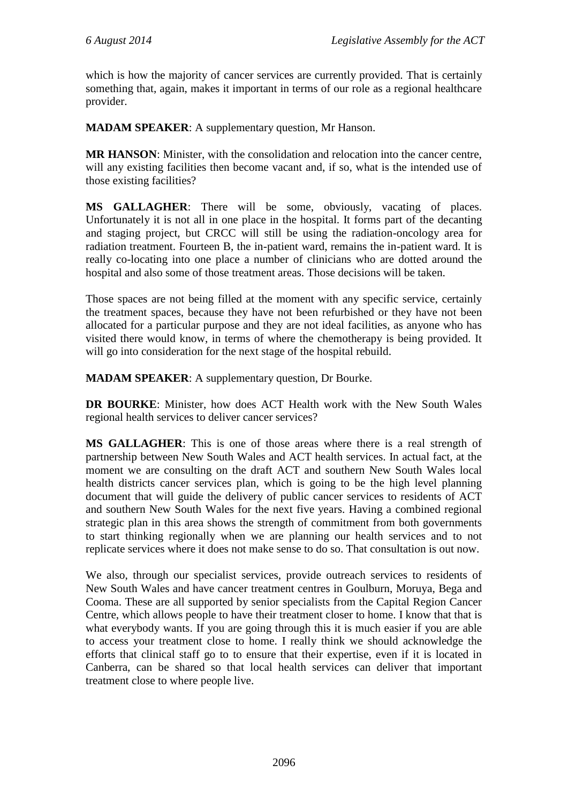which is how the majority of cancer services are currently provided. That is certainly something that, again, makes it important in terms of our role as a regional healthcare provider.

**MADAM SPEAKER**: A supplementary question, Mr Hanson.

**MR HANSON**: Minister, with the consolidation and relocation into the cancer centre, will any existing facilities then become vacant and, if so, what is the intended use of those existing facilities?

**MS GALLAGHER**: There will be some, obviously, vacating of places. Unfortunately it is not all in one place in the hospital. It forms part of the decanting and staging project, but CRCC will still be using the radiation-oncology area for radiation treatment. Fourteen B, the in-patient ward, remains the in-patient ward. It is really co-locating into one place a number of clinicians who are dotted around the hospital and also some of those treatment areas. Those decisions will be taken.

Those spaces are not being filled at the moment with any specific service, certainly the treatment spaces, because they have not been refurbished or they have not been allocated for a particular purpose and they are not ideal facilities, as anyone who has visited there would know, in terms of where the chemotherapy is being provided. It will go into consideration for the next stage of the hospital rebuild.

**MADAM SPEAKER**: A supplementary question, Dr Bourke.

**DR BOURKE**: Minister, how does ACT Health work with the New South Wales regional health services to deliver cancer services?

**MS GALLAGHER**: This is one of those areas where there is a real strength of partnership between New South Wales and ACT health services. In actual fact, at the moment we are consulting on the draft ACT and southern New South Wales local health districts cancer services plan, which is going to be the high level planning document that will guide the delivery of public cancer services to residents of ACT and southern New South Wales for the next five years. Having a combined regional strategic plan in this area shows the strength of commitment from both governments to start thinking regionally when we are planning our health services and to not replicate services where it does not make sense to do so. That consultation is out now.

We also, through our specialist services, provide outreach services to residents of New South Wales and have cancer treatment centres in Goulburn, Moruya, Bega and Cooma. These are all supported by senior specialists from the Capital Region Cancer Centre, which allows people to have their treatment closer to home. I know that that is what everybody wants. If you are going through this it is much easier if you are able to access your treatment close to home. I really think we should acknowledge the efforts that clinical staff go to to ensure that their expertise, even if it is located in Canberra, can be shared so that local health services can deliver that important treatment close to where people live.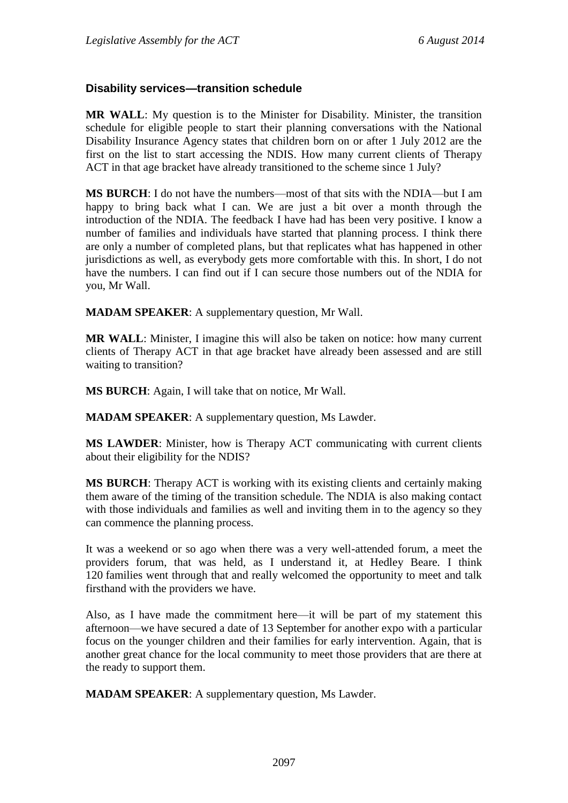#### **Disability services—transition schedule**

**MR WALL**: My question is to the Minister for Disability. Minister, the transition schedule for eligible people to start their planning conversations with the National Disability Insurance Agency states that children born on or after 1 July 2012 are the first on the list to start accessing the NDIS. How many current clients of Therapy ACT in that age bracket have already transitioned to the scheme since 1 July?

**MS BURCH**: I do not have the numbers—most of that sits with the NDIA—but I am happy to bring back what I can. We are just a bit over a month through the introduction of the NDIA. The feedback I have had has been very positive. I know a number of families and individuals have started that planning process. I think there are only a number of completed plans, but that replicates what has happened in other jurisdictions as well, as everybody gets more comfortable with this. In short, I do not have the numbers. I can find out if I can secure those numbers out of the NDIA for you, Mr Wall.

**MADAM SPEAKER**: A supplementary question, Mr Wall.

**MR WALL**: Minister, I imagine this will also be taken on notice: how many current clients of Therapy ACT in that age bracket have already been assessed and are still waiting to transition?

**MS BURCH**: Again, I will take that on notice, Mr Wall.

**MADAM SPEAKER**: A supplementary question, Ms Lawder.

**MS LAWDER**: Minister, how is Therapy ACT communicating with current clients about their eligibility for the NDIS?

**MS BURCH**: Therapy ACT is working with its existing clients and certainly making them aware of the timing of the transition schedule. The NDIA is also making contact with those individuals and families as well and inviting them in to the agency so they can commence the planning process.

It was a weekend or so ago when there was a very well-attended forum, a meet the providers forum, that was held, as I understand it, at Hedley Beare. I think 120 families went through that and really welcomed the opportunity to meet and talk firsthand with the providers we have.

Also, as I have made the commitment here—it will be part of my statement this afternoon—we have secured a date of 13 September for another expo with a particular focus on the younger children and their families for early intervention. Again, that is another great chance for the local community to meet those providers that are there at the ready to support them.

**MADAM SPEAKER**: A supplementary question, Ms Lawder.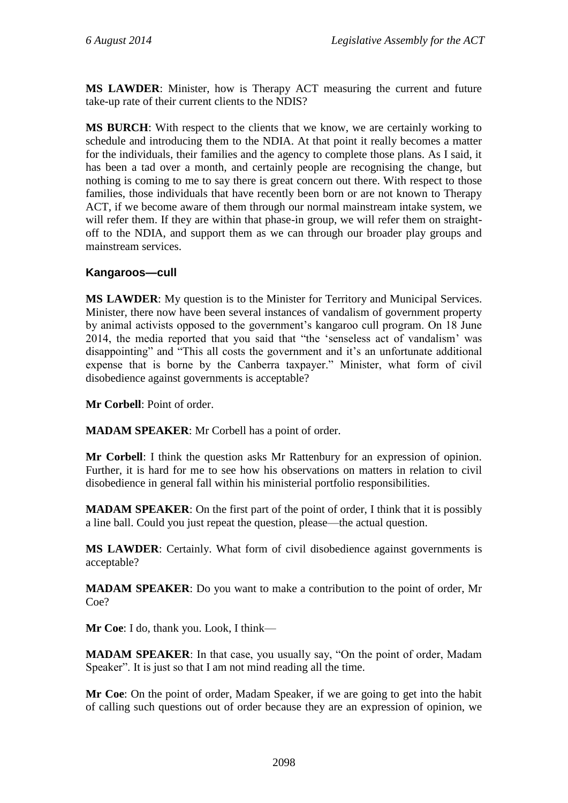**MS LAWDER**: Minister, how is Therapy ACT measuring the current and future take-up rate of their current clients to the NDIS?

**MS BURCH**: With respect to the clients that we know, we are certainly working to schedule and introducing them to the NDIA. At that point it really becomes a matter for the individuals, their families and the agency to complete those plans. As I said, it has been a tad over a month, and certainly people are recognising the change, but nothing is coming to me to say there is great concern out there. With respect to those families, those individuals that have recently been born or are not known to Therapy ACT, if we become aware of them through our normal mainstream intake system, we will refer them. If they are within that phase-in group, we will refer them on straightoff to the NDIA, and support them as we can through our broader play groups and mainstream services.

### **Kangaroos—cull**

**MS LAWDER**: My question is to the Minister for Territory and Municipal Services. Minister, there now have been several instances of vandalism of government property by animal activists opposed to the government's kangaroo cull program. On 18 June 2014, the media reported that you said that "the 'senseless act of vandalism' was disappointing" and "This all costs the government and it's an unfortunate additional expense that is borne by the Canberra taxpayer." Minister, what form of civil disobedience against governments is acceptable?

**Mr Corbell**: Point of order.

**MADAM SPEAKER**: Mr Corbell has a point of order.

**Mr Corbell**: I think the question asks Mr Rattenbury for an expression of opinion. Further, it is hard for me to see how his observations on matters in relation to civil disobedience in general fall within his ministerial portfolio responsibilities.

**MADAM SPEAKER**: On the first part of the point of order, I think that it is possibly a line ball. Could you just repeat the question, please—the actual question.

**MS LAWDER**: Certainly. What form of civil disobedience against governments is acceptable?

**MADAM SPEAKER**: Do you want to make a contribution to the point of order, Mr Coe?

**Mr Coe**: I do, thank you. Look, I think—

**MADAM SPEAKER:** In that case, you usually say, "On the point of order, Madam Speaker". It is just so that I am not mind reading all the time.

**Mr Coe**: On the point of order, Madam Speaker, if we are going to get into the habit of calling such questions out of order because they are an expression of opinion, we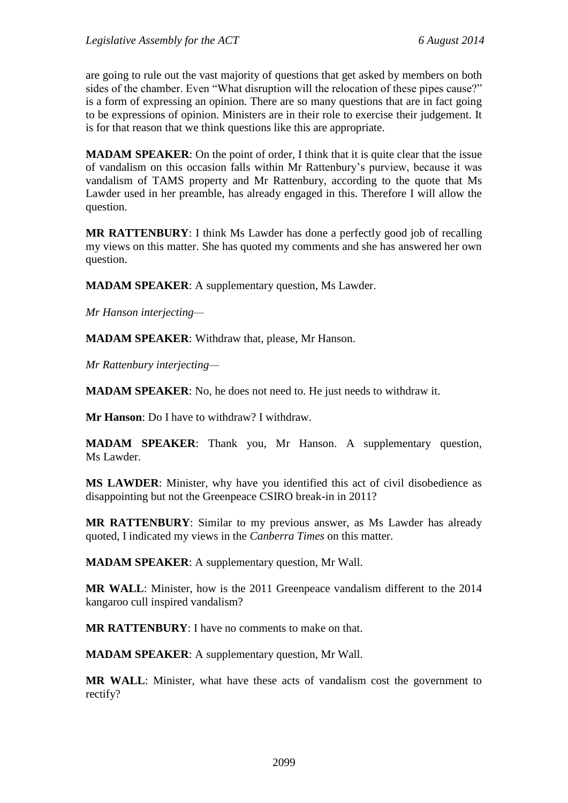are going to rule out the vast majority of questions that get asked by members on both sides of the chamber. Even "What disruption will the relocation of these pipes cause?" is a form of expressing an opinion. There are so many questions that are in fact going to be expressions of opinion. Ministers are in their role to exercise their judgement. It is for that reason that we think questions like this are appropriate.

**MADAM SPEAKER**: On the point of order, I think that it is quite clear that the issue of vandalism on this occasion falls within Mr Rattenbury's purview, because it was vandalism of TAMS property and Mr Rattenbury, according to the quote that Ms Lawder used in her preamble, has already engaged in this. Therefore I will allow the question.

**MR RATTENBURY**: I think Ms Lawder has done a perfectly good job of recalling my views on this matter. She has quoted my comments and she has answered her own question.

**MADAM SPEAKER**: A supplementary question, Ms Lawder.

*Mr Hanson interjecting—*

**MADAM SPEAKER**: Withdraw that, please, Mr Hanson.

*Mr Rattenbury interjecting—*

**MADAM SPEAKER**: No, he does not need to. He just needs to withdraw it.

**Mr Hanson**: Do I have to withdraw? I withdraw.

**MADAM SPEAKER**: Thank you, Mr Hanson. A supplementary question, Ms Lawder.

**MS LAWDER**: Minister, why have you identified this act of civil disobedience as disappointing but not the Greenpeace CSIRO break-in in 2011?

**MR RATTENBURY**: Similar to my previous answer, as Ms Lawder has already quoted, I indicated my views in the *Canberra Times* on this matter.

**MADAM SPEAKER**: A supplementary question, Mr Wall.

**MR WALL**: Minister, how is the 2011 Greenpeace vandalism different to the 2014 kangaroo cull inspired vandalism?

**MR RATTENBURY**: I have no comments to make on that.

**MADAM SPEAKER**: A supplementary question, Mr Wall.

**MR WALL**: Minister, what have these acts of vandalism cost the government to rectify?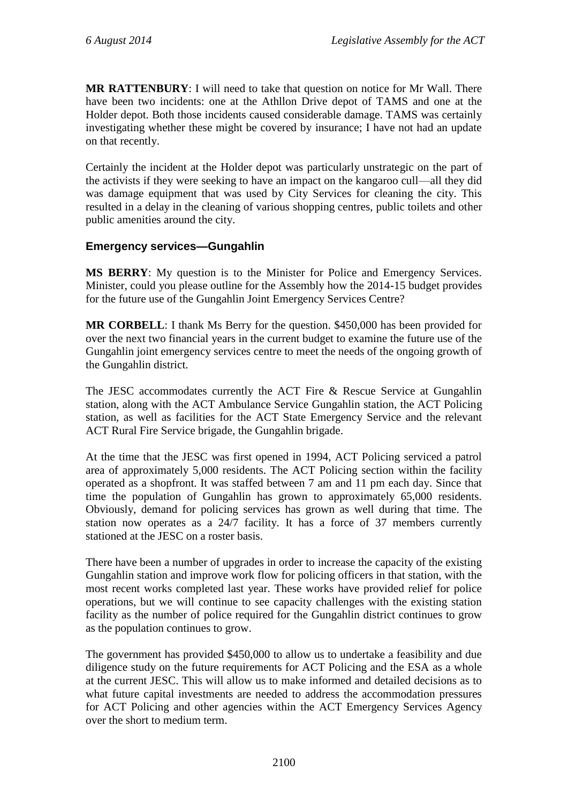**MR RATTENBURY**: I will need to take that question on notice for Mr Wall. There have been two incidents: one at the Athllon Drive depot of TAMS and one at the Holder depot. Both those incidents caused considerable damage. TAMS was certainly investigating whether these might be covered by insurance; I have not had an update on that recently.

Certainly the incident at the Holder depot was particularly unstrategic on the part of the activists if they were seeking to have an impact on the kangaroo cull—all they did was damage equipment that was used by City Services for cleaning the city. This resulted in a delay in the cleaning of various shopping centres, public toilets and other public amenities around the city.

## **Emergency services—Gungahlin**

**MS BERRY**: My question is to the Minister for Police and Emergency Services. Minister, could you please outline for the Assembly how the 2014-15 budget provides for the future use of the Gungahlin Joint Emergency Services Centre?

**MR CORBELL**: I thank Ms Berry for the question. \$450,000 has been provided for over the next two financial years in the current budget to examine the future use of the Gungahlin joint emergency services centre to meet the needs of the ongoing growth of the Gungahlin district.

The JESC accommodates currently the ACT Fire & Rescue Service at Gungahlin station, along with the ACT Ambulance Service Gungahlin station, the ACT Policing station, as well as facilities for the ACT State Emergency Service and the relevant ACT Rural Fire Service brigade, the Gungahlin brigade.

At the time that the JESC was first opened in 1994, ACT Policing serviced a patrol area of approximately 5,000 residents. The ACT Policing section within the facility operated as a shopfront. It was staffed between 7 am and 11 pm each day. Since that time the population of Gungahlin has grown to approximately 65,000 residents. Obviously, demand for policing services has grown as well during that time. The station now operates as a 24/7 facility. It has a force of 37 members currently stationed at the JESC on a roster basis.

There have been a number of upgrades in order to increase the capacity of the existing Gungahlin station and improve work flow for policing officers in that station, with the most recent works completed last year. These works have provided relief for police operations, but we will continue to see capacity challenges with the existing station facility as the number of police required for the Gungahlin district continues to grow as the population continues to grow.

The government has provided \$450,000 to allow us to undertake a feasibility and due diligence study on the future requirements for ACT Policing and the ESA as a whole at the current JESC. This will allow us to make informed and detailed decisions as to what future capital investments are needed to address the accommodation pressures for ACT Policing and other agencies within the ACT Emergency Services Agency over the short to medium term.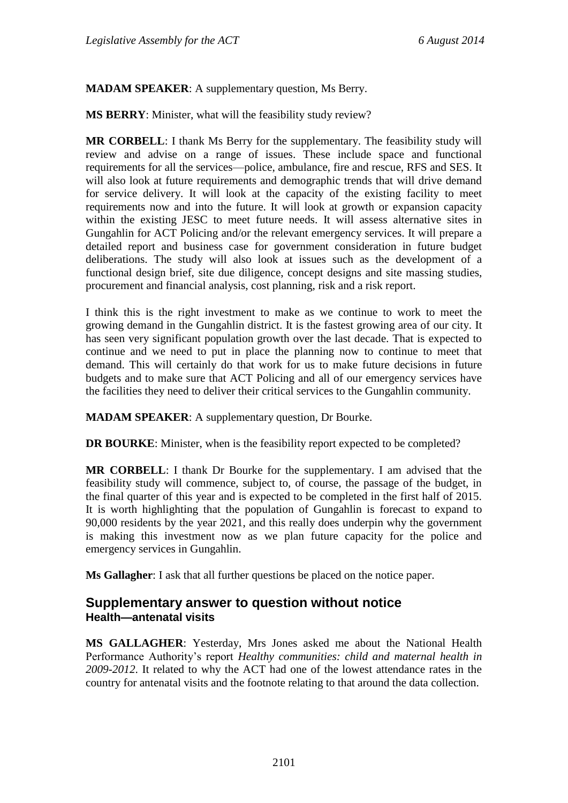**MADAM SPEAKER**: A supplementary question, Ms Berry.

**MS BERRY**: Minister, what will the feasibility study review?

**MR CORBELL**: I thank Ms Berry for the supplementary. The feasibility study will review and advise on a range of issues. These include space and functional requirements for all the services—police, ambulance, fire and rescue, RFS and SES. It will also look at future requirements and demographic trends that will drive demand for service delivery. It will look at the capacity of the existing facility to meet requirements now and into the future. It will look at growth or expansion capacity within the existing JESC to meet future needs. It will assess alternative sites in Gungahlin for ACT Policing and/or the relevant emergency services. It will prepare a detailed report and business case for government consideration in future budget deliberations. The study will also look at issues such as the development of a functional design brief, site due diligence, concept designs and site massing studies, procurement and financial analysis, cost planning, risk and a risk report.

I think this is the right investment to make as we continue to work to meet the growing demand in the Gungahlin district. It is the fastest growing area of our city. It has seen very significant population growth over the last decade. That is expected to continue and we need to put in place the planning now to continue to meet that demand. This will certainly do that work for us to make future decisions in future budgets and to make sure that ACT Policing and all of our emergency services have the facilities they need to deliver their critical services to the Gungahlin community.

**MADAM SPEAKER**: A supplementary question, Dr Bourke.

**DR BOURKE:** Minister, when is the feasibility report expected to be completed?

**MR CORBELL**: I thank Dr Bourke for the supplementary. I am advised that the feasibility study will commence, subject to, of course, the passage of the budget, in the final quarter of this year and is expected to be completed in the first half of 2015. It is worth highlighting that the population of Gungahlin is forecast to expand to 90,000 residents by the year 2021, and this really does underpin why the government is making this investment now as we plan future capacity for the police and emergency services in Gungahlin.

**Ms Gallagher**: I ask that all further questions be placed on the notice paper.

## **Supplementary answer to question without notice Health—antenatal visits**

**MS GALLAGHER**: Yesterday, Mrs Jones asked me about the National Health Performance Authority's report *Healthy communities: child and maternal health in 2009-2012*. It related to why the ACT had one of the lowest attendance rates in the country for antenatal visits and the footnote relating to that around the data collection.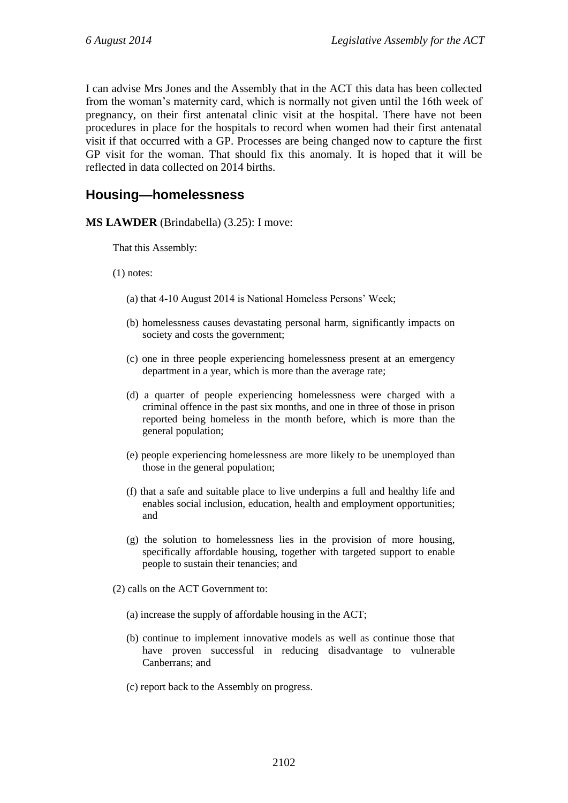I can advise Mrs Jones and the Assembly that in the ACT this data has been collected from the woman's maternity card, which is normally not given until the 16th week of pregnancy, on their first antenatal clinic visit at the hospital. There have not been procedures in place for the hospitals to record when women had their first antenatal visit if that occurred with a GP. Processes are being changed now to capture the first GP visit for the woman. That should fix this anomaly. It is hoped that it will be reflected in data collected on 2014 births.

# **Housing—homelessness**

**MS LAWDER** (Brindabella) (3.25): I move:

That this Assembly:

(1) notes:

- (a) that 4-10 August 2014 is National Homeless Persons' Week;
- (b) homelessness causes devastating personal harm, significantly impacts on society and costs the government;
- (c) one in three people experiencing homelessness present at an emergency department in a year, which is more than the average rate;
- (d) a quarter of people experiencing homelessness were charged with a criminal offence in the past six months, and one in three of those in prison reported being homeless in the month before, which is more than the general population;
- (e) people experiencing homelessness are more likely to be unemployed than those in the general population;
- (f) that a safe and suitable place to live underpins a full and healthy life and enables social inclusion, education, health and employment opportunities; and
- (g) the solution to homelessness lies in the provision of more housing, specifically affordable housing, together with targeted support to enable people to sustain their tenancies; and
- (2) calls on the ACT Government to:
	- (a) increase the supply of affordable housing in the ACT;
	- (b) continue to implement innovative models as well as continue those that have proven successful in reducing disadvantage to vulnerable Canberrans; and
	- (c) report back to the Assembly on progress.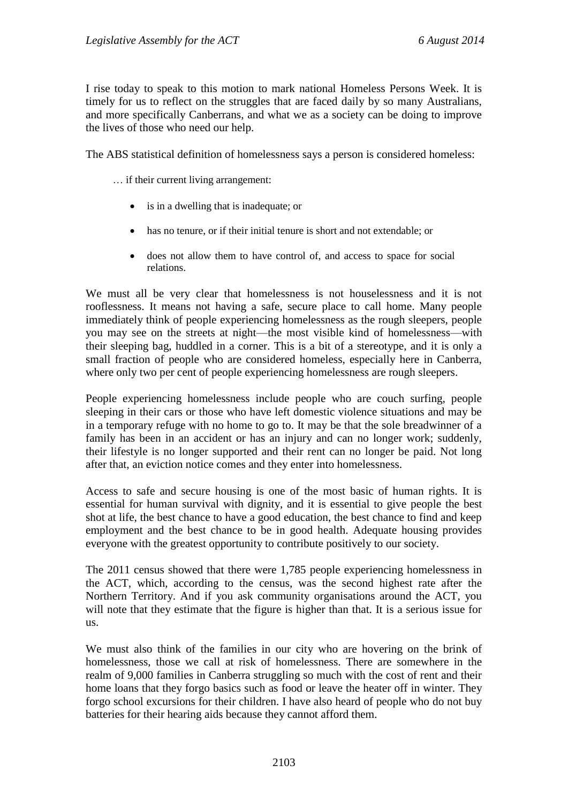I rise today to speak to this motion to mark national Homeless Persons Week. It is timely for us to reflect on the struggles that are faced daily by so many Australians, and more specifically Canberrans, and what we as a society can be doing to improve the lives of those who need our help.

The ABS statistical definition of homelessness says a person is considered homeless:

… if their current living arrangement:

- is in a dwelling that is inadequate; or
- has no tenure, or if their initial tenure is short and not extendable; or
- does not allow them to have control of, and access to space for social relations.

We must all be very clear that homelessness is not houselessness and it is not rooflessness. It means not having a safe, secure place to call home. Many people immediately think of people experiencing homelessness as the rough sleepers, people you may see on the streets at night—the most visible kind of homelessness—with their sleeping bag, huddled in a corner. This is a bit of a stereotype, and it is only a small fraction of people who are considered homeless, especially here in Canberra, where only two per cent of people experiencing homelessness are rough sleepers.

People experiencing homelessness include people who are couch surfing, people sleeping in their cars or those who have left domestic violence situations and may be in a temporary refuge with no home to go to. It may be that the sole breadwinner of a family has been in an accident or has an injury and can no longer work; suddenly, their lifestyle is no longer supported and their rent can no longer be paid. Not long after that, an eviction notice comes and they enter into homelessness.

Access to safe and secure housing is one of the most basic of human rights. It is essential for human survival with dignity, and it is essential to give people the best shot at life, the best chance to have a good education, the best chance to find and keep employment and the best chance to be in good health. Adequate housing provides everyone with the greatest opportunity to contribute positively to our society.

The 2011 census showed that there were 1,785 people experiencing homelessness in the ACT, which, according to the census, was the second highest rate after the Northern Territory. And if you ask community organisations around the ACT, you will note that they estimate that the figure is higher than that. It is a serious issue for us.

We must also think of the families in our city who are hovering on the brink of homelessness, those we call at risk of homelessness. There are somewhere in the realm of 9,000 families in Canberra struggling so much with the cost of rent and their home loans that they forgo basics such as food or leave the heater off in winter. They forgo school excursions for their children. I have also heard of people who do not buy batteries for their hearing aids because they cannot afford them.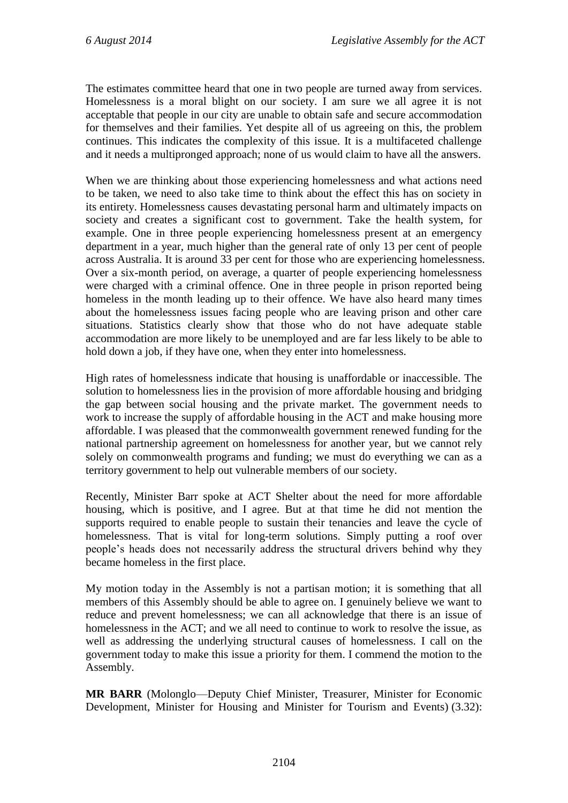The estimates committee heard that one in two people are turned away from services. Homelessness is a moral blight on our society. I am sure we all agree it is not acceptable that people in our city are unable to obtain safe and secure accommodation for themselves and their families. Yet despite all of us agreeing on this, the problem continues. This indicates the complexity of this issue. It is a multifaceted challenge and it needs a multipronged approach; none of us would claim to have all the answers.

When we are thinking about those experiencing homelessness and what actions need to be taken, we need to also take time to think about the effect this has on society in its entirety. Homelessness causes devastating personal harm and ultimately impacts on society and creates a significant cost to government. Take the health system, for example. One in three people experiencing homelessness present at an emergency department in a year, much higher than the general rate of only 13 per cent of people across Australia. It is around 33 per cent for those who are experiencing homelessness. Over a six-month period, on average, a quarter of people experiencing homelessness were charged with a criminal offence. One in three people in prison reported being homeless in the month leading up to their offence. We have also heard many times about the homelessness issues facing people who are leaving prison and other care situations. Statistics clearly show that those who do not have adequate stable accommodation are more likely to be unemployed and are far less likely to be able to hold down a job, if they have one, when they enter into homelessness.

High rates of homelessness indicate that housing is unaffordable or inaccessible. The solution to homelessness lies in the provision of more affordable housing and bridging the gap between social housing and the private market. The government needs to work to increase the supply of affordable housing in the ACT and make housing more affordable. I was pleased that the commonwealth government renewed funding for the national partnership agreement on homelessness for another year, but we cannot rely solely on commonwealth programs and funding; we must do everything we can as a territory government to help out vulnerable members of our society.

Recently, Minister Barr spoke at ACT Shelter about the need for more affordable housing, which is positive, and I agree. But at that time he did not mention the supports required to enable people to sustain their tenancies and leave the cycle of homelessness. That is vital for long-term solutions. Simply putting a roof over people's heads does not necessarily address the structural drivers behind why they became homeless in the first place.

My motion today in the Assembly is not a partisan motion; it is something that all members of this Assembly should be able to agree on. I genuinely believe we want to reduce and prevent homelessness; we can all acknowledge that there is an issue of homelessness in the ACT; and we all need to continue to work to resolve the issue, as well as addressing the underlying structural causes of homelessness. I call on the government today to make this issue a priority for them. I commend the motion to the Assembly.

**MR BARR** (Molonglo—Deputy Chief Minister, Treasurer, Minister for Economic Development, Minister for Housing and Minister for Tourism and Events) (3.32):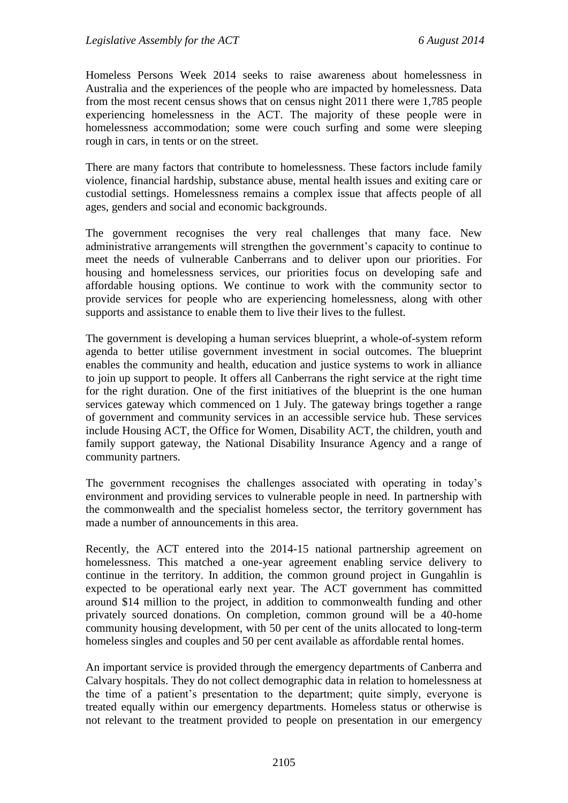Homeless Persons Week 2014 seeks to raise awareness about homelessness in Australia and the experiences of the people who are impacted by homelessness. Data from the most recent census shows that on census night 2011 there were 1,785 people experiencing homelessness in the ACT. The majority of these people were in homelessness accommodation; some were couch surfing and some were sleeping rough in cars, in tents or on the street.

There are many factors that contribute to homelessness. These factors include family violence, financial hardship, substance abuse, mental health issues and exiting care or custodial settings. Homelessness remains a complex issue that affects people of all ages, genders and social and economic backgrounds.

The government recognises the very real challenges that many face. New administrative arrangements will strengthen the government's capacity to continue to meet the needs of vulnerable Canberrans and to deliver upon our priorities. For housing and homelessness services, our priorities focus on developing safe and affordable housing options. We continue to work with the community sector to provide services for people who are experiencing homelessness, along with other supports and assistance to enable them to live their lives to the fullest.

The government is developing a human services blueprint, a whole-of-system reform agenda to better utilise government investment in social outcomes. The blueprint enables the community and health, education and justice systems to work in alliance to join up support to people. It offers all Canberrans the right service at the right time for the right duration. One of the first initiatives of the blueprint is the one human services gateway which commenced on 1 July. The gateway brings together a range of government and community services in an accessible service hub. These services include Housing ACT, the Office for Women, Disability ACT, the children, youth and family support gateway, the National Disability Insurance Agency and a range of community partners.

The government recognises the challenges associated with operating in today's environment and providing services to vulnerable people in need. In partnership with the commonwealth and the specialist homeless sector, the territory government has made a number of announcements in this area.

Recently, the ACT entered into the 2014-15 national partnership agreement on homelessness. This matched a one-year agreement enabling service delivery to continue in the territory. In addition, the common ground project in Gungahlin is expected to be operational early next year. The ACT government has committed around \$14 million to the project, in addition to commonwealth funding and other privately sourced donations. On completion, common ground will be a 40-home community housing development, with 50 per cent of the units allocated to long-term homeless singles and couples and 50 per cent available as affordable rental homes.

An important service is provided through the emergency departments of Canberra and Calvary hospitals. They do not collect demographic data in relation to homelessness at the time of a patient's presentation to the department; quite simply, everyone is treated equally within our emergency departments. Homeless status or otherwise is not relevant to the treatment provided to people on presentation in our emergency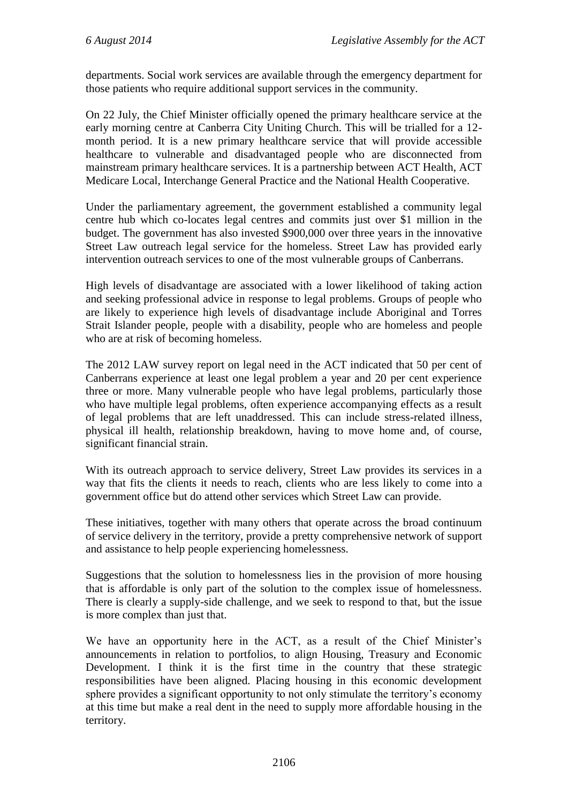departments. Social work services are available through the emergency department for those patients who require additional support services in the community.

On 22 July, the Chief Minister officially opened the primary healthcare service at the early morning centre at Canberra City Uniting Church. This will be trialled for a 12 month period. It is a new primary healthcare service that will provide accessible healthcare to vulnerable and disadvantaged people who are disconnected from mainstream primary healthcare services. It is a partnership between ACT Health, ACT Medicare Local, Interchange General Practice and the National Health Cooperative.

Under the parliamentary agreement, the government established a community legal centre hub which co-locates legal centres and commits just over \$1 million in the budget. The government has also invested \$900,000 over three years in the innovative Street Law outreach legal service for the homeless. Street Law has provided early intervention outreach services to one of the most vulnerable groups of Canberrans.

High levels of disadvantage are associated with a lower likelihood of taking action and seeking professional advice in response to legal problems. Groups of people who are likely to experience high levels of disadvantage include Aboriginal and Torres Strait Islander people, people with a disability, people who are homeless and people who are at risk of becoming homeless.

The 2012 LAW survey report on legal need in the ACT indicated that 50 per cent of Canberrans experience at least one legal problem a year and 20 per cent experience three or more. Many vulnerable people who have legal problems, particularly those who have multiple legal problems, often experience accompanying effects as a result of legal problems that are left unaddressed. This can include stress-related illness, physical ill health, relationship breakdown, having to move home and, of course, significant financial strain.

With its outreach approach to service delivery, Street Law provides its services in a way that fits the clients it needs to reach, clients who are less likely to come into a government office but do attend other services which Street Law can provide.

These initiatives, together with many others that operate across the broad continuum of service delivery in the territory, provide a pretty comprehensive network of support and assistance to help people experiencing homelessness.

Suggestions that the solution to homelessness lies in the provision of more housing that is affordable is only part of the solution to the complex issue of homelessness. There is clearly a supply-side challenge, and we seek to respond to that, but the issue is more complex than just that.

We have an opportunity here in the ACT, as a result of the Chief Minister's announcements in relation to portfolios, to align Housing, Treasury and Economic Development. I think it is the first time in the country that these strategic responsibilities have been aligned. Placing housing in this economic development sphere provides a significant opportunity to not only stimulate the territory's economy at this time but make a real dent in the need to supply more affordable housing in the territory.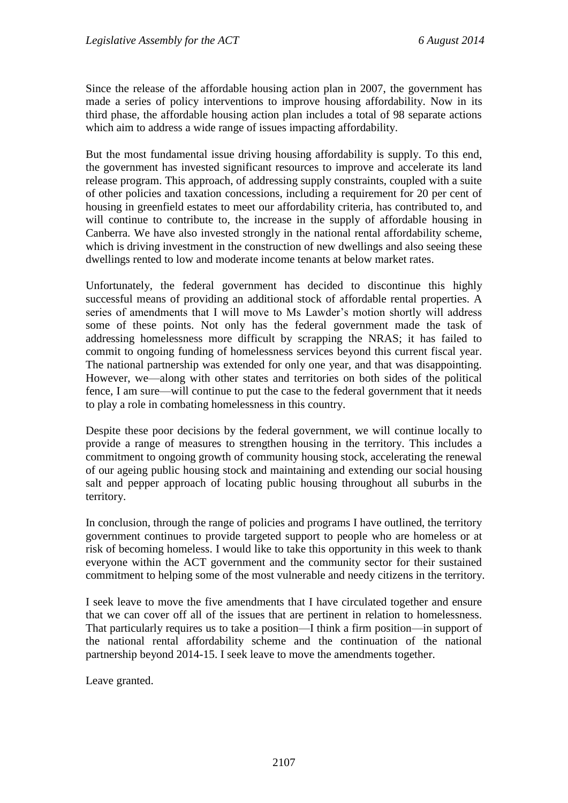Since the release of the affordable housing action plan in 2007, the government has made a series of policy interventions to improve housing affordability. Now in its third phase, the affordable housing action plan includes a total of 98 separate actions which aim to address a wide range of issues impacting affordability.

But the most fundamental issue driving housing affordability is supply. To this end, the government has invested significant resources to improve and accelerate its land release program. This approach, of addressing supply constraints, coupled with a suite of other policies and taxation concessions, including a requirement for 20 per cent of housing in greenfield estates to meet our affordability criteria, has contributed to, and will continue to contribute to, the increase in the supply of affordable housing in Canberra. We have also invested strongly in the national rental affordability scheme, which is driving investment in the construction of new dwellings and also seeing these dwellings rented to low and moderate income tenants at below market rates.

Unfortunately, the federal government has decided to discontinue this highly successful means of providing an additional stock of affordable rental properties. A series of amendments that I will move to Ms Lawder's motion shortly will address some of these points. Not only has the federal government made the task of addressing homelessness more difficult by scrapping the NRAS; it has failed to commit to ongoing funding of homelessness services beyond this current fiscal year. The national partnership was extended for only one year, and that was disappointing. However, we—along with other states and territories on both sides of the political fence, I am sure—will continue to put the case to the federal government that it needs to play a role in combating homelessness in this country.

Despite these poor decisions by the federal government, we will continue locally to provide a range of measures to strengthen housing in the territory. This includes a commitment to ongoing growth of community housing stock, accelerating the renewal of our ageing public housing stock and maintaining and extending our social housing salt and pepper approach of locating public housing throughout all suburbs in the territory.

In conclusion, through the range of policies and programs I have outlined, the territory government continues to provide targeted support to people who are homeless or at risk of becoming homeless. I would like to take this opportunity in this week to thank everyone within the ACT government and the community sector for their sustained commitment to helping some of the most vulnerable and needy citizens in the territory.

I seek leave to move the five amendments that I have circulated together and ensure that we can cover off all of the issues that are pertinent in relation to homelessness. That particularly requires us to take a position—I think a firm position—in support of the national rental affordability scheme and the continuation of the national partnership beyond 2014-15. I seek leave to move the amendments together.

Leave granted.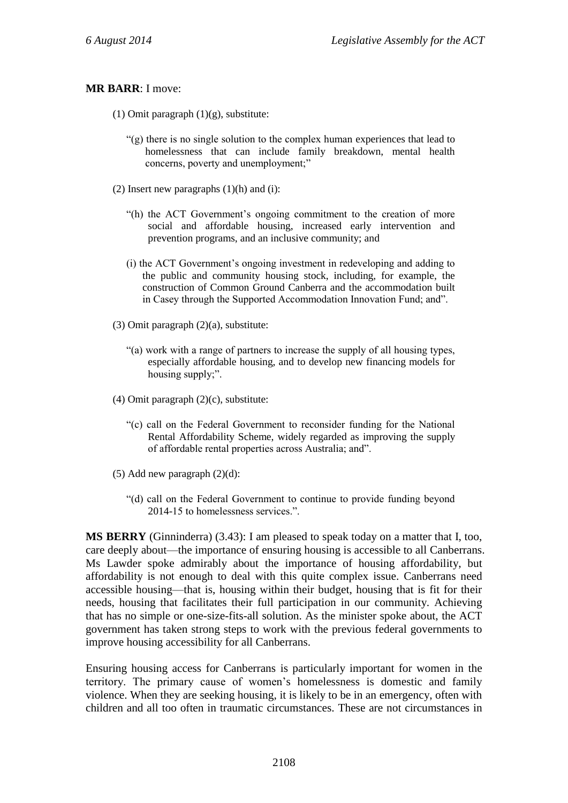#### **MR BARR**: I move:

- (1) Omit paragraph  $(1)(g)$ , substitute:
	- "(g) there is no single solution to the complex human experiences that lead to homelessness that can include family breakdown, mental health concerns, poverty and unemployment;"
- (2) Insert new paragraphs  $(1)(h)$  and  $(i)$ :
	- "(h) the ACT Government's ongoing commitment to the creation of more social and affordable housing, increased early intervention and prevention programs, and an inclusive community; and
	- (i) the ACT Government's ongoing investment in redeveloping and adding to the public and community housing stock, including, for example, the construction of Common Ground Canberra and the accommodation built in Casey through the Supported Accommodation Innovation Fund; and".
- (3) Omit paragraph (2)(a), substitute:
	- "(a) work with a range of partners to increase the supply of all housing types, especially affordable housing, and to develop new financing models for housing supply;".
- (4) Omit paragraph (2)(c), substitute:
	- "(c) call on the Federal Government to reconsider funding for the National Rental Affordability Scheme, widely regarded as improving the supply of affordable rental properties across Australia; and".
- (5) Add new paragraph (2)(d):
	- "(d) call on the Federal Government to continue to provide funding beyond 2014-15 to homelessness services.".

**MS BERRY** (Ginninderra) (3.43): I am pleased to speak today on a matter that I, too, care deeply about—the importance of ensuring housing is accessible to all Canberrans. Ms Lawder spoke admirably about the importance of housing affordability, but affordability is not enough to deal with this quite complex issue. Canberrans need accessible housing—that is, housing within their budget, housing that is fit for their needs, housing that facilitates their full participation in our community. Achieving that has no simple or one-size-fits-all solution. As the minister spoke about, the ACT government has taken strong steps to work with the previous federal governments to improve housing accessibility for all Canberrans.

Ensuring housing access for Canberrans is particularly important for women in the territory. The primary cause of women's homelessness is domestic and family violence. When they are seeking housing, it is likely to be in an emergency, often with children and all too often in traumatic circumstances. These are not circumstances in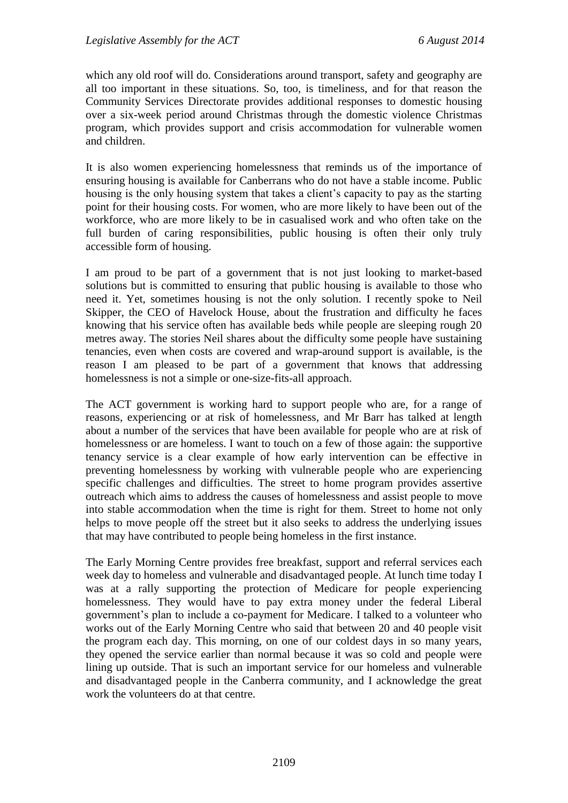which any old roof will do. Considerations around transport, safety and geography are all too important in these situations. So, too, is timeliness, and for that reason the Community Services Directorate provides additional responses to domestic housing over a six-week period around Christmas through the domestic violence Christmas program, which provides support and crisis accommodation for vulnerable women and children.

It is also women experiencing homelessness that reminds us of the importance of ensuring housing is available for Canberrans who do not have a stable income. Public housing is the only housing system that takes a client's capacity to pay as the starting point for their housing costs. For women, who are more likely to have been out of the workforce, who are more likely to be in casualised work and who often take on the full burden of caring responsibilities, public housing is often their only truly accessible form of housing.

I am proud to be part of a government that is not just looking to market-based solutions but is committed to ensuring that public housing is available to those who need it. Yet, sometimes housing is not the only solution. I recently spoke to Neil Skipper, the CEO of Havelock House, about the frustration and difficulty he faces knowing that his service often has available beds while people are sleeping rough 20 metres away. The stories Neil shares about the difficulty some people have sustaining tenancies, even when costs are covered and wrap-around support is available, is the reason I am pleased to be part of a government that knows that addressing homelessness is not a simple or one-size-fits-all approach.

The ACT government is working hard to support people who are, for a range of reasons, experiencing or at risk of homelessness, and Mr Barr has talked at length about a number of the services that have been available for people who are at risk of homelessness or are homeless. I want to touch on a few of those again: the supportive tenancy service is a clear example of how early intervention can be effective in preventing homelessness by working with vulnerable people who are experiencing specific challenges and difficulties. The street to home program provides assertive outreach which aims to address the causes of homelessness and assist people to move into stable accommodation when the time is right for them. Street to home not only helps to move people off the street but it also seeks to address the underlying issues that may have contributed to people being homeless in the first instance.

The Early Morning Centre provides free breakfast, support and referral services each week day to homeless and vulnerable and disadvantaged people. At lunch time today I was at a rally supporting the protection of Medicare for people experiencing homelessness. They would have to pay extra money under the federal Liberal government's plan to include a co-payment for Medicare. I talked to a volunteer who works out of the Early Morning Centre who said that between 20 and 40 people visit the program each day. This morning, on one of our coldest days in so many years, they opened the service earlier than normal because it was so cold and people were lining up outside. That is such an important service for our homeless and vulnerable and disadvantaged people in the Canberra community, and I acknowledge the great work the volunteers do at that centre.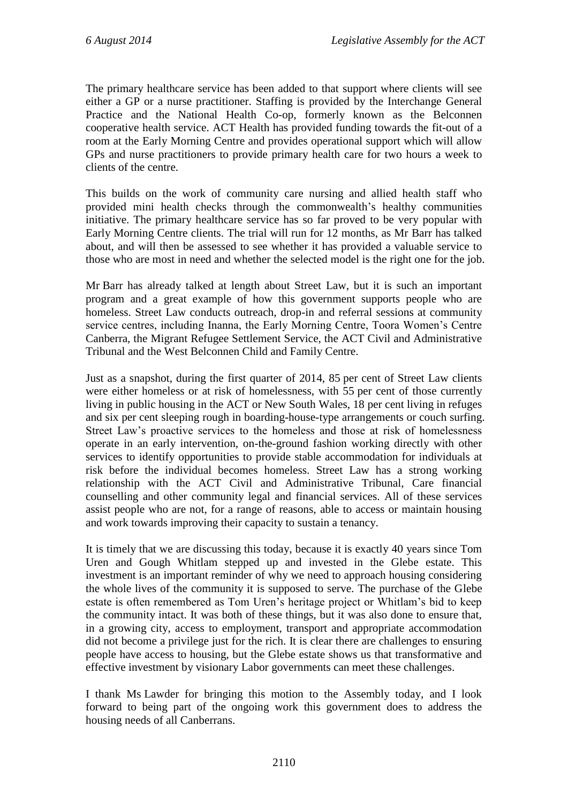The primary healthcare service has been added to that support where clients will see either a GP or a nurse practitioner. Staffing is provided by the Interchange General Practice and the National Health Co-op, formerly known as the Belconnen cooperative health service. ACT Health has provided funding towards the fit-out of a room at the Early Morning Centre and provides operational support which will allow GPs and nurse practitioners to provide primary health care for two hours a week to clients of the centre.

This builds on the work of community care nursing and allied health staff who provided mini health checks through the commonwealth's healthy communities initiative. The primary healthcare service has so far proved to be very popular with Early Morning Centre clients. The trial will run for 12 months, as Mr Barr has talked about, and will then be assessed to see whether it has provided a valuable service to those who are most in need and whether the selected model is the right one for the job.

Mr Barr has already talked at length about Street Law, but it is such an important program and a great example of how this government supports people who are homeless. Street Law conducts outreach, drop-in and referral sessions at community service centres, including Inanna, the Early Morning Centre, Toora Women's Centre Canberra, the Migrant Refugee Settlement Service, the ACT Civil and Administrative Tribunal and the West Belconnen Child and Family Centre.

Just as a snapshot, during the first quarter of 2014, 85 per cent of Street Law clients were either homeless or at risk of homelessness, with 55 per cent of those currently living in public housing in the ACT or New South Wales, 18 per cent living in refuges and six per cent sleeping rough in boarding-house-type arrangements or couch surfing. Street Law's proactive services to the homeless and those at risk of homelessness operate in an early intervention, on-the-ground fashion working directly with other services to identify opportunities to provide stable accommodation for individuals at risk before the individual becomes homeless. Street Law has a strong working relationship with the ACT Civil and Administrative Tribunal, Care financial counselling and other community legal and financial services. All of these services assist people who are not, for a range of reasons, able to access or maintain housing and work towards improving their capacity to sustain a tenancy.

It is timely that we are discussing this today, because it is exactly 40 years since Tom Uren and Gough Whitlam stepped up and invested in the Glebe estate. This investment is an important reminder of why we need to approach housing considering the whole lives of the community it is supposed to serve. The purchase of the Glebe estate is often remembered as Tom Uren's heritage project or Whitlam's bid to keep the community intact. It was both of these things, but it was also done to ensure that, in a growing city, access to employment, transport and appropriate accommodation did not become a privilege just for the rich. It is clear there are challenges to ensuring people have access to housing, but the Glebe estate shows us that transformative and effective investment by visionary Labor governments can meet these challenges.

I thank Ms Lawder for bringing this motion to the Assembly today, and I look forward to being part of the ongoing work this government does to address the housing needs of all Canberrans.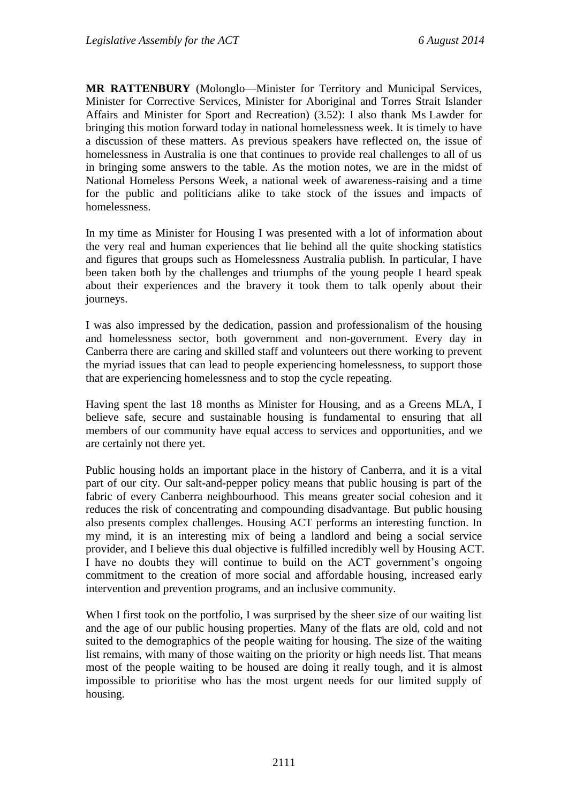**MR RATTENBURY** (Molonglo—Minister for Territory and Municipal Services, Minister for Corrective Services, Minister for Aboriginal and Torres Strait Islander Affairs and Minister for Sport and Recreation) (3.52): I also thank Ms Lawder for bringing this motion forward today in national homelessness week. It is timely to have a discussion of these matters. As previous speakers have reflected on, the issue of homelessness in Australia is one that continues to provide real challenges to all of us in bringing some answers to the table. As the motion notes, we are in the midst of National Homeless Persons Week, a national week of awareness-raising and a time for the public and politicians alike to take stock of the issues and impacts of homelessness.

In my time as Minister for Housing I was presented with a lot of information about the very real and human experiences that lie behind all the quite shocking statistics and figures that groups such as Homelessness Australia publish. In particular, I have been taken both by the challenges and triumphs of the young people I heard speak about their experiences and the bravery it took them to talk openly about their journeys.

I was also impressed by the dedication, passion and professionalism of the housing and homelessness sector, both government and non-government. Every day in Canberra there are caring and skilled staff and volunteers out there working to prevent the myriad issues that can lead to people experiencing homelessness, to support those that are experiencing homelessness and to stop the cycle repeating.

Having spent the last 18 months as Minister for Housing, and as a Greens MLA, I believe safe, secure and sustainable housing is fundamental to ensuring that all members of our community have equal access to services and opportunities, and we are certainly not there yet.

Public housing holds an important place in the history of Canberra, and it is a vital part of our city. Our salt-and-pepper policy means that public housing is part of the fabric of every Canberra neighbourhood. This means greater social cohesion and it reduces the risk of concentrating and compounding disadvantage. But public housing also presents complex challenges. Housing ACT performs an interesting function. In my mind, it is an interesting mix of being a landlord and being a social service provider, and I believe this dual objective is fulfilled incredibly well by Housing ACT. I have no doubts they will continue to build on the ACT government's ongoing commitment to the creation of more social and affordable housing, increased early intervention and prevention programs, and an inclusive community.

When I first took on the portfolio, I was surprised by the sheer size of our waiting list and the age of our public housing properties. Many of the flats are old, cold and not suited to the demographics of the people waiting for housing. The size of the waiting list remains, with many of those waiting on the priority or high needs list. That means most of the people waiting to be housed are doing it really tough, and it is almost impossible to prioritise who has the most urgent needs for our limited supply of housing.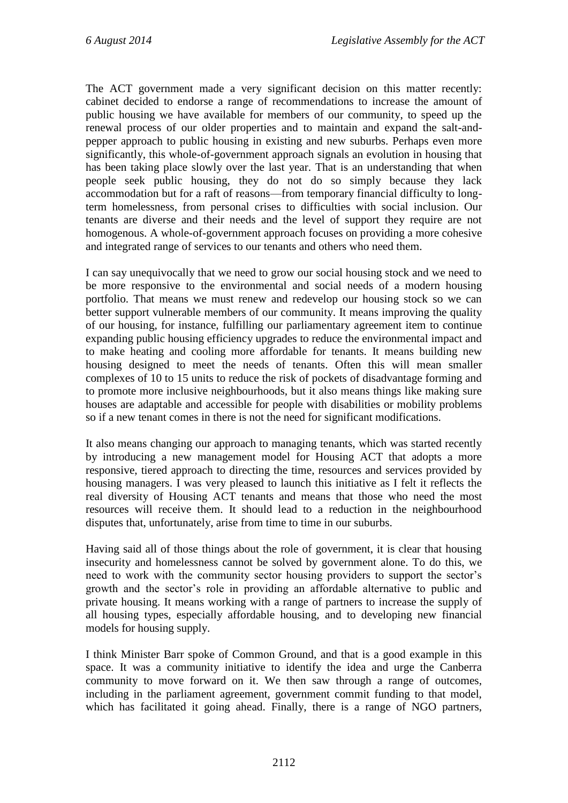The ACT government made a very significant decision on this matter recently: cabinet decided to endorse a range of recommendations to increase the amount of public housing we have available for members of our community, to speed up the renewal process of our older properties and to maintain and expand the salt-andpepper approach to public housing in existing and new suburbs. Perhaps even more significantly, this whole-of-government approach signals an evolution in housing that has been taking place slowly over the last year. That is an understanding that when people seek public housing, they do not do so simply because they lack accommodation but for a raft of reasons—from temporary financial difficulty to longterm homelessness, from personal crises to difficulties with social inclusion. Our tenants are diverse and their needs and the level of support they require are not homogenous. A whole-of-government approach focuses on providing a more cohesive and integrated range of services to our tenants and others who need them.

I can say unequivocally that we need to grow our social housing stock and we need to be more responsive to the environmental and social needs of a modern housing portfolio. That means we must renew and redevelop our housing stock so we can better support vulnerable members of our community. It means improving the quality of our housing, for instance, fulfilling our parliamentary agreement item to continue expanding public housing efficiency upgrades to reduce the environmental impact and to make heating and cooling more affordable for tenants. It means building new housing designed to meet the needs of tenants. Often this will mean smaller complexes of 10 to 15 units to reduce the risk of pockets of disadvantage forming and to promote more inclusive neighbourhoods, but it also means things like making sure houses are adaptable and accessible for people with disabilities or mobility problems so if a new tenant comes in there is not the need for significant modifications.

It also means changing our approach to managing tenants, which was started recently by introducing a new management model for Housing ACT that adopts a more responsive, tiered approach to directing the time, resources and services provided by housing managers. I was very pleased to launch this initiative as I felt it reflects the real diversity of Housing ACT tenants and means that those who need the most resources will receive them. It should lead to a reduction in the neighbourhood disputes that, unfortunately, arise from time to time in our suburbs.

Having said all of those things about the role of government, it is clear that housing insecurity and homelessness cannot be solved by government alone. To do this, we need to work with the community sector housing providers to support the sector's growth and the sector's role in providing an affordable alternative to public and private housing. It means working with a range of partners to increase the supply of all housing types, especially affordable housing, and to developing new financial models for housing supply.

I think Minister Barr spoke of Common Ground, and that is a good example in this space. It was a community initiative to identify the idea and urge the Canberra community to move forward on it. We then saw through a range of outcomes, including in the parliament agreement, government commit funding to that model, which has facilitated it going ahead. Finally, there is a range of NGO partners,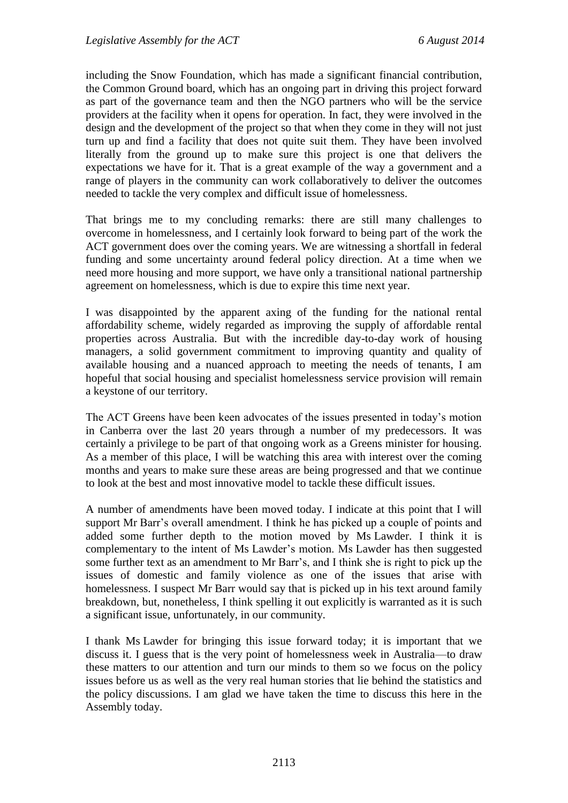including the Snow Foundation, which has made a significant financial contribution, the Common Ground board, which has an ongoing part in driving this project forward as part of the governance team and then the NGO partners who will be the service providers at the facility when it opens for operation. In fact, they were involved in the design and the development of the project so that when they come in they will not just turn up and find a facility that does not quite suit them. They have been involved literally from the ground up to make sure this project is one that delivers the expectations we have for it. That is a great example of the way a government and a range of players in the community can work collaboratively to deliver the outcomes needed to tackle the very complex and difficult issue of homelessness.

That brings me to my concluding remarks: there are still many challenges to overcome in homelessness, and I certainly look forward to being part of the work the ACT government does over the coming years. We are witnessing a shortfall in federal funding and some uncertainty around federal policy direction. At a time when we need more housing and more support, we have only a transitional national partnership agreement on homelessness, which is due to expire this time next year.

I was disappointed by the apparent axing of the funding for the national rental affordability scheme, widely regarded as improving the supply of affordable rental properties across Australia. But with the incredible day-to-day work of housing managers, a solid government commitment to improving quantity and quality of available housing and a nuanced approach to meeting the needs of tenants, I am hopeful that social housing and specialist homelessness service provision will remain a keystone of our territory.

The ACT Greens have been keen advocates of the issues presented in today's motion in Canberra over the last 20 years through a number of my predecessors. It was certainly a privilege to be part of that ongoing work as a Greens minister for housing. As a member of this place, I will be watching this area with interest over the coming months and years to make sure these areas are being progressed and that we continue to look at the best and most innovative model to tackle these difficult issues.

A number of amendments have been moved today. I indicate at this point that I will support Mr Barr's overall amendment. I think he has picked up a couple of points and added some further depth to the motion moved by Ms Lawder. I think it is complementary to the intent of Ms Lawder's motion. Ms Lawder has then suggested some further text as an amendment to Mr Barr's, and I think she is right to pick up the issues of domestic and family violence as one of the issues that arise with homelessness. I suspect Mr Barr would say that is picked up in his text around family breakdown, but, nonetheless, I think spelling it out explicitly is warranted as it is such a significant issue, unfortunately, in our community.

I thank Ms Lawder for bringing this issue forward today; it is important that we discuss it. I guess that is the very point of homelessness week in Australia—to draw these matters to our attention and turn our minds to them so we focus on the policy issues before us as well as the very real human stories that lie behind the statistics and the policy discussions. I am glad we have taken the time to discuss this here in the Assembly today.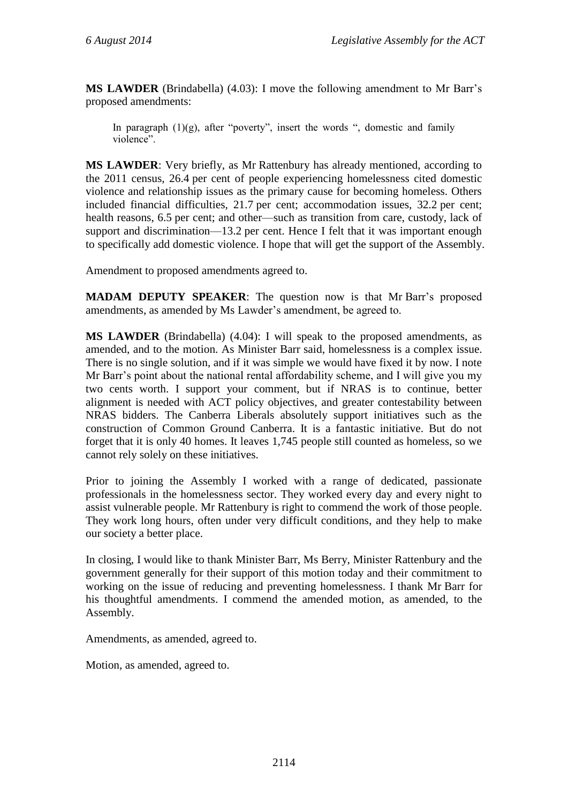**MS LAWDER** (Brindabella) (4.03): I move the following amendment to Mr Barr's proposed amendments:

In paragraph  $(1)(g)$ , after "poverty", insert the words ", domestic and family violence".

**MS LAWDER**: Very briefly, as Mr Rattenbury has already mentioned, according to the 2011 census, 26.4 per cent of people experiencing homelessness cited domestic violence and relationship issues as the primary cause for becoming homeless. Others included financial difficulties, 21.7 per cent; accommodation issues, 32.2 per cent; health reasons, 6.5 per cent; and other—such as transition from care, custody, lack of support and discrimination—13.2 per cent. Hence I felt that it was important enough to specifically add domestic violence. I hope that will get the support of the Assembly.

Amendment to proposed amendments agreed to.

**MADAM DEPUTY SPEAKER**: The question now is that Mr Barr's proposed amendments, as amended by Ms Lawder's amendment, be agreed to.

**MS LAWDER** (Brindabella) (4.04): I will speak to the proposed amendments, as amended, and to the motion. As Minister Barr said, homelessness is a complex issue. There is no single solution, and if it was simple we would have fixed it by now. I note Mr Barr's point about the national rental affordability scheme, and I will give you my two cents worth. I support your comment, but if NRAS is to continue, better alignment is needed with ACT policy objectives, and greater contestability between NRAS bidders. The Canberra Liberals absolutely support initiatives such as the construction of Common Ground Canberra. It is a fantastic initiative. But do not forget that it is only 40 homes. It leaves 1,745 people still counted as homeless, so we cannot rely solely on these initiatives.

Prior to joining the Assembly I worked with a range of dedicated, passionate professionals in the homelessness sector. They worked every day and every night to assist vulnerable people. Mr Rattenbury is right to commend the work of those people. They work long hours, often under very difficult conditions, and they help to make our society a better place.

In closing, I would like to thank Minister Barr, Ms Berry, Minister Rattenbury and the government generally for their support of this motion today and their commitment to working on the issue of reducing and preventing homelessness. I thank Mr Barr for his thoughtful amendments. I commend the amended motion, as amended, to the Assembly.

Amendments, as amended, agreed to.

Motion, as amended, agreed to.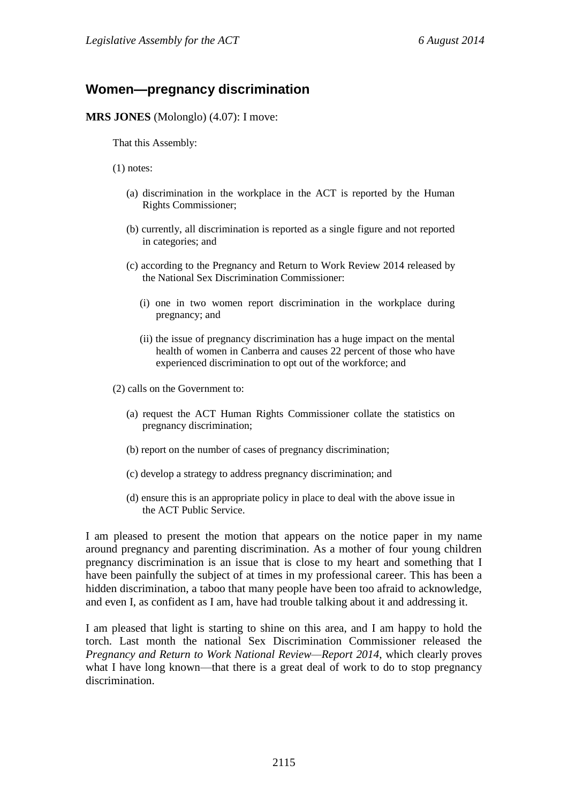## **Women—pregnancy discrimination**

**MRS JONES** (Molonglo) (4.07): I move:

That this Assembly:

(1) notes:

- (a) discrimination in the workplace in the ACT is reported by the Human Rights Commissioner;
- (b) currently, all discrimination is reported as a single figure and not reported in categories; and
- (c) according to the Pregnancy and Return to Work Review 2014 released by the National Sex Discrimination Commissioner:
	- (i) one in two women report discrimination in the workplace during pregnancy; and
	- (ii) the issue of pregnancy discrimination has a huge impact on the mental health of women in Canberra and causes 22 percent of those who have experienced discrimination to opt out of the workforce; and

(2) calls on the Government to:

- (a) request the ACT Human Rights Commissioner collate the statistics on pregnancy discrimination;
- (b) report on the number of cases of pregnancy discrimination;
- (c) develop a strategy to address pregnancy discrimination; and
- (d) ensure this is an appropriate policy in place to deal with the above issue in the ACT Public Service.

I am pleased to present the motion that appears on the notice paper in my name around pregnancy and parenting discrimination. As a mother of four young children pregnancy discrimination is an issue that is close to my heart and something that I have been painfully the subject of at times in my professional career. This has been a hidden discrimination, a taboo that many people have been too afraid to acknowledge, and even I, as confident as I am, have had trouble talking about it and addressing it.

I am pleased that light is starting to shine on this area, and I am happy to hold the torch. Last month the national Sex Discrimination Commissioner released the *Pregnancy and Return to Work National Review—Report 2014*, which clearly proves what I have long known—that there is a great deal of work to do to stop pregnancy discrimination.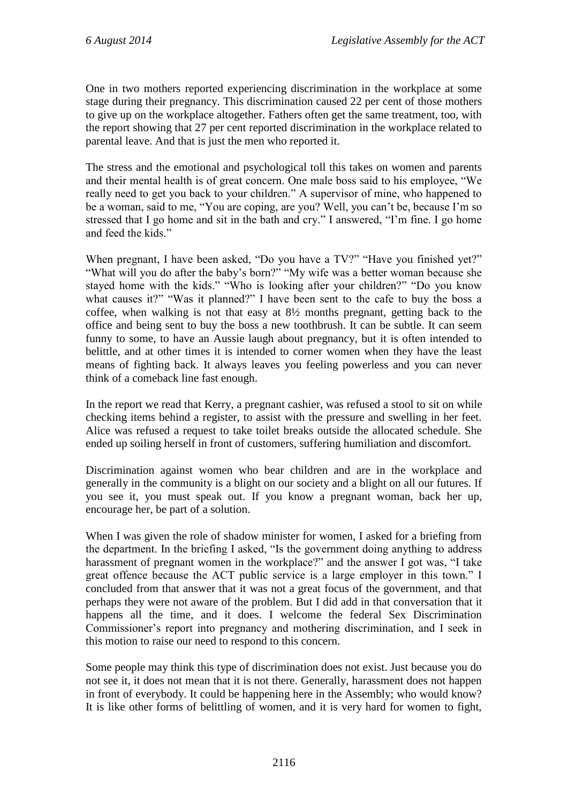One in two mothers reported experiencing discrimination in the workplace at some stage during their pregnancy. This discrimination caused 22 per cent of those mothers to give up on the workplace altogether. Fathers often get the same treatment, too, with the report showing that 27 per cent reported discrimination in the workplace related to parental leave. And that is just the men who reported it.

The stress and the emotional and psychological toll this takes on women and parents and their mental health is of great concern. One male boss said to his employee, "We really need to get you back to your children." A supervisor of mine, who happened to be a woman, said to me, "You are coping, are you? Well, you can't be, because I'm so stressed that I go home and sit in the bath and cry." I answered, "I'm fine. I go home and feed the kids."

When pregnant, I have been asked, "Do you have a TV?" "Have you finished yet?" "What will you do after the baby's born?" "My wife was a better woman because she stayed home with the kids." "Who is looking after your children?" "Do you know what causes it?" "Was it planned?" I have been sent to the cafe to buy the boss a coffee, when walking is not that easy at 8½ months pregnant, getting back to the office and being sent to buy the boss a new toothbrush. It can be subtle. It can seem funny to some, to have an Aussie laugh about pregnancy, but it is often intended to belittle, and at other times it is intended to corner women when they have the least means of fighting back. It always leaves you feeling powerless and you can never think of a comeback line fast enough.

In the report we read that Kerry, a pregnant cashier, was refused a stool to sit on while checking items behind a register, to assist with the pressure and swelling in her feet. Alice was refused a request to take toilet breaks outside the allocated schedule. She ended up soiling herself in front of customers, suffering humiliation and discomfort.

Discrimination against women who bear children and are in the workplace and generally in the community is a blight on our society and a blight on all our futures. If you see it, you must speak out. If you know a pregnant woman, back her up, encourage her, be part of a solution.

When I was given the role of shadow minister for women, I asked for a briefing from the department. In the briefing I asked, "Is the government doing anything to address harassment of pregnant women in the workplace?" and the answer I got was, "I take great offence because the ACT public service is a large employer in this town." I concluded from that answer that it was not a great focus of the government, and that perhaps they were not aware of the problem. But I did add in that conversation that it happens all the time, and it does. I welcome the federal Sex Discrimination Commissioner's report into pregnancy and mothering discrimination, and I seek in this motion to raise our need to respond to this concern.

Some people may think this type of discrimination does not exist. Just because you do not see it, it does not mean that it is not there. Generally, harassment does not happen in front of everybody. It could be happening here in the Assembly; who would know? It is like other forms of belittling of women, and it is very hard for women to fight,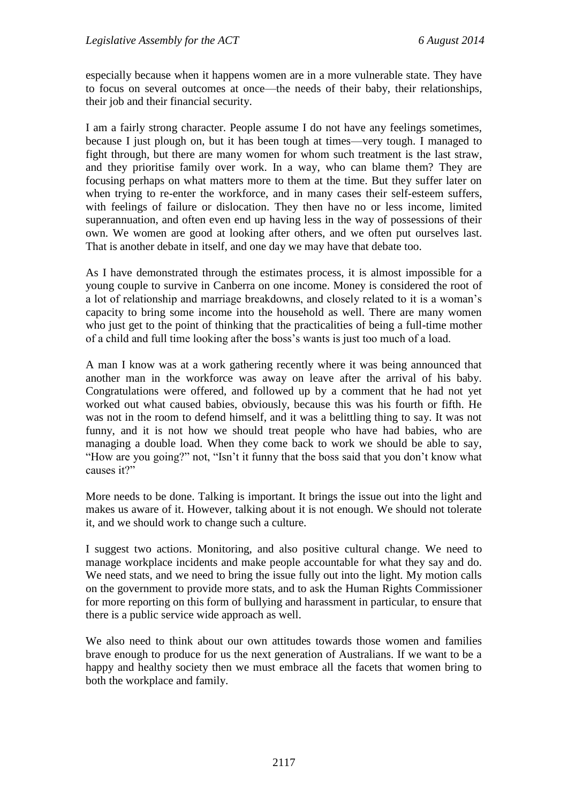especially because when it happens women are in a more vulnerable state. They have to focus on several outcomes at once—the needs of their baby, their relationships, their job and their financial security.

I am a fairly strong character. People assume I do not have any feelings sometimes, because I just plough on, but it has been tough at times—very tough. I managed to fight through, but there are many women for whom such treatment is the last straw, and they prioritise family over work. In a way, who can blame them? They are focusing perhaps on what matters more to them at the time. But they suffer later on when trying to re-enter the workforce, and in many cases their self-esteem suffers, with feelings of failure or dislocation. They then have no or less income, limited superannuation, and often even end up having less in the way of possessions of their own. We women are good at looking after others, and we often put ourselves last. That is another debate in itself, and one day we may have that debate too.

As I have demonstrated through the estimates process, it is almost impossible for a young couple to survive in Canberra on one income. Money is considered the root of a lot of relationship and marriage breakdowns, and closely related to it is a woman's capacity to bring some income into the household as well. There are many women who just get to the point of thinking that the practicalities of being a full-time mother of a child and full time looking after the boss's wants is just too much of a load.

A man I know was at a work gathering recently where it was being announced that another man in the workforce was away on leave after the arrival of his baby. Congratulations were offered, and followed up by a comment that he had not yet worked out what caused babies, obviously, because this was his fourth or fifth. He was not in the room to defend himself, and it was a belittling thing to say. It was not funny, and it is not how we should treat people who have had babies, who are managing a double load. When they come back to work we should be able to say, "How are you going?" not, "Isn't it funny that the boss said that you don't know what causes it?"

More needs to be done. Talking is important. It brings the issue out into the light and makes us aware of it. However, talking about it is not enough. We should not tolerate it, and we should work to change such a culture.

I suggest two actions. Monitoring, and also positive cultural change. We need to manage workplace incidents and make people accountable for what they say and do. We need stats, and we need to bring the issue fully out into the light. My motion calls on the government to provide more stats, and to ask the Human Rights Commissioner for more reporting on this form of bullying and harassment in particular, to ensure that there is a public service wide approach as well.

We also need to think about our own attitudes towards those women and families brave enough to produce for us the next generation of Australians. If we want to be a happy and healthy society then we must embrace all the facets that women bring to both the workplace and family.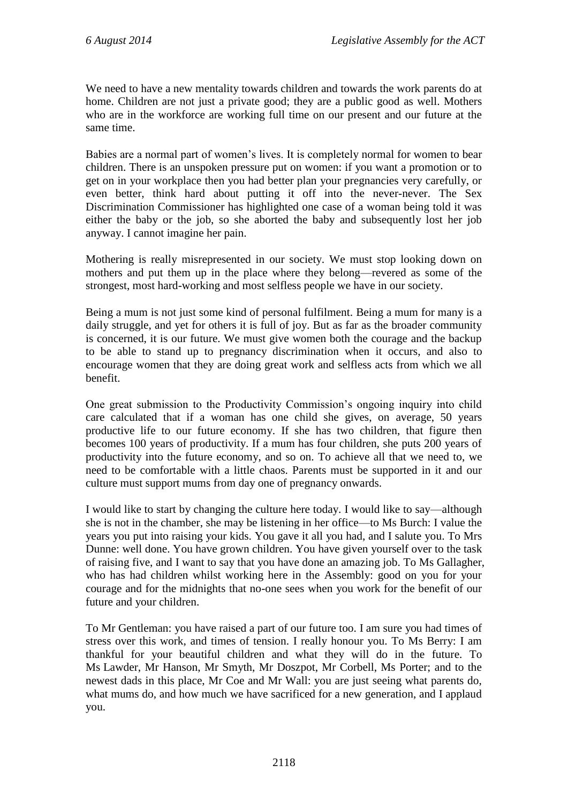We need to have a new mentality towards children and towards the work parents do at home. Children are not just a private good; they are a public good as well. Mothers who are in the workforce are working full time on our present and our future at the same time.

Babies are a normal part of women's lives. It is completely normal for women to bear children. There is an unspoken pressure put on women: if you want a promotion or to get on in your workplace then you had better plan your pregnancies very carefully, or even better, think hard about putting it off into the never-never. The Sex Discrimination Commissioner has highlighted one case of a woman being told it was either the baby or the job, so she aborted the baby and subsequently lost her job anyway. I cannot imagine her pain.

Mothering is really misrepresented in our society. We must stop looking down on mothers and put them up in the place where they belong—revered as some of the strongest, most hard-working and most selfless people we have in our society.

Being a mum is not just some kind of personal fulfilment. Being a mum for many is a daily struggle, and yet for others it is full of joy. But as far as the broader community is concerned, it is our future. We must give women both the courage and the backup to be able to stand up to pregnancy discrimination when it occurs, and also to encourage women that they are doing great work and selfless acts from which we all benefit.

One great submission to the Productivity Commission's ongoing inquiry into child care calculated that if a woman has one child she gives, on average, 50 years productive life to our future economy. If she has two children, that figure then becomes 100 years of productivity. If a mum has four children, she puts 200 years of productivity into the future economy, and so on. To achieve all that we need to, we need to be comfortable with a little chaos. Parents must be supported in it and our culture must support mums from day one of pregnancy onwards.

I would like to start by changing the culture here today. I would like to say—although she is not in the chamber, she may be listening in her office—to Ms Burch: I value the years you put into raising your kids. You gave it all you had, and I salute you. To Mrs Dunne: well done. You have grown children. You have given yourself over to the task of raising five, and I want to say that you have done an amazing job. To Ms Gallagher, who has had children whilst working here in the Assembly: good on you for your courage and for the midnights that no-one sees when you work for the benefit of our future and your children.

To Mr Gentleman: you have raised a part of our future too. I am sure you had times of stress over this work, and times of tension. I really honour you. To Ms Berry: I am thankful for your beautiful children and what they will do in the future. To Ms Lawder, Mr Hanson, Mr Smyth, Mr Doszpot, Mr Corbell, Ms Porter; and to the newest dads in this place, Mr Coe and Mr Wall: you are just seeing what parents do, what mums do, and how much we have sacrificed for a new generation, and I applaud you.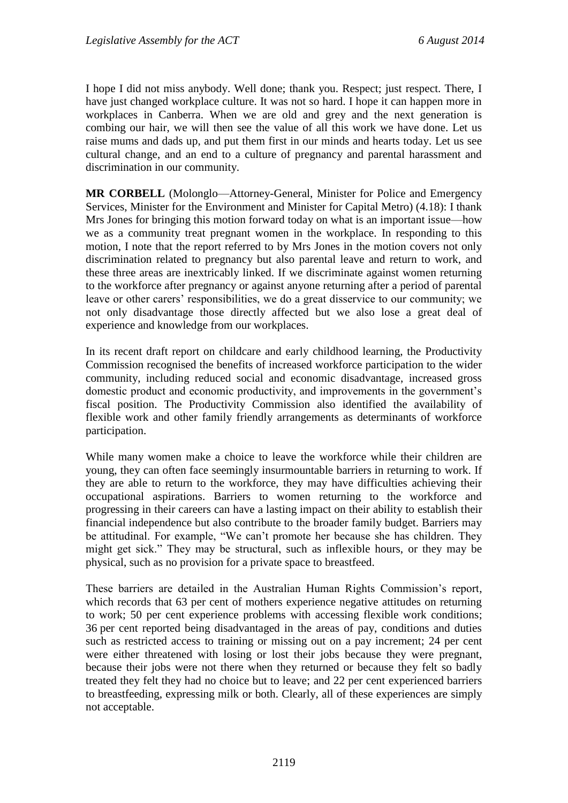I hope I did not miss anybody. Well done; thank you. Respect; just respect. There, I have just changed workplace culture. It was not so hard. I hope it can happen more in workplaces in Canberra. When we are old and grey and the next generation is combing our hair, we will then see the value of all this work we have done. Let us raise mums and dads up, and put them first in our minds and hearts today. Let us see cultural change, and an end to a culture of pregnancy and parental harassment and discrimination in our community.

**MR CORBELL** (Molonglo—Attorney-General, Minister for Police and Emergency Services, Minister for the Environment and Minister for Capital Metro) (4.18): I thank Mrs Jones for bringing this motion forward today on what is an important issue—how we as a community treat pregnant women in the workplace. In responding to this motion, I note that the report referred to by Mrs Jones in the motion covers not only discrimination related to pregnancy but also parental leave and return to work, and these three areas are inextricably linked. If we discriminate against women returning to the workforce after pregnancy or against anyone returning after a period of parental leave or other carers' responsibilities, we do a great disservice to our community; we not only disadvantage those directly affected but we also lose a great deal of experience and knowledge from our workplaces.

In its recent draft report on childcare and early childhood learning, the Productivity Commission recognised the benefits of increased workforce participation to the wider community, including reduced social and economic disadvantage, increased gross domestic product and economic productivity, and improvements in the government's fiscal position. The Productivity Commission also identified the availability of flexible work and other family friendly arrangements as determinants of workforce participation.

While many women make a choice to leave the workforce while their children are young, they can often face seemingly insurmountable barriers in returning to work. If they are able to return to the workforce, they may have difficulties achieving their occupational aspirations. Barriers to women returning to the workforce and progressing in their careers can have a lasting impact on their ability to establish their financial independence but also contribute to the broader family budget. Barriers may be attitudinal. For example, "We can't promote her because she has children. They might get sick." They may be structural, such as inflexible hours, or they may be physical, such as no provision for a private space to breastfeed.

These barriers are detailed in the Australian Human Rights Commission's report, which records that 63 per cent of mothers experience negative attitudes on returning to work; 50 per cent experience problems with accessing flexible work conditions; 36 per cent reported being disadvantaged in the areas of pay, conditions and duties such as restricted access to training or missing out on a pay increment; 24 per cent were either threatened with losing or lost their jobs because they were pregnant, because their jobs were not there when they returned or because they felt so badly treated they felt they had no choice but to leave; and 22 per cent experienced barriers to breastfeeding, expressing milk or both. Clearly, all of these experiences are simply not acceptable.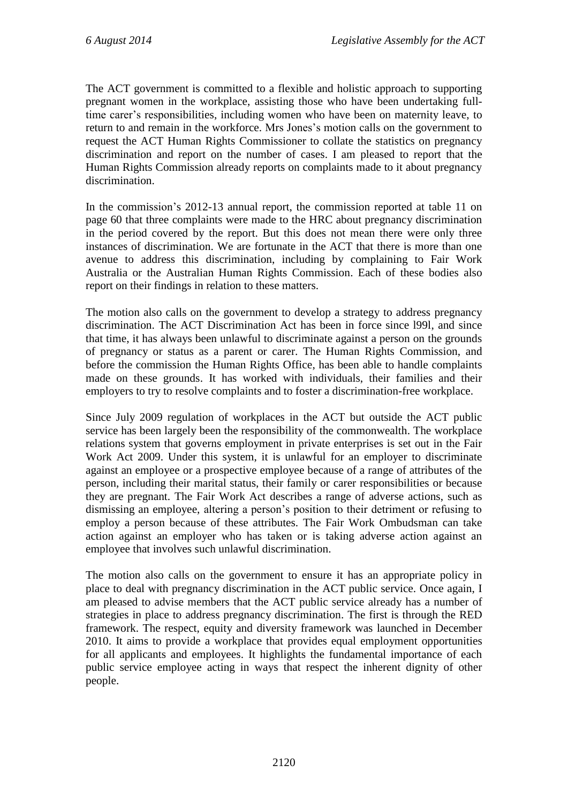The ACT government is committed to a flexible and holistic approach to supporting pregnant women in the workplace, assisting those who have been undertaking fulltime carer's responsibilities, including women who have been on maternity leave, to return to and remain in the workforce. Mrs Jones's motion calls on the government to request the ACT Human Rights Commissioner to collate the statistics on pregnancy discrimination and report on the number of cases. I am pleased to report that the Human Rights Commission already reports on complaints made to it about pregnancy discrimination.

In the commission's 2012-13 annual report, the commission reported at table 11 on page 60 that three complaints were made to the HRC about pregnancy discrimination in the period covered by the report. But this does not mean there were only three instances of discrimination. We are fortunate in the ACT that there is more than one avenue to address this discrimination, including by complaining to Fair Work Australia or the Australian Human Rights Commission. Each of these bodies also report on their findings in relation to these matters.

The motion also calls on the government to develop a strategy to address pregnancy discrimination. The ACT Discrimination Act has been in force since l99l, and since that time, it has always been unlawful to discriminate against a person on the grounds of pregnancy or status as a parent or carer. The Human Rights Commission, and before the commission the Human Rights Office, has been able to handle complaints made on these grounds. It has worked with individuals, their families and their employers to try to resolve complaints and to foster a discrimination-free workplace.

Since July 2009 regulation of workplaces in the ACT but outside the ACT public service has been largely been the responsibility of the commonwealth. The workplace relations system that governs employment in private enterprises is set out in the Fair Work Act 2009. Under this system, it is unlawful for an employer to discriminate against an employee or a prospective employee because of a range of attributes of the person, including their marital status, their family or carer responsibilities or because they are pregnant. The Fair Work Act describes a range of adverse actions, such as dismissing an employee, altering a person's position to their detriment or refusing to employ a person because of these attributes. The Fair Work Ombudsman can take action against an employer who has taken or is taking adverse action against an employee that involves such unlawful discrimination.

The motion also calls on the government to ensure it has an appropriate policy in place to deal with pregnancy discrimination in the ACT public service. Once again, I am pleased to advise members that the ACT public service already has a number of strategies in place to address pregnancy discrimination. The first is through the RED framework. The respect, equity and diversity framework was launched in December 2010. It aims to provide a workplace that provides equal employment opportunities for all applicants and employees. It highlights the fundamental importance of each public service employee acting in ways that respect the inherent dignity of other people.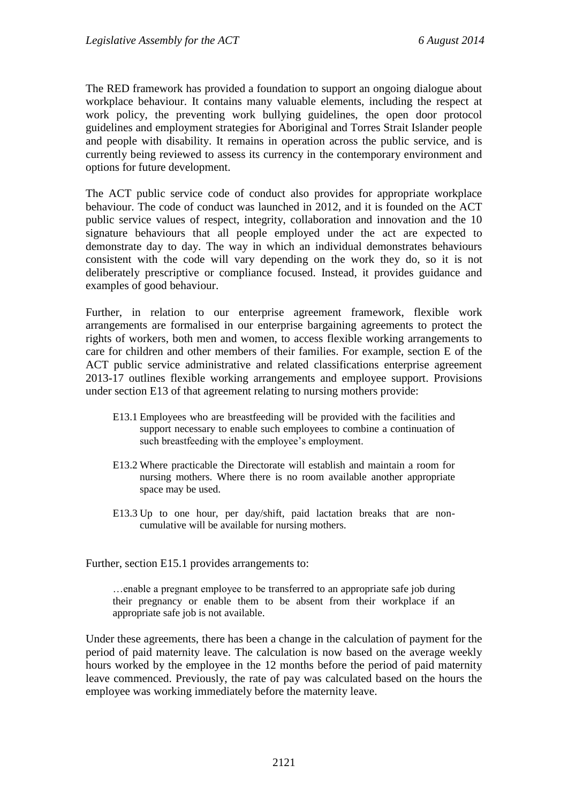The RED framework has provided a foundation to support an ongoing dialogue about workplace behaviour. It contains many valuable elements, including the respect at work policy, the preventing work bullying guidelines, the open door protocol guidelines and employment strategies for Aboriginal and Torres Strait Islander people and people with disability. It remains in operation across the public service, and is currently being reviewed to assess its currency in the contemporary environment and options for future development.

The ACT public service code of conduct also provides for appropriate workplace behaviour. The code of conduct was launched in 2012, and it is founded on the ACT public service values of respect, integrity, collaboration and innovation and the 10 signature behaviours that all people employed under the act are expected to demonstrate day to day. The way in which an individual demonstrates behaviours consistent with the code will vary depending on the work they do, so it is not deliberately prescriptive or compliance focused. Instead, it provides guidance and examples of good behaviour.

Further, in relation to our enterprise agreement framework, flexible work arrangements are formalised in our enterprise bargaining agreements to protect the rights of workers, both men and women, to access flexible working arrangements to care for children and other members of their families. For example, section E of the ACT public service administrative and related classifications enterprise agreement 2013-17 outlines flexible working arrangements and employee support. Provisions under section E13 of that agreement relating to nursing mothers provide:

- E13.1 Employees who are breastfeeding will be provided with the facilities and support necessary to enable such employees to combine a continuation of such breastfeeding with the employee's employment.
- E13.2 Where practicable the Directorate will establish and maintain a room for nursing mothers. Where there is no room available another appropriate space may be used.
- E13.3 Up to one hour, per day/shift, paid lactation breaks that are noncumulative will be available for nursing mothers.

Further, section E15.1 provides arrangements to:

…enable a pregnant employee to be transferred to an appropriate safe job during their pregnancy or enable them to be absent from their workplace if an appropriate safe job is not available.

Under these agreements, there has been a change in the calculation of payment for the period of paid maternity leave. The calculation is now based on the average weekly hours worked by the employee in the 12 months before the period of paid maternity leave commenced. Previously, the rate of pay was calculated based on the hours the employee was working immediately before the maternity leave.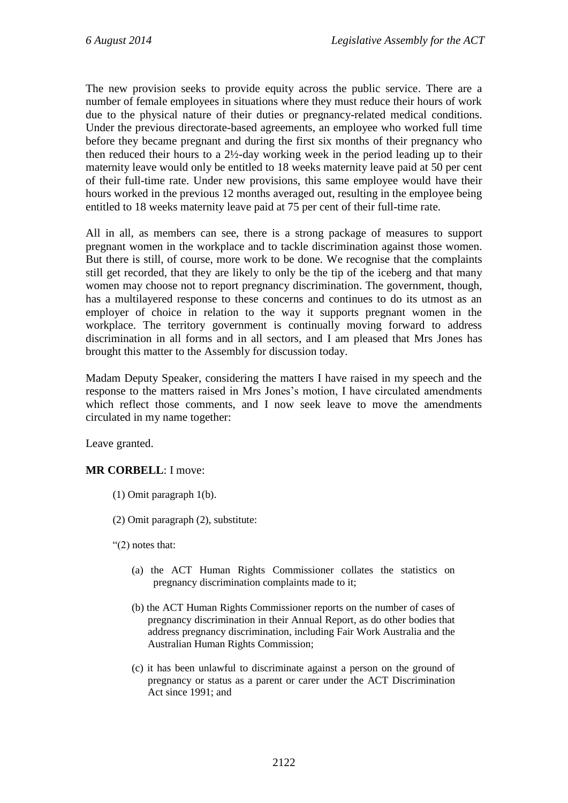The new provision seeks to provide equity across the public service. There are a number of female employees in situations where they must reduce their hours of work due to the physical nature of their duties or pregnancy-related medical conditions. Under the previous directorate-based agreements, an employee who worked full time before they became pregnant and during the first six months of their pregnancy who then reduced their hours to a 2½-day working week in the period leading up to their maternity leave would only be entitled to 18 weeks maternity leave paid at 50 per cent of their full-time rate. Under new provisions, this same employee would have their hours worked in the previous 12 months averaged out, resulting in the employee being entitled to 18 weeks maternity leave paid at 75 per cent of their full-time rate.

All in all, as members can see, there is a strong package of measures to support pregnant women in the workplace and to tackle discrimination against those women. But there is still, of course, more work to be done. We recognise that the complaints still get recorded, that they are likely to only be the tip of the iceberg and that many women may choose not to report pregnancy discrimination. The government, though, has a multilayered response to these concerns and continues to do its utmost as an employer of choice in relation to the way it supports pregnant women in the workplace. The territory government is continually moving forward to address discrimination in all forms and in all sectors, and I am pleased that Mrs Jones has brought this matter to the Assembly for discussion today.

Madam Deputy Speaker, considering the matters I have raised in my speech and the response to the matters raised in Mrs Jones's motion, I have circulated amendments which reflect those comments, and I now seek leave to move the amendments circulated in my name together:

Leave granted.

### **MR CORBELL**: I move:

- (1) Omit paragraph 1(b).
- (2) Omit paragraph (2), substitute:
- "(2) notes that:
	- (a) the ACT Human Rights Commissioner collates the statistics on pregnancy discrimination complaints made to it;
	- (b) the ACT Human Rights Commissioner reports on the number of cases of pregnancy discrimination in their Annual Report, as do other bodies that address pregnancy discrimination, including Fair Work Australia and the Australian Human Rights Commission;
	- (c) it has been unlawful to discriminate against a person on the ground of pregnancy or status as a parent or carer under the ACT Discrimination Act since 1991; and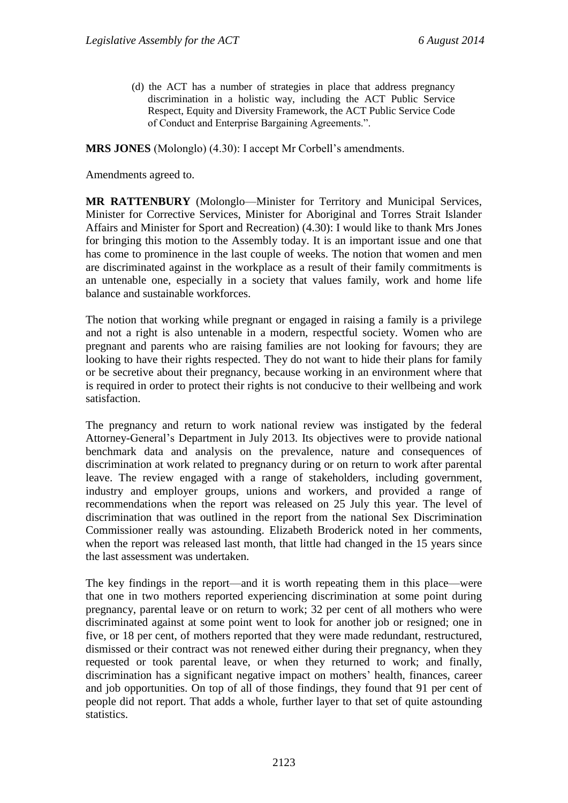(d) the ACT has a number of strategies in place that address pregnancy discrimination in a holistic way, including the ACT Public Service Respect, Equity and Diversity Framework, the ACT Public Service Code of Conduct and Enterprise Bargaining Agreements.".

**MRS JONES** (Molonglo) (4.30): I accept Mr Corbell's amendments.

Amendments agreed to.

**MR RATTENBURY** (Molonglo—Minister for Territory and Municipal Services, Minister for Corrective Services, Minister for Aboriginal and Torres Strait Islander Affairs and Minister for Sport and Recreation) (4.30): I would like to thank Mrs Jones for bringing this motion to the Assembly today. It is an important issue and one that has come to prominence in the last couple of weeks. The notion that women and men are discriminated against in the workplace as a result of their family commitments is an untenable one, especially in a society that values family, work and home life balance and sustainable workforces.

The notion that working while pregnant or engaged in raising a family is a privilege and not a right is also untenable in a modern, respectful society. Women who are pregnant and parents who are raising families are not looking for favours; they are looking to have their rights respected. They do not want to hide their plans for family or be secretive about their pregnancy, because working in an environment where that is required in order to protect their rights is not conducive to their wellbeing and work satisfaction.

The pregnancy and return to work national review was instigated by the federal Attorney-General's Department in July 2013. Its objectives were to provide national benchmark data and analysis on the prevalence, nature and consequences of discrimination at work related to pregnancy during or on return to work after parental leave. The review engaged with a range of stakeholders, including government, industry and employer groups, unions and workers, and provided a range of recommendations when the report was released on 25 July this year. The level of discrimination that was outlined in the report from the national Sex Discrimination Commissioner really was astounding. Elizabeth Broderick noted in her comments, when the report was released last month, that little had changed in the 15 years since the last assessment was undertaken.

The key findings in the report—and it is worth repeating them in this place—were that one in two mothers reported experiencing discrimination at some point during pregnancy, parental leave or on return to work; 32 per cent of all mothers who were discriminated against at some point went to look for another job or resigned; one in five, or 18 per cent, of mothers reported that they were made redundant, restructured, dismissed or their contract was not renewed either during their pregnancy, when they requested or took parental leave, or when they returned to work; and finally, discrimination has a significant negative impact on mothers' health, finances, career and job opportunities. On top of all of those findings, they found that 91 per cent of people did not report. That adds a whole, further layer to that set of quite astounding statistics.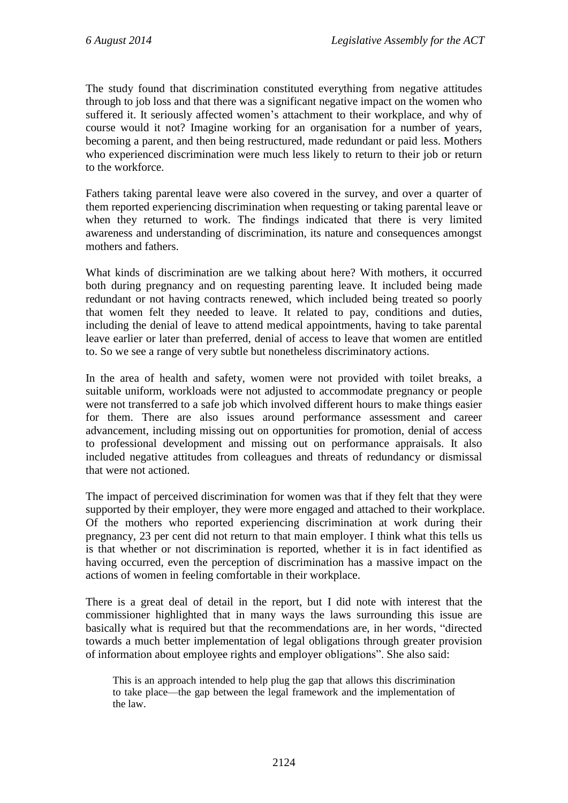The study found that discrimination constituted everything from negative attitudes through to job loss and that there was a significant negative impact on the women who suffered it. It seriously affected women's attachment to their workplace, and why of course would it not? Imagine working for an organisation for a number of years, becoming a parent, and then being restructured, made redundant or paid less. Mothers who experienced discrimination were much less likely to return to their job or return to the workforce.

Fathers taking parental leave were also covered in the survey, and over a quarter of them reported experiencing discrimination when requesting or taking parental leave or when they returned to work. The findings indicated that there is very limited awareness and understanding of discrimination, its nature and consequences amongst mothers and fathers.

What kinds of discrimination are we talking about here? With mothers, it occurred both during pregnancy and on requesting parenting leave. It included being made redundant or not having contracts renewed, which included being treated so poorly that women felt they needed to leave. It related to pay, conditions and duties, including the denial of leave to attend medical appointments, having to take parental leave earlier or later than preferred, denial of access to leave that women are entitled to. So we see a range of very subtle but nonetheless discriminatory actions.

In the area of health and safety, women were not provided with toilet breaks, a suitable uniform, workloads were not adjusted to accommodate pregnancy or people were not transferred to a safe job which involved different hours to make things easier for them. There are also issues around performance assessment and career advancement, including missing out on opportunities for promotion, denial of access to professional development and missing out on performance appraisals. It also included negative attitudes from colleagues and threats of redundancy or dismissal that were not actioned.

The impact of perceived discrimination for women was that if they felt that they were supported by their employer, they were more engaged and attached to their workplace. Of the mothers who reported experiencing discrimination at work during their pregnancy, 23 per cent did not return to that main employer. I think what this tells us is that whether or not discrimination is reported, whether it is in fact identified as having occurred, even the perception of discrimination has a massive impact on the actions of women in feeling comfortable in their workplace.

There is a great deal of detail in the report, but I did note with interest that the commissioner highlighted that in many ways the laws surrounding this issue are basically what is required but that the recommendations are, in her words, "directed towards a much better implementation of legal obligations through greater provision of information about employee rights and employer obligations". She also said:

This is an approach intended to help plug the gap that allows this discrimination to take place—the gap between the legal framework and the implementation of the law.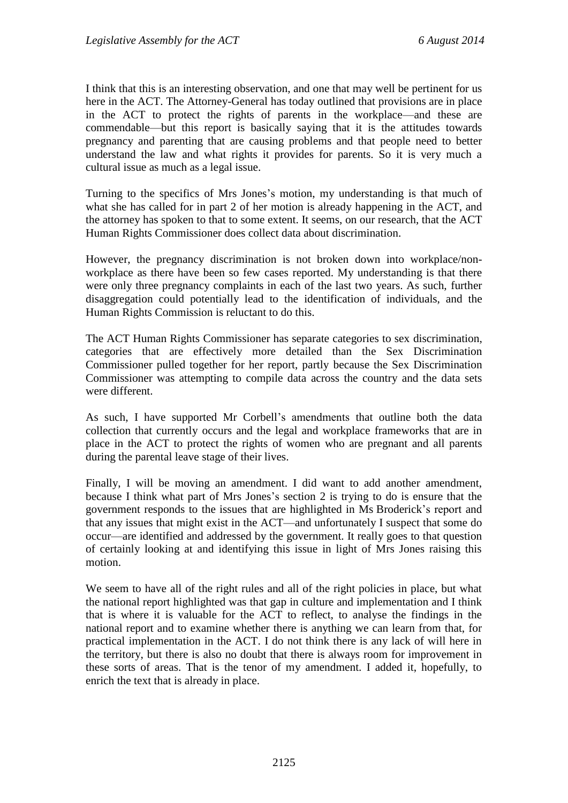I think that this is an interesting observation, and one that may well be pertinent for us here in the ACT. The Attorney-General has today outlined that provisions are in place in the ACT to protect the rights of parents in the workplace—and these are commendable—but this report is basically saying that it is the attitudes towards pregnancy and parenting that are causing problems and that people need to better understand the law and what rights it provides for parents. So it is very much a cultural issue as much as a legal issue.

Turning to the specifics of Mrs Jones's motion, my understanding is that much of what she has called for in part 2 of her motion is already happening in the ACT, and the attorney has spoken to that to some extent. It seems, on our research, that the ACT Human Rights Commissioner does collect data about discrimination.

However, the pregnancy discrimination is not broken down into workplace/nonworkplace as there have been so few cases reported. My understanding is that there were only three pregnancy complaints in each of the last two years. As such, further disaggregation could potentially lead to the identification of individuals, and the Human Rights Commission is reluctant to do this.

The ACT Human Rights Commissioner has separate categories to sex discrimination, categories that are effectively more detailed than the Sex Discrimination Commissioner pulled together for her report, partly because the Sex Discrimination Commissioner was attempting to compile data across the country and the data sets were different.

As such, I have supported Mr Corbell's amendments that outline both the data collection that currently occurs and the legal and workplace frameworks that are in place in the ACT to protect the rights of women who are pregnant and all parents during the parental leave stage of their lives.

Finally, I will be moving an amendment. I did want to add another amendment, because I think what part of Mrs Jones's section 2 is trying to do is ensure that the government responds to the issues that are highlighted in Ms Broderick's report and that any issues that might exist in the ACT—and unfortunately I suspect that some do occur—are identified and addressed by the government. It really goes to that question of certainly looking at and identifying this issue in light of Mrs Jones raising this motion.

We seem to have all of the right rules and all of the right policies in place, but what the national report highlighted was that gap in culture and implementation and I think that is where it is valuable for the ACT to reflect, to analyse the findings in the national report and to examine whether there is anything we can learn from that, for practical implementation in the ACT. I do not think there is any lack of will here in the territory, but there is also no doubt that there is always room for improvement in these sorts of areas. That is the tenor of my amendment. I added it, hopefully, to enrich the text that is already in place.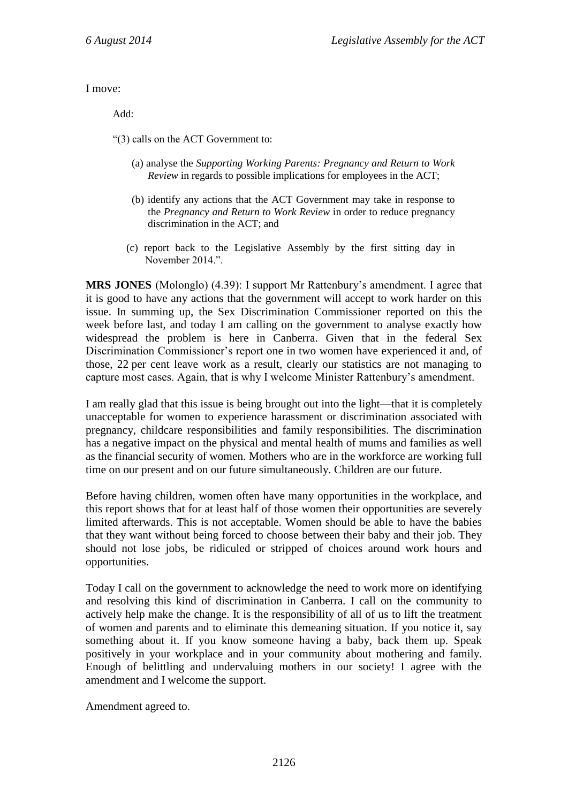I move:

Add:

"(3) calls on the ACT Government to:

- (a) analyse the *Supporting Working Parents: Pregnancy and Return to Work Review* in regards to possible implications for employees in the ACT;
- (b) identify any actions that the ACT Government may take in response to the *Pregnancy and Return to Work Review* in order to reduce pregnancy discrimination in the ACT; and
- (c) report back to the Legislative Assembly by the first sitting day in November 2014.".

**MRS JONES** (Molonglo) (4.39): I support Mr Rattenbury's amendment. I agree that it is good to have any actions that the government will accept to work harder on this issue. In summing up, the Sex Discrimination Commissioner reported on this the week before last, and today I am calling on the government to analyse exactly how widespread the problem is here in Canberra. Given that in the federal Sex Discrimination Commissioner's report one in two women have experienced it and, of those, 22 per cent leave work as a result, clearly our statistics are not managing to capture most cases. Again, that is why I welcome Minister Rattenbury's amendment.

I am really glad that this issue is being brought out into the light—that it is completely unacceptable for women to experience harassment or discrimination associated with pregnancy, childcare responsibilities and family responsibilities. The discrimination has a negative impact on the physical and mental health of mums and families as well as the financial security of women. Mothers who are in the workforce are working full time on our present and on our future simultaneously. Children are our future.

Before having children, women often have many opportunities in the workplace, and this report shows that for at least half of those women their opportunities are severely limited afterwards. This is not acceptable. Women should be able to have the babies that they want without being forced to choose between their baby and their job. They should not lose jobs, be ridiculed or stripped of choices around work hours and opportunities.

Today I call on the government to acknowledge the need to work more on identifying and resolving this kind of discrimination in Canberra. I call on the community to actively help make the change. It is the responsibility of all of us to lift the treatment of women and parents and to eliminate this demeaning situation. If you notice it, say something about it. If you know someone having a baby, back them up. Speak positively in your workplace and in your community about mothering and family. Enough of belittling and undervaluing mothers in our society! I agree with the amendment and I welcome the support.

Amendment agreed to.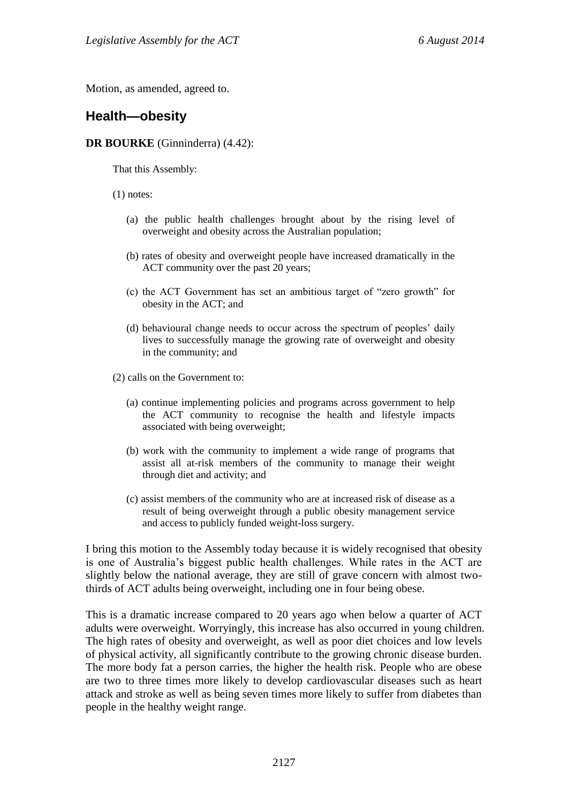Motion, as amended, agreed to.

## **Health—obesity**

### **DR BOURKE** (Ginninderra) (4.42):

That this Assembly:

- (1) notes:
	- (a) the public health challenges brought about by the rising level of overweight and obesity across the Australian population;
	- (b) rates of obesity and overweight people have increased dramatically in the ACT community over the past 20 years;
	- (c) the ACT Government has set an ambitious target of "zero growth" for obesity in the ACT; and
	- (d) behavioural change needs to occur across the spectrum of peoples' daily lives to successfully manage the growing rate of overweight and obesity in the community; and
- (2) calls on the Government to:
	- (a) continue implementing policies and programs across government to help the ACT community to recognise the health and lifestyle impacts associated with being overweight;
	- (b) work with the community to implement a wide range of programs that assist all at-risk members of the community to manage their weight through diet and activity; and
	- (c) assist members of the community who are at increased risk of disease as a result of being overweight through a public obesity management service and access to publicly funded weight-loss surgery.

I bring this motion to the Assembly today because it is widely recognised that obesity is one of Australia's biggest public health challenges. While rates in the ACT are slightly below the national average, they are still of grave concern with almost twothirds of ACT adults being overweight, including one in four being obese.

This is a dramatic increase compared to 20 years ago when below a quarter of ACT adults were overweight. Worryingly, this increase has also occurred in young children. The high rates of obesity and overweight, as well as poor diet choices and low levels of physical activity, all significantly contribute to the growing chronic disease burden. The more body fat a person carries, the higher the health risk. People who are obese are two to three times more likely to develop cardiovascular diseases such as heart attack and stroke as well as being seven times more likely to suffer from diabetes than people in the healthy weight range.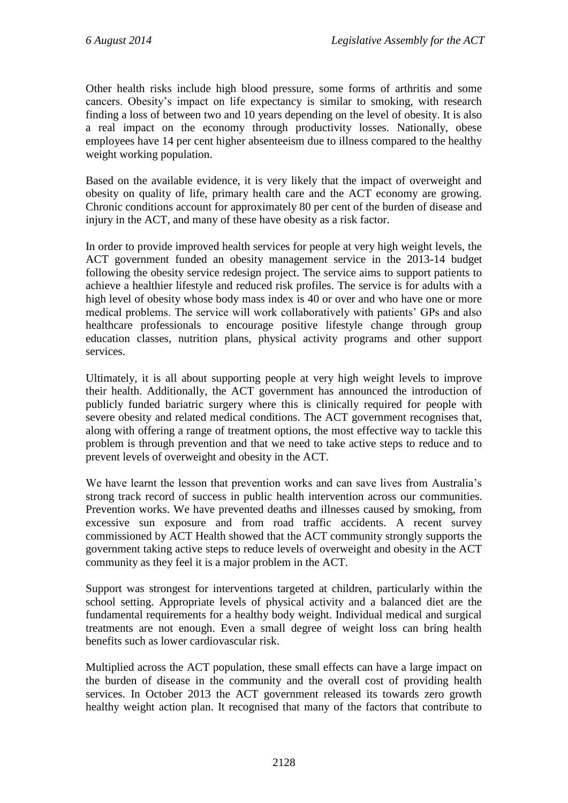Other health risks include high blood pressure, some forms of arthritis and some cancers. Obesity's impact on life expectancy is similar to smoking, with research finding a loss of between two and 10 years depending on the level of obesity. It is also a real impact on the economy through productivity losses. Nationally, obese employees have 14 per cent higher absenteeism due to illness compared to the healthy weight working population.

Based on the available evidence, it is very likely that the impact of overweight and obesity on quality of life, primary health care and the ACT economy are growing. Chronic conditions account for approximately 80 per cent of the burden of disease and injury in the ACT, and many of these have obesity as a risk factor.

In order to provide improved health services for people at very high weight levels, the ACT government funded an obesity management service in the 2013-14 budget following the obesity service redesign project. The service aims to support patients to achieve a healthier lifestyle and reduced risk profiles. The service is for adults with a high level of obesity whose body mass index is 40 or over and who have one or more medical problems. The service will work collaboratively with patients' GPs and also healthcare professionals to encourage positive lifestyle change through group education classes, nutrition plans, physical activity programs and other support services.

Ultimately, it is all about supporting people at very high weight levels to improve their health. Additionally, the ACT government has announced the introduction of publicly funded bariatric surgery where this is clinically required for people with severe obesity and related medical conditions. The ACT government recognises that, along with offering a range of treatment options, the most effective way to tackle this problem is through prevention and that we need to take active steps to reduce and to prevent levels of overweight and obesity in the ACT.

We have learnt the lesson that prevention works and can save lives from Australia's strong track record of success in public health intervention across our communities. Prevention works. We have prevented deaths and illnesses caused by smoking, from excessive sun exposure and from road traffic accidents. A recent survey commissioned by ACT Health showed that the ACT community strongly supports the government taking active steps to reduce levels of overweight and obesity in the ACT community as they feel it is a major problem in the ACT.

Support was strongest for interventions targeted at children, particularly within the school setting. Appropriate levels of physical activity and a balanced diet are the fundamental requirements for a healthy body weight. Individual medical and surgical treatments are not enough. Even a small degree of weight loss can bring health benefits such as lower cardiovascular risk.

Multiplied across the ACT population, these small effects can have a large impact on the burden of disease in the community and the overall cost of providing health services. In October 2013 the ACT government released its towards zero growth healthy weight action plan. It recognised that many of the factors that contribute to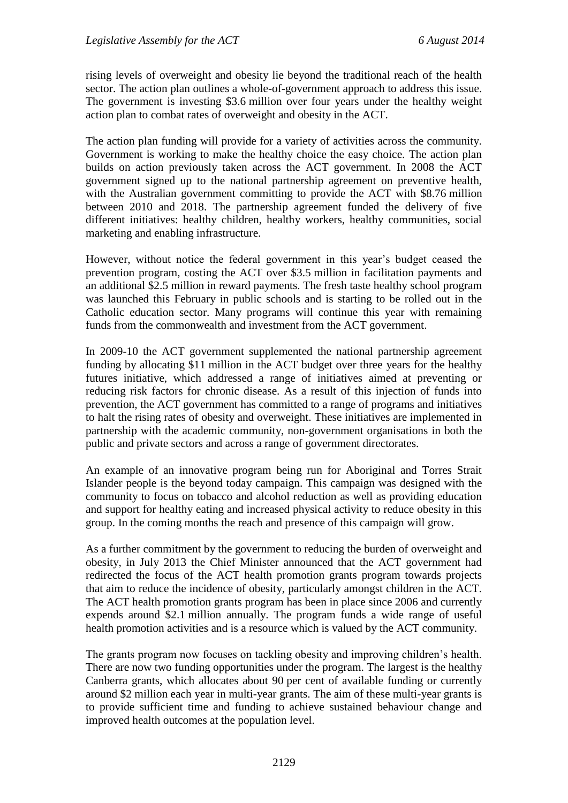rising levels of overweight and obesity lie beyond the traditional reach of the health sector. The action plan outlines a whole-of-government approach to address this issue. The government is investing \$3.6 million over four years under the healthy weight action plan to combat rates of overweight and obesity in the ACT.

The action plan funding will provide for a variety of activities across the community. Government is working to make the healthy choice the easy choice. The action plan builds on action previously taken across the ACT government. In 2008 the ACT government signed up to the national partnership agreement on preventive health, with the Australian government committing to provide the ACT with \$8.76 million between 2010 and 2018. The partnership agreement funded the delivery of five different initiatives: healthy children, healthy workers, healthy communities, social marketing and enabling infrastructure.

However, without notice the federal government in this year's budget ceased the prevention program, costing the ACT over \$3.5 million in facilitation payments and an additional \$2.5 million in reward payments. The fresh taste healthy school program was launched this February in public schools and is starting to be rolled out in the Catholic education sector. Many programs will continue this year with remaining funds from the commonwealth and investment from the ACT government.

In 2009-10 the ACT government supplemented the national partnership agreement funding by allocating \$11 million in the ACT budget over three years for the healthy futures initiative, which addressed a range of initiatives aimed at preventing or reducing risk factors for chronic disease. As a result of this injection of funds into prevention, the ACT government has committed to a range of programs and initiatives to halt the rising rates of obesity and overweight. These initiatives are implemented in partnership with the academic community, non-government organisations in both the public and private sectors and across a range of government directorates.

An example of an innovative program being run for Aboriginal and Torres Strait Islander people is the beyond today campaign. This campaign was designed with the community to focus on tobacco and alcohol reduction as well as providing education and support for healthy eating and increased physical activity to reduce obesity in this group. In the coming months the reach and presence of this campaign will grow.

As a further commitment by the government to reducing the burden of overweight and obesity, in July 2013 the Chief Minister announced that the ACT government had redirected the focus of the ACT health promotion grants program towards projects that aim to reduce the incidence of obesity, particularly amongst children in the ACT. The ACT health promotion grants program has been in place since 2006 and currently expends around \$2.1 million annually. The program funds a wide range of useful health promotion activities and is a resource which is valued by the ACT community.

The grants program now focuses on tackling obesity and improving children's health. There are now two funding opportunities under the program. The largest is the healthy Canberra grants, which allocates about 90 per cent of available funding or currently around \$2 million each year in multi-year grants. The aim of these multi-year grants is to provide sufficient time and funding to achieve sustained behaviour change and improved health outcomes at the population level.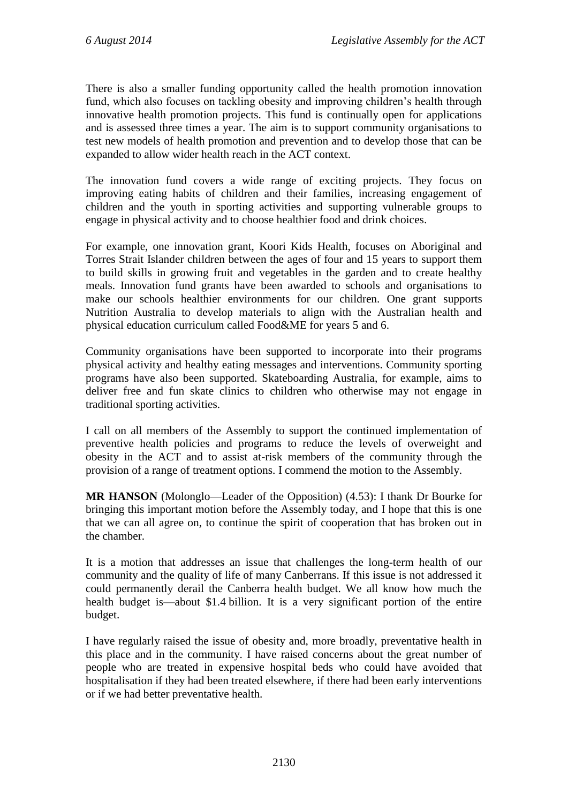There is also a smaller funding opportunity called the health promotion innovation fund, which also focuses on tackling obesity and improving children's health through innovative health promotion projects. This fund is continually open for applications and is assessed three times a year. The aim is to support community organisations to test new models of health promotion and prevention and to develop those that can be expanded to allow wider health reach in the ACT context.

The innovation fund covers a wide range of exciting projects. They focus on improving eating habits of children and their families, increasing engagement of children and the youth in sporting activities and supporting vulnerable groups to engage in physical activity and to choose healthier food and drink choices.

For example, one innovation grant, Koori Kids Health, focuses on Aboriginal and Torres Strait Islander children between the ages of four and 15 years to support them to build skills in growing fruit and vegetables in the garden and to create healthy meals. Innovation fund grants have been awarded to schools and organisations to make our schools healthier environments for our children. One grant supports Nutrition Australia to develop materials to align with the Australian health and physical education curriculum called Food&ME for years 5 and 6.

Community organisations have been supported to incorporate into their programs physical activity and healthy eating messages and interventions. Community sporting programs have also been supported. Skateboarding Australia, for example, aims to deliver free and fun skate clinics to children who otherwise may not engage in traditional sporting activities.

I call on all members of the Assembly to support the continued implementation of preventive health policies and programs to reduce the levels of overweight and obesity in the ACT and to assist at-risk members of the community through the provision of a range of treatment options. I commend the motion to the Assembly.

**MR HANSON** (Molonglo—Leader of the Opposition) (4.53): I thank Dr Bourke for bringing this important motion before the Assembly today, and I hope that this is one that we can all agree on, to continue the spirit of cooperation that has broken out in the chamber.

It is a motion that addresses an issue that challenges the long-term health of our community and the quality of life of many Canberrans. If this issue is not addressed it could permanently derail the Canberra health budget. We all know how much the health budget is—about \$1.4 billion. It is a very significant portion of the entire budget.

I have regularly raised the issue of obesity and, more broadly, preventative health in this place and in the community. I have raised concerns about the great number of people who are treated in expensive hospital beds who could have avoided that hospitalisation if they had been treated elsewhere, if there had been early interventions or if we had better preventative health.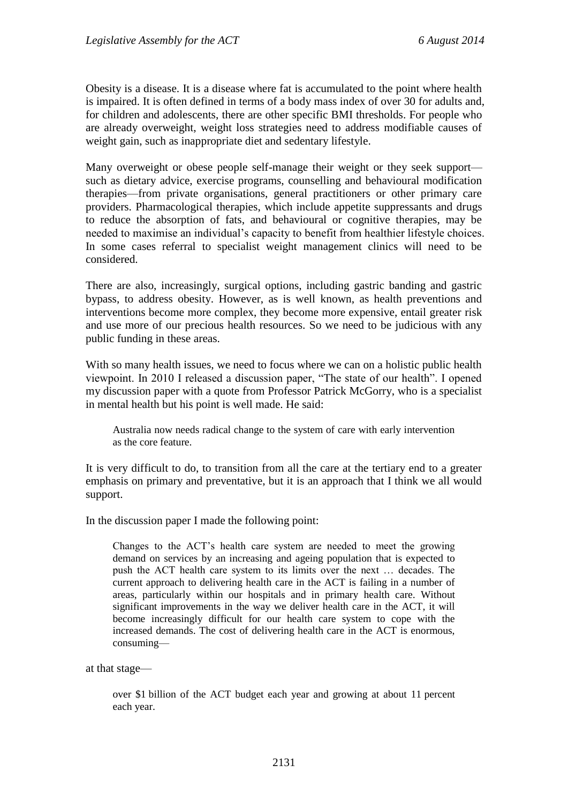Obesity is a disease. It is a disease where fat is accumulated to the point where health is impaired. It is often defined in terms of a body mass index of over 30 for adults and, for children and adolescents, there are other specific BMI thresholds. For people who are already overweight, weight loss strategies need to address modifiable causes of weight gain, such as inappropriate diet and sedentary lifestyle.

Many overweight or obese people self-manage their weight or they seek support such as dietary advice, exercise programs, counselling and behavioural modification therapies—from private organisations, general practitioners or other primary care providers. Pharmacological therapies, which include appetite suppressants and drugs to reduce the absorption of fats, and behavioural or cognitive therapies, may be needed to maximise an individual's capacity to benefit from healthier lifestyle choices. In some cases referral to specialist weight management clinics will need to be considered.

There are also, increasingly, surgical options, including gastric banding and gastric bypass, to address obesity. However, as is well known, as health preventions and interventions become more complex, they become more expensive, entail greater risk and use more of our precious health resources. So we need to be judicious with any public funding in these areas.

With so many health issues, we need to focus where we can on a holistic public health viewpoint. In 2010 I released a discussion paper, "The state of our health". I opened my discussion paper with a quote from Professor Patrick McGorry, who is a specialist in mental health but his point is well made. He said:

Australia now needs radical change to the system of care with early intervention as the core feature.

It is very difficult to do, to transition from all the care at the tertiary end to a greater emphasis on primary and preventative, but it is an approach that I think we all would support.

In the discussion paper I made the following point:

Changes to the ACT's health care system are needed to meet the growing demand on services by an increasing and ageing population that is expected to push the ACT health care system to its limits over the next … decades. The current approach to delivering health care in the ACT is failing in a number of areas, particularly within our hospitals and in primary health care. Without significant improvements in the way we deliver health care in the ACT, it will become increasingly difficult for our health care system to cope with the increased demands. The cost of delivering health care in the ACT is enormous, consuming—

#### at that stage—

over \$1 billion of the ACT budget each year and growing at about 11 percent each year.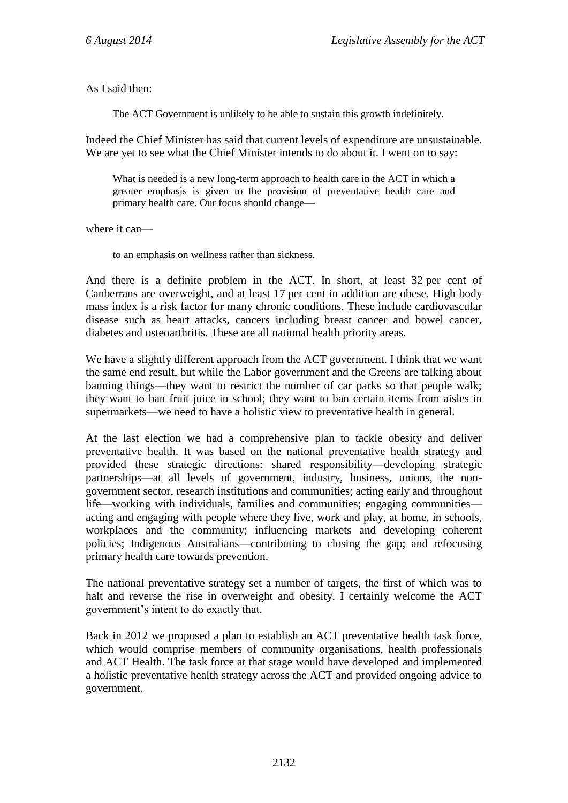As I said then:

The ACT Government is unlikely to be able to sustain this growth indefinitely.

Indeed the Chief Minister has said that current levels of expenditure are unsustainable. We are yet to see what the Chief Minister intends to do about it. I went on to say:

What is needed is a new long-term approach to health care in the ACT in which a greater emphasis is given to the provision of preventative health care and primary health care. Our focus should change—

where it can—

to an emphasis on wellness rather than sickness.

And there is a definite problem in the ACT. In short, at least 32 per cent of Canberrans are overweight, and at least 17 per cent in addition are obese. High body mass index is a risk factor for many chronic conditions. These include cardiovascular disease such as heart attacks, cancers including breast cancer and bowel cancer, diabetes and osteoarthritis. These are all national health priority areas.

We have a slightly different approach from the ACT government. I think that we want the same end result, but while the Labor government and the Greens are talking about banning things—they want to restrict the number of car parks so that people walk; they want to ban fruit juice in school; they want to ban certain items from aisles in supermarkets—we need to have a holistic view to preventative health in general.

At the last election we had a comprehensive plan to tackle obesity and deliver preventative health. It was based on the national preventative health strategy and provided these strategic directions: shared responsibility—developing strategic partnerships—at all levels of government, industry, business, unions, the nongovernment sector, research institutions and communities; acting early and throughout life—working with individuals, families and communities; engaging communities acting and engaging with people where they live, work and play, at home, in schools, workplaces and the community; influencing markets and developing coherent policies; Indigenous Australians—contributing to closing the gap; and refocusing primary health care towards prevention.

The national preventative strategy set a number of targets, the first of which was to halt and reverse the rise in overweight and obesity. I certainly welcome the ACT government's intent to do exactly that.

Back in 2012 we proposed a plan to establish an ACT preventative health task force, which would comprise members of community organisations, health professionals and ACT Health. The task force at that stage would have developed and implemented a holistic preventative health strategy across the ACT and provided ongoing advice to government.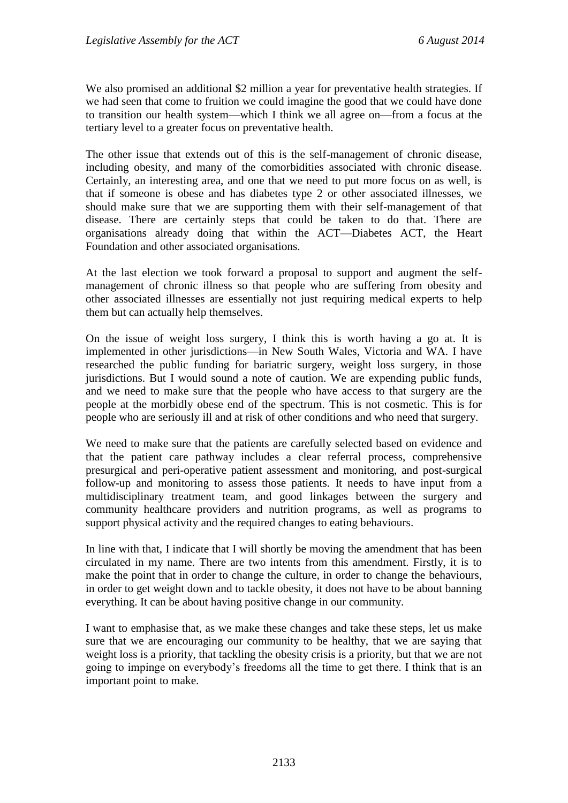We also promised an additional \$2 million a year for preventative health strategies. If we had seen that come to fruition we could imagine the good that we could have done to transition our health system—which I think we all agree on—from a focus at the tertiary level to a greater focus on preventative health.

The other issue that extends out of this is the self-management of chronic disease, including obesity, and many of the comorbidities associated with chronic disease. Certainly, an interesting area, and one that we need to put more focus on as well, is that if someone is obese and has diabetes type 2 or other associated illnesses, we should make sure that we are supporting them with their self-management of that disease. There are certainly steps that could be taken to do that. There are organisations already doing that within the ACT—Diabetes ACT, the Heart Foundation and other associated organisations.

At the last election we took forward a proposal to support and augment the selfmanagement of chronic illness so that people who are suffering from obesity and other associated illnesses are essentially not just requiring medical experts to help them but can actually help themselves.

On the issue of weight loss surgery, I think this is worth having a go at. It is implemented in other jurisdictions—in New South Wales, Victoria and WA. I have researched the public funding for bariatric surgery, weight loss surgery, in those jurisdictions. But I would sound a note of caution. We are expending public funds, and we need to make sure that the people who have access to that surgery are the people at the morbidly obese end of the spectrum. This is not cosmetic. This is for people who are seriously ill and at risk of other conditions and who need that surgery.

We need to make sure that the patients are carefully selected based on evidence and that the patient care pathway includes a clear referral process, comprehensive presurgical and peri-operative patient assessment and monitoring, and post-surgical follow-up and monitoring to assess those patients. It needs to have input from a multidisciplinary treatment team, and good linkages between the surgery and community healthcare providers and nutrition programs, as well as programs to support physical activity and the required changes to eating behaviours.

In line with that, I indicate that I will shortly be moving the amendment that has been circulated in my name. There are two intents from this amendment. Firstly, it is to make the point that in order to change the culture, in order to change the behaviours, in order to get weight down and to tackle obesity, it does not have to be about banning everything. It can be about having positive change in our community.

I want to emphasise that, as we make these changes and take these steps, let us make sure that we are encouraging our community to be healthy, that we are saying that weight loss is a priority, that tackling the obesity crisis is a priority, but that we are not going to impinge on everybody's freedoms all the time to get there. I think that is an important point to make.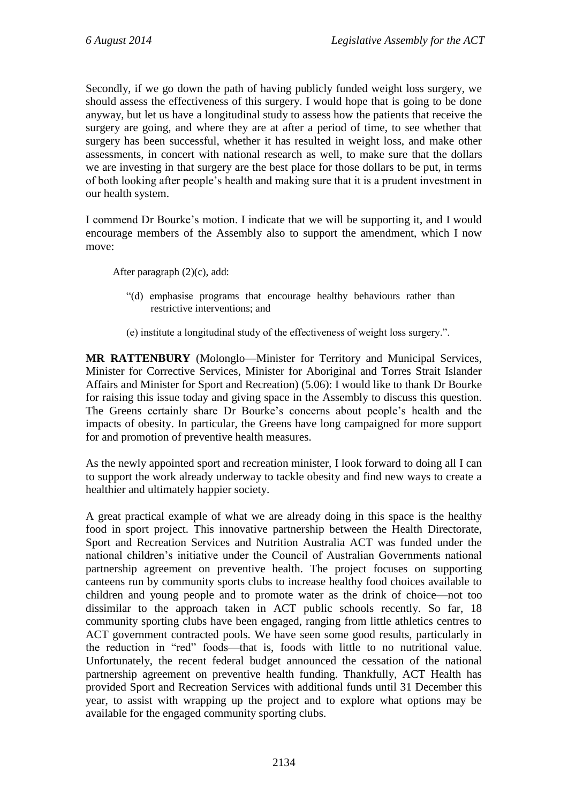Secondly, if we go down the path of having publicly funded weight loss surgery, we should assess the effectiveness of this surgery. I would hope that is going to be done anyway, but let us have a longitudinal study to assess how the patients that receive the surgery are going, and where they are at after a period of time, to see whether that surgery has been successful, whether it has resulted in weight loss, and make other assessments, in concert with national research as well, to make sure that the dollars we are investing in that surgery are the best place for those dollars to be put, in terms of both looking after people's health and making sure that it is a prudent investment in our health system.

I commend Dr Bourke's motion. I indicate that we will be supporting it, and I would encourage members of the Assembly also to support the amendment, which I now move:

After paragraph (2)(c), add:

- "(d) emphasise programs that encourage healthy behaviours rather than restrictive interventions; and
- (e) institute a longitudinal study of the effectiveness of weight loss surgery.".

**MR RATTENBURY** (Molonglo—Minister for Territory and Municipal Services, Minister for Corrective Services, Minister for Aboriginal and Torres Strait Islander Affairs and Minister for Sport and Recreation) (5.06): I would like to thank Dr Bourke for raising this issue today and giving space in the Assembly to discuss this question. The Greens certainly share Dr Bourke's concerns about people's health and the impacts of obesity. In particular, the Greens have long campaigned for more support for and promotion of preventive health measures.

As the newly appointed sport and recreation minister, I look forward to doing all I can to support the work already underway to tackle obesity and find new ways to create a healthier and ultimately happier society.

A great practical example of what we are already doing in this space is the healthy food in sport project. This innovative partnership between the Health Directorate, Sport and Recreation Services and Nutrition Australia ACT was funded under the national children's initiative under the Council of Australian Governments national partnership agreement on preventive health. The project focuses on supporting canteens run by community sports clubs to increase healthy food choices available to children and young people and to promote water as the drink of choice—not too dissimilar to the approach taken in ACT public schools recently. So far, 18 community sporting clubs have been engaged, ranging from little athletics centres to ACT government contracted pools. We have seen some good results, particularly in the reduction in "red" foods—that is, foods with little to no nutritional value. Unfortunately, the recent federal budget announced the cessation of the national partnership agreement on preventive health funding. Thankfully, ACT Health has provided Sport and Recreation Services with additional funds until 31 December this year, to assist with wrapping up the project and to explore what options may be available for the engaged community sporting clubs.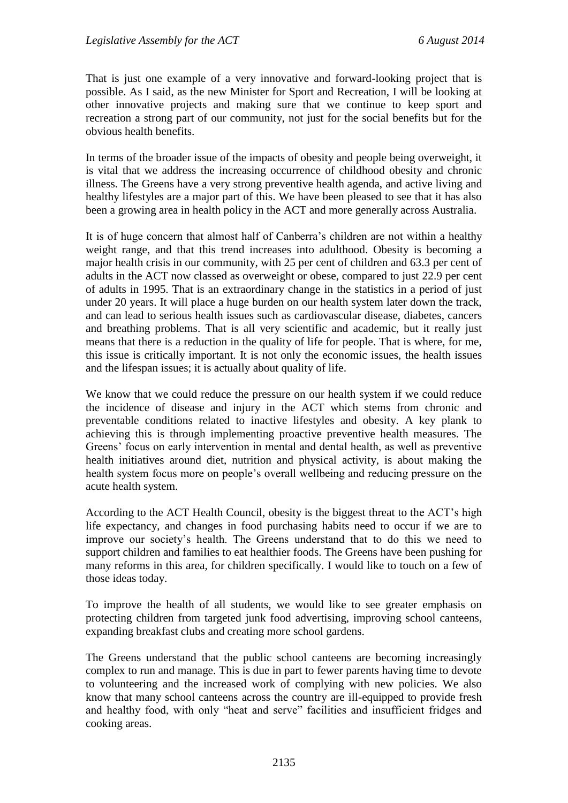That is just one example of a very innovative and forward-looking project that is possible. As I said, as the new Minister for Sport and Recreation, I will be looking at other innovative projects and making sure that we continue to keep sport and recreation a strong part of our community, not just for the social benefits but for the obvious health benefits.

In terms of the broader issue of the impacts of obesity and people being overweight, it is vital that we address the increasing occurrence of childhood obesity and chronic illness. The Greens have a very strong preventive health agenda, and active living and healthy lifestyles are a major part of this. We have been pleased to see that it has also been a growing area in health policy in the ACT and more generally across Australia.

It is of huge concern that almost half of Canberra's children are not within a healthy weight range, and that this trend increases into adulthood. Obesity is becoming a major health crisis in our community, with 25 per cent of children and 63.3 per cent of adults in the ACT now classed as overweight or obese, compared to just 22.9 per cent of adults in 1995. That is an extraordinary change in the statistics in a period of just under 20 years. It will place a huge burden on our health system later down the track, and can lead to serious health issues such as cardiovascular disease, diabetes, cancers and breathing problems. That is all very scientific and academic, but it really just means that there is a reduction in the quality of life for people. That is where, for me, this issue is critically important. It is not only the economic issues, the health issues and the lifespan issues; it is actually about quality of life.

We know that we could reduce the pressure on our health system if we could reduce the incidence of disease and injury in the ACT which stems from chronic and preventable conditions related to inactive lifestyles and obesity. A key plank to achieving this is through implementing proactive preventive health measures. The Greens' focus on early intervention in mental and dental health, as well as preventive health initiatives around diet, nutrition and physical activity, is about making the health system focus more on people's overall wellbeing and reducing pressure on the acute health system.

According to the ACT Health Council, obesity is the biggest threat to the ACT's high life expectancy, and changes in food purchasing habits need to occur if we are to improve our society's health. The Greens understand that to do this we need to support children and families to eat healthier foods. The Greens have been pushing for many reforms in this area, for children specifically. I would like to touch on a few of those ideas today.

To improve the health of all students, we would like to see greater emphasis on protecting children from targeted junk food advertising, improving school canteens, expanding breakfast clubs and creating more school gardens.

The Greens understand that the public school canteens are becoming increasingly complex to run and manage. This is due in part to fewer parents having time to devote to volunteering and the increased work of complying with new policies. We also know that many school canteens across the country are ill-equipped to provide fresh and healthy food, with only "heat and serve" facilities and insufficient fridges and cooking areas.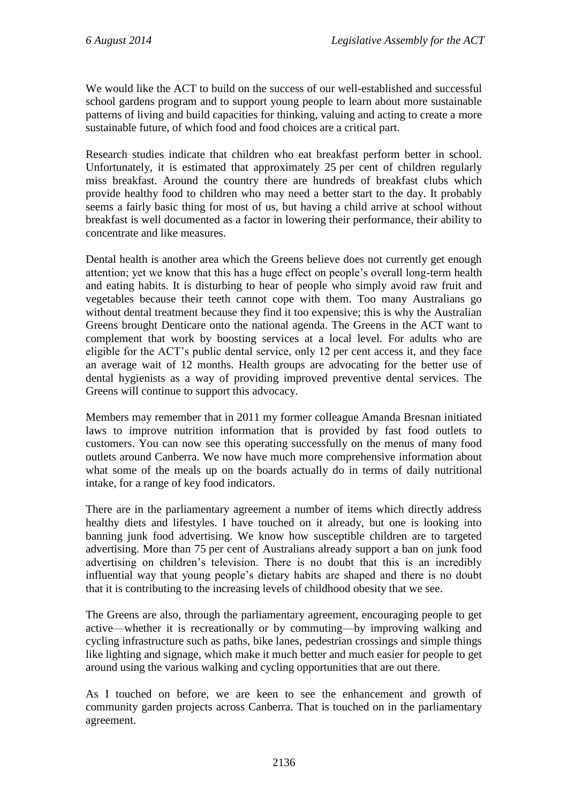We would like the ACT to build on the success of our well-established and successful school gardens program and to support young people to learn about more sustainable patterns of living and build capacities for thinking, valuing and acting to create a more sustainable future, of which food and food choices are a critical part.

Research studies indicate that children who eat breakfast perform better in school. Unfortunately, it is estimated that approximately 25 per cent of children regularly miss breakfast. Around the country there are hundreds of breakfast clubs which provide healthy food to children who may need a better start to the day. It probably seems a fairly basic thing for most of us, but having a child arrive at school without breakfast is well documented as a factor in lowering their performance, their ability to concentrate and like measures.

Dental health is another area which the Greens believe does not currently get enough attention; yet we know that this has a huge effect on people's overall long-term health and eating habits. It is disturbing to hear of people who simply avoid raw fruit and vegetables because their teeth cannot cope with them. Too many Australians go without dental treatment because they find it too expensive; this is why the Australian Greens brought Denticare onto the national agenda. The Greens in the ACT want to complement that work by boosting services at a local level. For adults who are eligible for the ACT's public dental service, only 12 per cent access it, and they face an average wait of 12 months. Health groups are advocating for the better use of dental hygienists as a way of providing improved preventive dental services. The Greens will continue to support this advocacy.

Members may remember that in 2011 my former colleague Amanda Bresnan initiated laws to improve nutrition information that is provided by fast food outlets to customers. You can now see this operating successfully on the menus of many food outlets around Canberra. We now have much more comprehensive information about what some of the meals up on the boards actually do in terms of daily nutritional intake, for a range of key food indicators.

There are in the parliamentary agreement a number of items which directly address healthy diets and lifestyles. I have touched on it already, but one is looking into banning junk food advertising. We know how susceptible children are to targeted advertising. More than 75 per cent of Australians already support a ban on junk food advertising on children's television. There is no doubt that this is an incredibly influential way that young people's dietary habits are shaped and there is no doubt that it is contributing to the increasing levels of childhood obesity that we see.

The Greens are also, through the parliamentary agreement, encouraging people to get active—whether it is recreationally or by commuting—by improving walking and cycling infrastructure such as paths, bike lanes, pedestrian crossings and simple things like lighting and signage, which make it much better and much easier for people to get around using the various walking and cycling opportunities that are out there.

As I touched on before, we are keen to see the enhancement and growth of community garden projects across Canberra. That is touched on in the parliamentary agreement.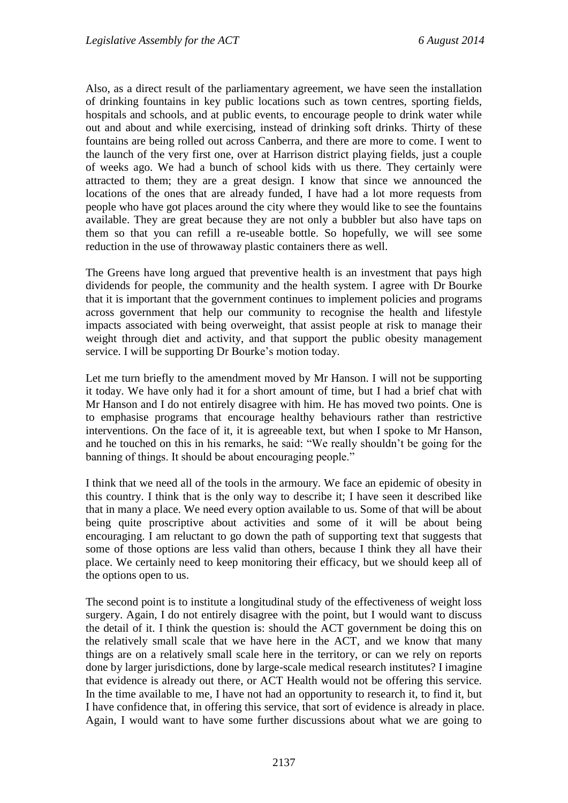Also, as a direct result of the parliamentary agreement, we have seen the installation of drinking fountains in key public locations such as town centres, sporting fields, hospitals and schools, and at public events, to encourage people to drink water while out and about and while exercising, instead of drinking soft drinks. Thirty of these fountains are being rolled out across Canberra, and there are more to come. I went to the launch of the very first one, over at Harrison district playing fields, just a couple of weeks ago. We had a bunch of school kids with us there. They certainly were attracted to them; they are a great design. I know that since we announced the locations of the ones that are already funded, I have had a lot more requests from people who have got places around the city where they would like to see the fountains available. They are great because they are not only a bubbler but also have taps on them so that you can refill a re-useable bottle. So hopefully, we will see some reduction in the use of throwaway plastic containers there as well.

The Greens have long argued that preventive health is an investment that pays high dividends for people, the community and the health system. I agree with Dr Bourke that it is important that the government continues to implement policies and programs across government that help our community to recognise the health and lifestyle impacts associated with being overweight, that assist people at risk to manage their weight through diet and activity, and that support the public obesity management service. I will be supporting Dr Bourke's motion today.

Let me turn briefly to the amendment moved by Mr Hanson. I will not be supporting it today. We have only had it for a short amount of time, but I had a brief chat with Mr Hanson and I do not entirely disagree with him. He has moved two points. One is to emphasise programs that encourage healthy behaviours rather than restrictive interventions. On the face of it, it is agreeable text, but when I spoke to Mr Hanson, and he touched on this in his remarks, he said: "We really shouldn't be going for the banning of things. It should be about encouraging people."

I think that we need all of the tools in the armoury. We face an epidemic of obesity in this country. I think that is the only way to describe it; I have seen it described like that in many a place. We need every option available to us. Some of that will be about being quite proscriptive about activities and some of it will be about being encouraging. I am reluctant to go down the path of supporting text that suggests that some of those options are less valid than others, because I think they all have their place. We certainly need to keep monitoring their efficacy, but we should keep all of the options open to us.

The second point is to institute a longitudinal study of the effectiveness of weight loss surgery. Again, I do not entirely disagree with the point, but I would want to discuss the detail of it. I think the question is: should the ACT government be doing this on the relatively small scale that we have here in the ACT, and we know that many things are on a relatively small scale here in the territory, or can we rely on reports done by larger jurisdictions, done by large-scale medical research institutes? I imagine that evidence is already out there, or ACT Health would not be offering this service. In the time available to me, I have not had an opportunity to research it, to find it, but I have confidence that, in offering this service, that sort of evidence is already in place. Again, I would want to have some further discussions about what we are going to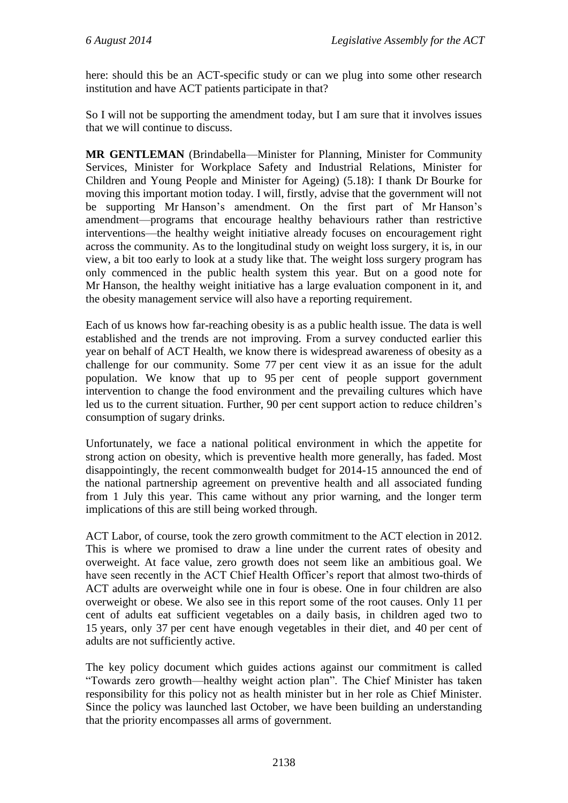here: should this be an ACT-specific study or can we plug into some other research institution and have ACT patients participate in that?

So I will not be supporting the amendment today, but I am sure that it involves issues that we will continue to discuss.

**MR GENTLEMAN** (Brindabella—Minister for Planning, Minister for Community Services, Minister for Workplace Safety and Industrial Relations, Minister for Children and Young People and Minister for Ageing) (5.18): I thank Dr Bourke for moving this important motion today. I will, firstly, advise that the government will not be supporting Mr Hanson's amendment. On the first part of Mr Hanson's amendment—programs that encourage healthy behaviours rather than restrictive interventions—the healthy weight initiative already focuses on encouragement right across the community. As to the longitudinal study on weight loss surgery, it is, in our view, a bit too early to look at a study like that. The weight loss surgery program has only commenced in the public health system this year. But on a good note for Mr Hanson, the healthy weight initiative has a large evaluation component in it, and the obesity management service will also have a reporting requirement.

Each of us knows how far-reaching obesity is as a public health issue. The data is well established and the trends are not improving. From a survey conducted earlier this year on behalf of ACT Health, we know there is widespread awareness of obesity as a challenge for our community. Some 77 per cent view it as an issue for the adult population. We know that up to 95 per cent of people support government intervention to change the food environment and the prevailing cultures which have led us to the current situation. Further, 90 per cent support action to reduce children's consumption of sugary drinks.

Unfortunately, we face a national political environment in which the appetite for strong action on obesity, which is preventive health more generally, has faded. Most disappointingly, the recent commonwealth budget for 2014-15 announced the end of the national partnership agreement on preventive health and all associated funding from 1 July this year. This came without any prior warning, and the longer term implications of this are still being worked through.

ACT Labor, of course, took the zero growth commitment to the ACT election in 2012. This is where we promised to draw a line under the current rates of obesity and overweight. At face value, zero growth does not seem like an ambitious goal. We have seen recently in the ACT Chief Health Officer's report that almost two-thirds of ACT adults are overweight while one in four is obese. One in four children are also overweight or obese. We also see in this report some of the root causes. Only 11 per cent of adults eat sufficient vegetables on a daily basis, in children aged two to 15 years, only 37 per cent have enough vegetables in their diet, and 40 per cent of adults are not sufficiently active.

The key policy document which guides actions against our commitment is called "Towards zero growth—healthy weight action plan". The Chief Minister has taken responsibility for this policy not as health minister but in her role as Chief Minister. Since the policy was launched last October, we have been building an understanding that the priority encompasses all arms of government.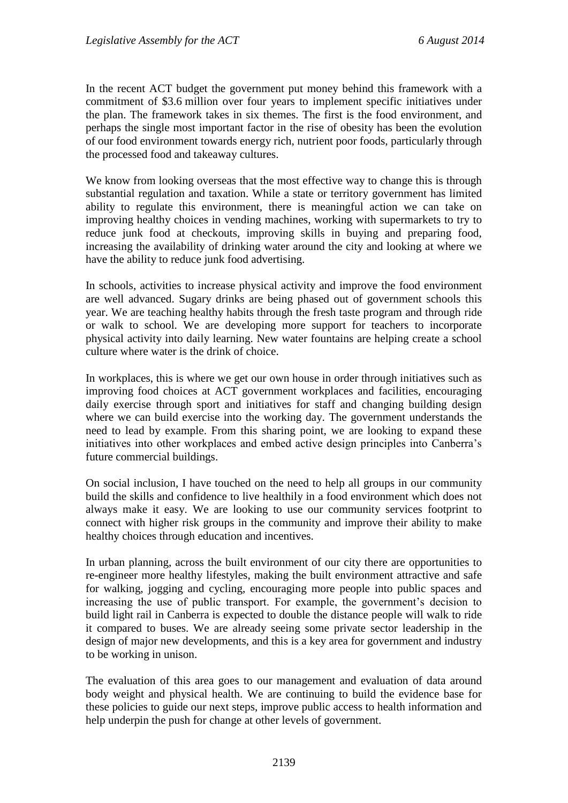In the recent ACT budget the government put money behind this framework with a commitment of \$3.6 million over four years to implement specific initiatives under the plan. The framework takes in six themes. The first is the food environment, and perhaps the single most important factor in the rise of obesity has been the evolution of our food environment towards energy rich, nutrient poor foods, particularly through the processed food and takeaway cultures.

We know from looking overseas that the most effective way to change this is through substantial regulation and taxation. While a state or territory government has limited ability to regulate this environment, there is meaningful action we can take on improving healthy choices in vending machines, working with supermarkets to try to reduce junk food at checkouts, improving skills in buying and preparing food, increasing the availability of drinking water around the city and looking at where we have the ability to reduce junk food advertising.

In schools, activities to increase physical activity and improve the food environment are well advanced. Sugary drinks are being phased out of government schools this year. We are teaching healthy habits through the fresh taste program and through ride or walk to school. We are developing more support for teachers to incorporate physical activity into daily learning. New water fountains are helping create a school culture where water is the drink of choice.

In workplaces, this is where we get our own house in order through initiatives such as improving food choices at ACT government workplaces and facilities, encouraging daily exercise through sport and initiatives for staff and changing building design where we can build exercise into the working day. The government understands the need to lead by example. From this sharing point, we are looking to expand these initiatives into other workplaces and embed active design principles into Canberra's future commercial buildings.

On social inclusion, I have touched on the need to help all groups in our community build the skills and confidence to live healthily in a food environment which does not always make it easy. We are looking to use our community services footprint to connect with higher risk groups in the community and improve their ability to make healthy choices through education and incentives.

In urban planning, across the built environment of our city there are opportunities to re-engineer more healthy lifestyles, making the built environment attractive and safe for walking, jogging and cycling, encouraging more people into public spaces and increasing the use of public transport. For example, the government's decision to build light rail in Canberra is expected to double the distance people will walk to ride it compared to buses. We are already seeing some private sector leadership in the design of major new developments, and this is a key area for government and industry to be working in unison.

The evaluation of this area goes to our management and evaluation of data around body weight and physical health. We are continuing to build the evidence base for these policies to guide our next steps, improve public access to health information and help underpin the push for change at other levels of government.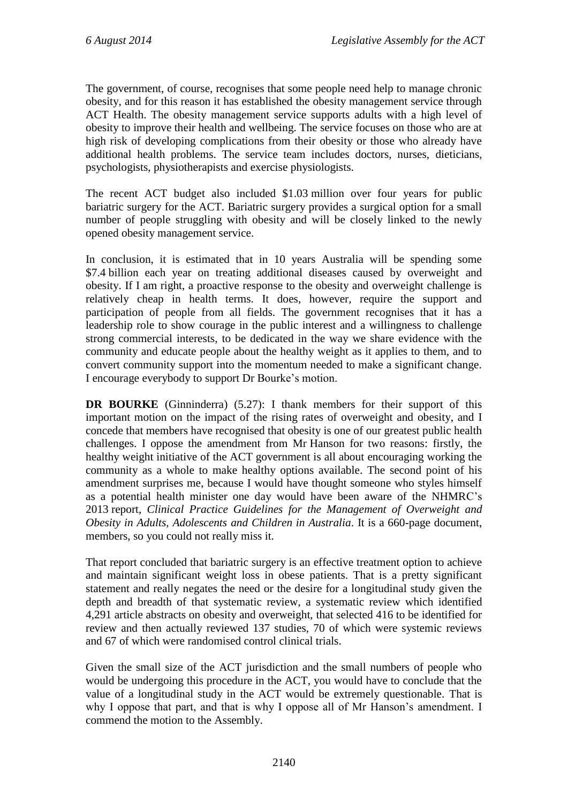The government, of course, recognises that some people need help to manage chronic obesity, and for this reason it has established the obesity management service through ACT Health. The obesity management service supports adults with a high level of obesity to improve their health and wellbeing. The service focuses on those who are at high risk of developing complications from their obesity or those who already have additional health problems. The service team includes doctors, nurses, dieticians, psychologists, physiotherapists and exercise physiologists.

The recent ACT budget also included \$1.03 million over four years for public bariatric surgery for the ACT. Bariatric surgery provides a surgical option for a small number of people struggling with obesity and will be closely linked to the newly opened obesity management service.

In conclusion, it is estimated that in 10 years Australia will be spending some \$7.4 billion each year on treating additional diseases caused by overweight and obesity. If I am right, a proactive response to the obesity and overweight challenge is relatively cheap in health terms. It does, however, require the support and participation of people from all fields. The government recognises that it has a leadership role to show courage in the public interest and a willingness to challenge strong commercial interests, to be dedicated in the way we share evidence with the community and educate people about the healthy weight as it applies to them, and to convert community support into the momentum needed to make a significant change. I encourage everybody to support Dr Bourke's motion.

**DR BOURKE** (Ginninderra) (5.27): I thank members for their support of this important motion on the impact of the rising rates of overweight and obesity, and I concede that members have recognised that obesity is one of our greatest public health challenges. I oppose the amendment from Mr Hanson for two reasons: firstly, the healthy weight initiative of the ACT government is all about encouraging working the community as a whole to make healthy options available. The second point of his amendment surprises me, because I would have thought someone who styles himself as a potential health minister one day would have been aware of the NHMRC's 2013 report, *Clinical Practice Guidelines for the Management of Overweight and Obesity in Adults, Adolescents and Children in Australia*. It is a 660-page document, members, so you could not really miss it.

That report concluded that bariatric surgery is an effective treatment option to achieve and maintain significant weight loss in obese patients. That is a pretty significant statement and really negates the need or the desire for a longitudinal study given the depth and breadth of that systematic review, a systematic review which identified 4,291 article abstracts on obesity and overweight, that selected 416 to be identified for review and then actually reviewed 137 studies, 70 of which were systemic reviews and 67 of which were randomised control clinical trials.

Given the small size of the ACT jurisdiction and the small numbers of people who would be undergoing this procedure in the ACT, you would have to conclude that the value of a longitudinal study in the ACT would be extremely questionable. That is why I oppose that part, and that is why I oppose all of Mr Hanson's amendment. I commend the motion to the Assembly.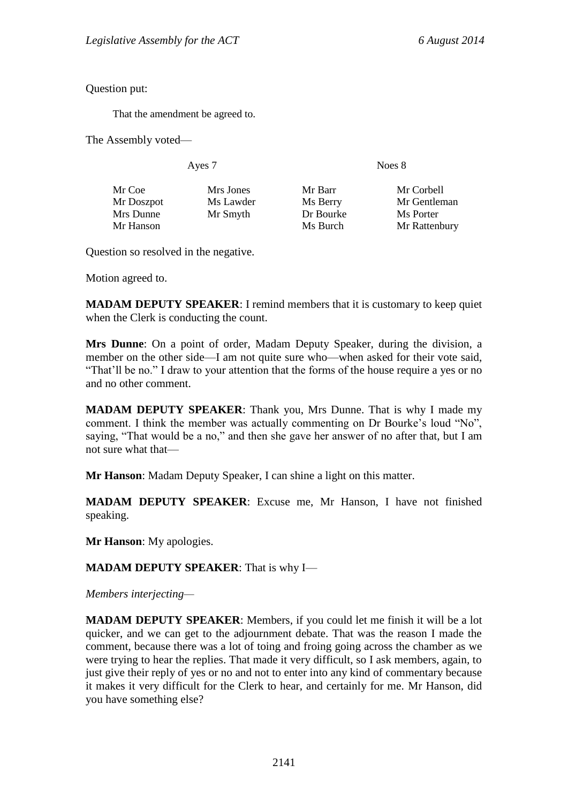Question put:

That the amendment be agreed to.

The Assembly voted—

Ayes 7 Noes 8

| Mr Coe     | Mrs Jones | Mr Barr   | Mr Corbell    |
|------------|-----------|-----------|---------------|
| Mr Doszpot | Ms Lawder | Ms Berry  | Mr Gentleman  |
| Mrs Dunne  | Mr Smyth  | Dr Bourke | Ms Porter     |
| Mr Hanson  |           | Ms Burch  | Mr Rattenbury |

Question so resolved in the negative.

Motion agreed to.

**MADAM DEPUTY SPEAKER**: I remind members that it is customary to keep quiet when the Clerk is conducting the count.

**Mrs Dunne**: On a point of order, Madam Deputy Speaker, during the division, a member on the other side—I am not quite sure who—when asked for their vote said, "That'll be no." I draw to your attention that the forms of the house require a yes or no and no other comment.

**MADAM DEPUTY SPEAKER**: Thank you, Mrs Dunne. That is why I made my comment. I think the member was actually commenting on Dr Bourke's loud "No", saying, "That would be a no," and then she gave her answer of no after that, but I am not sure what that—

**Mr Hanson**: Madam Deputy Speaker, I can shine a light on this matter.

**MADAM DEPUTY SPEAKER**: Excuse me, Mr Hanson, I have not finished speaking.

**Mr Hanson**: My apologies.

**MADAM DEPUTY SPEAKER**: That is why I—

*Members interjecting—*

**MADAM DEPUTY SPEAKER**: Members, if you could let me finish it will be a lot quicker, and we can get to the adjournment debate. That was the reason I made the comment, because there was a lot of toing and froing going across the chamber as we were trying to hear the replies. That made it very difficult, so I ask members, again, to just give their reply of yes or no and not to enter into any kind of commentary because it makes it very difficult for the Clerk to hear, and certainly for me. Mr Hanson, did you have something else?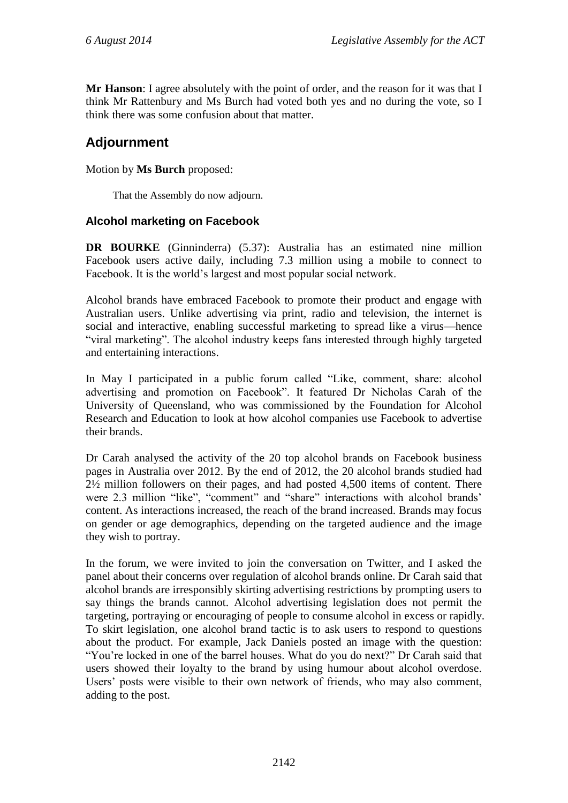**Mr Hanson**: I agree absolutely with the point of order, and the reason for it was that I think Mr Rattenbury and Ms Burch had voted both yes and no during the vote, so I think there was some confusion about that matter.

# **Adjournment**

Motion by **Ms Burch** proposed:

That the Assembly do now adjourn.

## **Alcohol marketing on Facebook**

**DR BOURKE** (Ginninderra) (5.37): Australia has an estimated nine million Facebook users active daily, including 7.3 million using a mobile to connect to Facebook. It is the world's largest and most popular social network.

Alcohol brands have embraced Facebook to promote their product and engage with Australian users. Unlike advertising via print, radio and television, the internet is social and interactive, enabling successful marketing to spread like a virus—hence "viral marketing". The alcohol industry keeps fans interested through highly targeted and entertaining interactions.

In May I participated in a public forum called "Like, comment, share: alcohol advertising and promotion on Facebook". It featured Dr Nicholas Carah of the University of Queensland, who was commissioned by the Foundation for Alcohol Research and Education to look at how alcohol companies use Facebook to advertise their brands.

Dr Carah analysed the activity of the 20 top alcohol brands on Facebook business pages in Australia over 2012. By the end of 2012, the 20 alcohol brands studied had 2½ million followers on their pages, and had posted 4,500 items of content. There were 2.3 million "like", "comment" and "share" interactions with alcohol brands' content. As interactions increased, the reach of the brand increased. Brands may focus on gender or age demographics, depending on the targeted audience and the image they wish to portray.

In the forum, we were invited to join the conversation on Twitter, and I asked the panel about their concerns over regulation of alcohol brands online. Dr Carah said that alcohol brands are irresponsibly skirting advertising restrictions by prompting users to say things the brands cannot. Alcohol advertising legislation does not permit the targeting, portraying or encouraging of people to consume alcohol in excess or rapidly. To skirt legislation, one alcohol brand tactic is to ask users to respond to questions about the product. For example, Jack Daniels posted an image with the question: "You're locked in one of the barrel houses. What do you do next?" Dr Carah said that users showed their loyalty to the brand by using humour about alcohol overdose. Users' posts were visible to their own network of friends, who may also comment, adding to the post.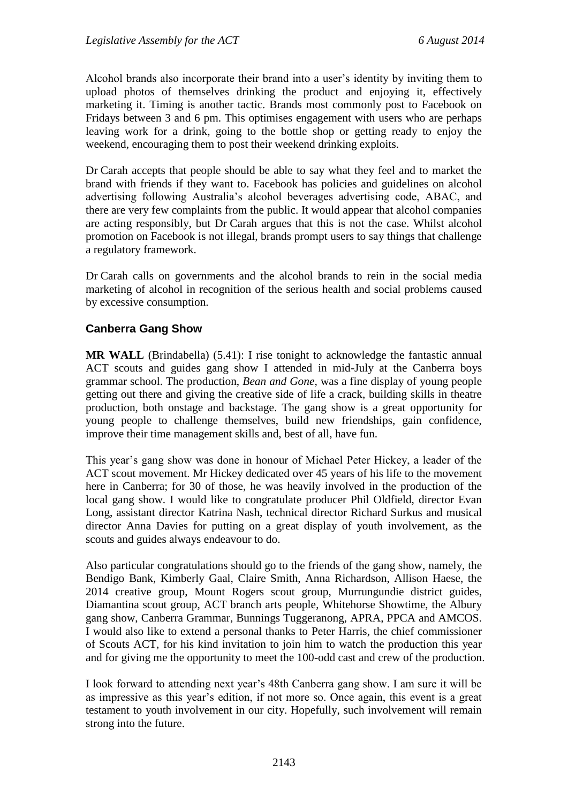Alcohol brands also incorporate their brand into a user's identity by inviting them to upload photos of themselves drinking the product and enjoying it, effectively marketing it. Timing is another tactic. Brands most commonly post to Facebook on Fridays between 3 and 6 pm. This optimises engagement with users who are perhaps leaving work for a drink, going to the bottle shop or getting ready to enjoy the weekend, encouraging them to post their weekend drinking exploits.

Dr Carah accepts that people should be able to say what they feel and to market the brand with friends if they want to. Facebook has policies and guidelines on alcohol advertising following Australia's alcohol beverages advertising code, ABAC, and there are very few complaints from the public. It would appear that alcohol companies are acting responsibly, but Dr Carah argues that this is not the case. Whilst alcohol promotion on Facebook is not illegal, brands prompt users to say things that challenge a regulatory framework.

Dr Carah calls on governments and the alcohol brands to rein in the social media marketing of alcohol in recognition of the serious health and social problems caused by excessive consumption.

## **Canberra Gang Show**

**MR WALL** (Brindabella) (5.41): I rise tonight to acknowledge the fantastic annual ACT scouts and guides gang show I attended in mid-July at the Canberra boys grammar school. The production, *Bean and Gone*, was a fine display of young people getting out there and giving the creative side of life a crack, building skills in theatre production, both onstage and backstage. The gang show is a great opportunity for young people to challenge themselves, build new friendships, gain confidence, improve their time management skills and, best of all, have fun.

This year's gang show was done in honour of Michael Peter Hickey, a leader of the ACT scout movement. Mr Hickey dedicated over 45 years of his life to the movement here in Canberra; for 30 of those, he was heavily involved in the production of the local gang show. I would like to congratulate producer Phil Oldfield, director Evan Long, assistant director Katrina Nash, technical director Richard Surkus and musical director Anna Davies for putting on a great display of youth involvement, as the scouts and guides always endeavour to do.

Also particular congratulations should go to the friends of the gang show, namely, the Bendigo Bank, Kimberly Gaal, Claire Smith, Anna Richardson, Allison Haese, the 2014 creative group, Mount Rogers scout group, Murrungundie district guides, Diamantina scout group, ACT branch arts people, Whitehorse Showtime, the Albury gang show, Canberra Grammar, Bunnings Tuggeranong, APRA, PPCA and AMCOS. I would also like to extend a personal thanks to Peter Harris, the chief commissioner of Scouts ACT, for his kind invitation to join him to watch the production this year and for giving me the opportunity to meet the 100-odd cast and crew of the production.

I look forward to attending next year's 48th Canberra gang show. I am sure it will be as impressive as this year's edition, if not more so. Once again, this event is a great testament to youth involvement in our city. Hopefully, such involvement will remain strong into the future.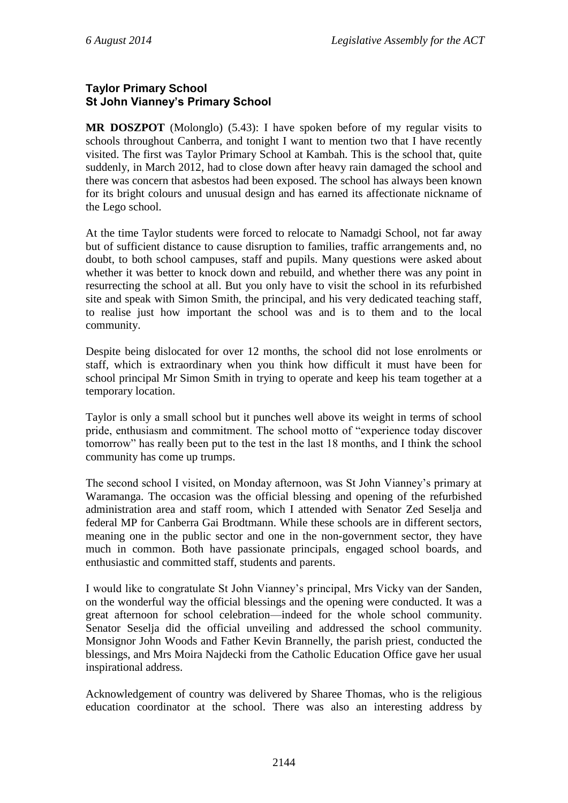## **Taylor Primary School St John Vianney's Primary School**

**MR DOSZPOT** (Molonglo) (5.43): I have spoken before of my regular visits to schools throughout Canberra, and tonight I want to mention two that I have recently visited. The first was Taylor Primary School at Kambah. This is the school that, quite suddenly, in March 2012, had to close down after heavy rain damaged the school and there was concern that asbestos had been exposed. The school has always been known for its bright colours and unusual design and has earned its affectionate nickname of the Lego school.

At the time Taylor students were forced to relocate to Namadgi School, not far away but of sufficient distance to cause disruption to families, traffic arrangements and, no doubt, to both school campuses, staff and pupils. Many questions were asked about whether it was better to knock down and rebuild, and whether there was any point in resurrecting the school at all. But you only have to visit the school in its refurbished site and speak with Simon Smith, the principal, and his very dedicated teaching staff, to realise just how important the school was and is to them and to the local community.

Despite being dislocated for over 12 months, the school did not lose enrolments or staff, which is extraordinary when you think how difficult it must have been for school principal Mr Simon Smith in trying to operate and keep his team together at a temporary location.

Taylor is only a small school but it punches well above its weight in terms of school pride, enthusiasm and commitment. The school motto of "experience today discover tomorrow" has really been put to the test in the last 18 months, and I think the school community has come up trumps.

The second school I visited, on Monday afternoon, was St John Vianney's primary at Waramanga. The occasion was the official blessing and opening of the refurbished administration area and staff room, which I attended with Senator Zed Seselja and federal MP for Canberra Gai Brodtmann. While these schools are in different sectors, meaning one in the public sector and one in the non-government sector, they have much in common. Both have passionate principals, engaged school boards, and enthusiastic and committed staff, students and parents.

I would like to congratulate St John Vianney's principal, Mrs Vicky van der Sanden, on the wonderful way the official blessings and the opening were conducted. It was a great afternoon for school celebration—indeed for the whole school community. Senator Seselja did the official unveiling and addressed the school community. Monsignor John Woods and Father Kevin Brannelly, the parish priest, conducted the blessings, and Mrs Moira Najdecki from the Catholic Education Office gave her usual inspirational address.

Acknowledgement of country was delivered by Sharee Thomas, who is the religious education coordinator at the school. There was also an interesting address by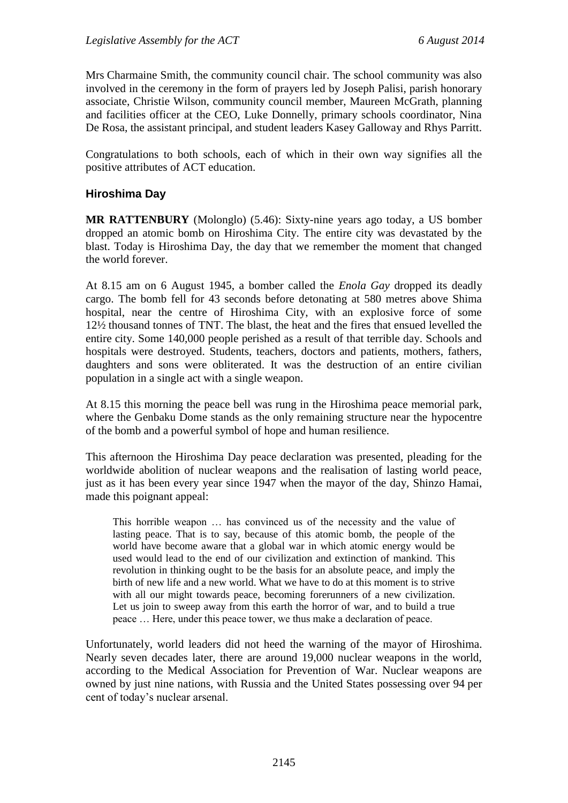Mrs Charmaine Smith, the community council chair. The school community was also involved in the ceremony in the form of prayers led by Joseph Palisi, parish honorary associate, Christie Wilson, community council member, Maureen McGrath, planning and facilities officer at the CEO, Luke Donnelly, primary schools coordinator, Nina De Rosa, the assistant principal, and student leaders Kasey Galloway and Rhys Parritt.

Congratulations to both schools, each of which in their own way signifies all the positive attributes of ACT education.

### **Hiroshima Day**

**MR RATTENBURY** (Molonglo) (5.46): Sixty-nine years ago today, a US bomber dropped an atomic bomb on Hiroshima City. The entire city was devastated by the blast. Today is Hiroshima Day, the day that we remember the moment that changed the world forever.

At 8.15 am on 6 August 1945, a bomber called the *Enola Gay* dropped its deadly cargo. The bomb fell for 43 seconds before detonating at 580 metres above Shima hospital, near the centre of Hiroshima City, with an explosive force of some 12½ thousand tonnes of TNT. The blast, the heat and the fires that ensued levelled the entire city. Some 140,000 people perished as a result of that terrible day. Schools and hospitals were destroyed. Students, teachers, doctors and patients, mothers, fathers, daughters and sons were obliterated. It was the destruction of an entire civilian population in a single act with a single weapon.

At 8.15 this morning the peace bell was rung in the Hiroshima peace memorial park, where the Genbaku Dome stands as the only remaining structure near the hypocentre of the bomb and a powerful symbol of hope and human resilience.

This afternoon the Hiroshima Day peace declaration was presented, pleading for the worldwide abolition of nuclear weapons and the realisation of lasting world peace, just as it has been every year since 1947 when the mayor of the day, Shinzo Hamai, made this poignant appeal:

This horrible weapon … has convinced us of the necessity and the value of lasting peace. That is to say, because of this atomic bomb, the people of the world have become aware that a global war in which atomic energy would be used would lead to the end of our civilization and extinction of mankind. This revolution in thinking ought to be the basis for an absolute peace, and imply the birth of new life and a new world. What we have to do at this moment is to strive with all our might towards peace, becoming forerunners of a new civilization. Let us join to sweep away from this earth the horror of war, and to build a true peace … Here, under this peace tower, we thus make a declaration of peace.

Unfortunately, world leaders did not heed the warning of the mayor of Hiroshima. Nearly seven decades later, there are around 19,000 nuclear weapons in the world, according to the Medical Association for Prevention of War. Nuclear weapons are owned by just nine nations, with Russia and the United States possessing over 94 per cent of today's nuclear arsenal.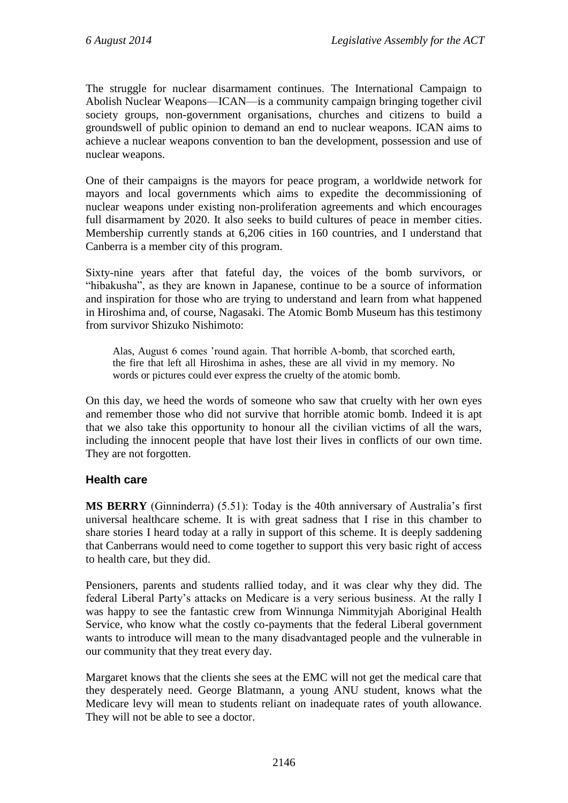The struggle for nuclear disarmament continues. The International Campaign to Abolish Nuclear Weapons—ICAN—is a community campaign bringing together civil society groups, non-government organisations, churches and citizens to build a groundswell of public opinion to demand an end to nuclear weapons. ICAN aims to achieve a nuclear weapons convention to ban the development, possession and use of nuclear weapons.

One of their campaigns is the mayors for peace program, a worldwide network for mayors and local governments which aims to expedite the decommissioning of nuclear weapons under existing non-proliferation agreements and which encourages full disarmament by 2020. It also seeks to build cultures of peace in member cities. Membership currently stands at 6,206 cities in 160 countries, and I understand that Canberra is a member city of this program.

Sixty-nine years after that fateful day, the voices of the bomb survivors, or "hibakusha", as they are known in Japanese, continue to be a source of information and inspiration for those who are trying to understand and learn from what happened in Hiroshima and, of course, Nagasaki. The Atomic Bomb Museum has this testimony from survivor Shizuko Nishimoto:

Alas, August 6 comes 'round again. That horrible A-bomb, that scorched earth, the fire that left all Hiroshima in ashes, these are all vivid in my memory. No words or pictures could ever express the cruelty of the atomic bomb.

On this day, we heed the words of someone who saw that cruelty with her own eyes and remember those who did not survive that horrible atomic bomb. Indeed it is apt that we also take this opportunity to honour all the civilian victims of all the wars, including the innocent people that have lost their lives in conflicts of our own time. They are not forgotten.

# **Health care**

**MS BERRY** (Ginninderra) (5.51): Today is the 40th anniversary of Australia's first universal healthcare scheme. It is with great sadness that I rise in this chamber to share stories I heard today at a rally in support of this scheme. It is deeply saddening that Canberrans would need to come together to support this very basic right of access to health care, but they did.

Pensioners, parents and students rallied today, and it was clear why they did. The federal Liberal Party's attacks on Medicare is a very serious business. At the rally I was happy to see the fantastic crew from Winnunga Nimmityjah Aboriginal Health Service, who know what the costly co-payments that the federal Liberal government wants to introduce will mean to the many disadvantaged people and the vulnerable in our community that they treat every day.

Margaret knows that the clients she sees at the EMC will not get the medical care that they desperately need. George Blatmann, a young ANU student, knows what the Medicare levy will mean to students reliant on inadequate rates of youth allowance. They will not be able to see a doctor.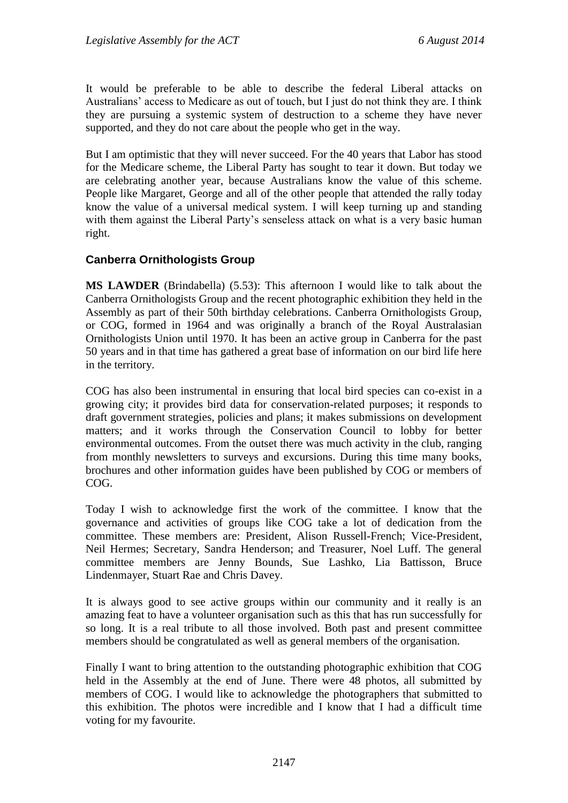It would be preferable to be able to describe the federal Liberal attacks on Australians' access to Medicare as out of touch, but I just do not think they are. I think they are pursuing a systemic system of destruction to a scheme they have never supported, and they do not care about the people who get in the way.

But I am optimistic that they will never succeed. For the 40 years that Labor has stood for the Medicare scheme, the Liberal Party has sought to tear it down. But today we are celebrating another year, because Australians know the value of this scheme. People like Margaret, George and all of the other people that attended the rally today know the value of a universal medical system. I will keep turning up and standing with them against the Liberal Party's senseless attack on what is a very basic human right.

### **Canberra Ornithologists Group**

**MS LAWDER** (Brindabella) (5.53): This afternoon I would like to talk about the Canberra Ornithologists Group and the recent photographic exhibition they held in the Assembly as part of their 50th birthday celebrations. Canberra Ornithologists Group, or COG, formed in 1964 and was originally a branch of the Royal Australasian Ornithologists Union until 1970. It has been an active group in Canberra for the past 50 years and in that time has gathered a great base of information on our bird life here in the territory.

COG has also been instrumental in ensuring that local bird species can co-exist in a growing city; it provides bird data for conservation-related purposes; it responds to draft government strategies, policies and plans; it makes submissions on development matters; and it works through the Conservation Council to lobby for better environmental outcomes. From the outset there was much activity in the club, ranging from monthly newsletters to surveys and excursions. During this time many books, brochures and other information guides have been published by COG or members of COG.

Today I wish to acknowledge first the work of the committee. I know that the governance and activities of groups like COG take a lot of dedication from the committee. These members are: President, Alison Russell-French; Vice-President, Neil Hermes; Secretary, Sandra Henderson; and Treasurer, Noel Luff. The general committee members are Jenny Bounds, Sue Lashko, Lia Battisson, Bruce Lindenmayer, Stuart Rae and Chris Davey.

It is always good to see active groups within our community and it really is an amazing feat to have a volunteer organisation such as this that has run successfully for so long. It is a real tribute to all those involved. Both past and present committee members should be congratulated as well as general members of the organisation.

Finally I want to bring attention to the outstanding photographic exhibition that COG held in the Assembly at the end of June. There were 48 photos, all submitted by members of COG. I would like to acknowledge the photographers that submitted to this exhibition. The photos were incredible and I know that I had a difficult time voting for my favourite.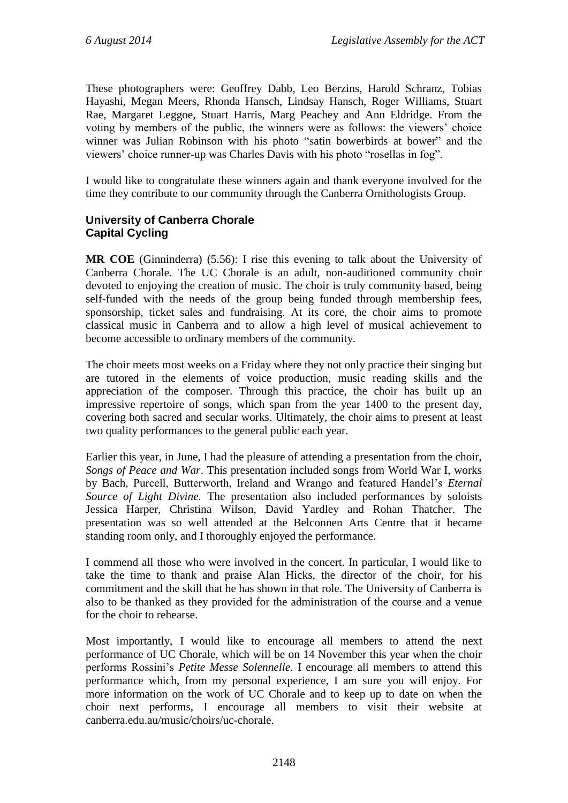These photographers were: Geoffrey Dabb, Leo Berzins, Harold Schranz, Tobias Hayashi, Megan Meers, Rhonda Hansch, Lindsay Hansch, Roger Williams, Stuart Rae, Margaret Leggoe, Stuart Harris, Marg Peachey and Ann Eldridge. From the voting by members of the public, the winners were as follows: the viewers' choice winner was Julian Robinson with his photo "satin bowerbirds at bower" and the viewers' choice runner-up was Charles Davis with his photo "rosellas in fog".

I would like to congratulate these winners again and thank everyone involved for the time they contribute to our community through the Canberra Ornithologists Group.

# **University of Canberra Chorale Capital Cycling**

**MR COE** (Ginninderra) (5.56): I rise this evening to talk about the University of Canberra Chorale. The UC Chorale is an adult, non-auditioned community choir devoted to enjoying the creation of music. The choir is truly community based, being self-funded with the needs of the group being funded through membership fees, sponsorship, ticket sales and fundraising. At its core, the choir aims to promote classical music in Canberra and to allow a high level of musical achievement to become accessible to ordinary members of the community.

The choir meets most weeks on a Friday where they not only practice their singing but are tutored in the elements of voice production, music reading skills and the appreciation of the composer. Through this practice, the choir has built up an impressive repertoire of songs, which span from the year 1400 to the present day, covering both sacred and secular works. Ultimately, the choir aims to present at least two quality performances to the general public each year.

Earlier this year, in June, I had the pleasure of attending a presentation from the choir, *Songs of Peace and War*. This presentation included songs from World War I, works by Bach, Purcell, Butterworth, Ireland and Wrango and featured Handel's *Eternal Source of Light Divine.* The presentation also included performances by soloists Jessica Harper, Christina Wilson, David Yardley and Rohan Thatcher. The presentation was so well attended at the Belconnen Arts Centre that it became standing room only, and I thoroughly enjoyed the performance.

I commend all those who were involved in the concert. In particular, I would like to take the time to thank and praise Alan Hicks, the director of the choir, for his commitment and the skill that he has shown in that role. The University of Canberra is also to be thanked as they provided for the administration of the course and a venue for the choir to rehearse.

Most importantly, I would like to encourage all members to attend the next performance of UC Chorale, which will be on 14 November this year when the choir performs Rossini's *Petite Messe Solennelle.* I encourage all members to attend this performance which, from my personal experience, I am sure you will enjoy. For more information on the work of UC Chorale and to keep up to date on when the choir next performs, I encourage all members to visit their website at canberra.edu.au/music/choirs/uc-chorale.